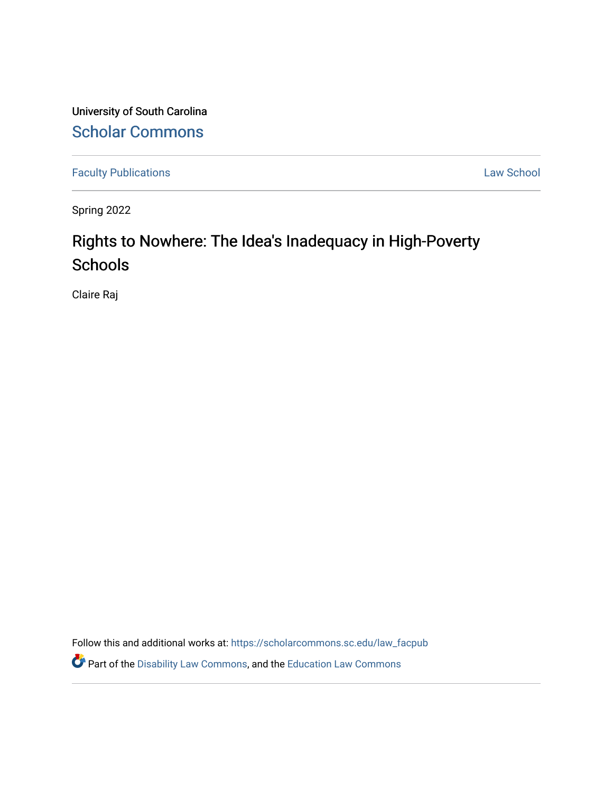University of South Carolina [Scholar Commons](https://scholarcommons.sc.edu/) 

[Faculty Publications](https://scholarcommons.sc.edu/law_facpub) **Law School** 

Spring 2022

# Rights to Nowhere: The Idea's Inadequacy in High-Poverty **Schools**

Claire Raj

Follow this and additional works at: [https://scholarcommons.sc.edu/law\\_facpub](https://scholarcommons.sc.edu/law_facpub?utm_source=scholarcommons.sc.edu%2Flaw_facpub%2F600&utm_medium=PDF&utm_campaign=PDFCoverPages) 

Part of the [Disability Law Commons](https://network.bepress.com/hgg/discipline/1074?utm_source=scholarcommons.sc.edu%2Flaw_facpub%2F600&utm_medium=PDF&utm_campaign=PDFCoverPages), and the [Education Law Commons](https://network.bepress.com/hgg/discipline/596?utm_source=scholarcommons.sc.edu%2Flaw_facpub%2F600&utm_medium=PDF&utm_campaign=PDFCoverPages)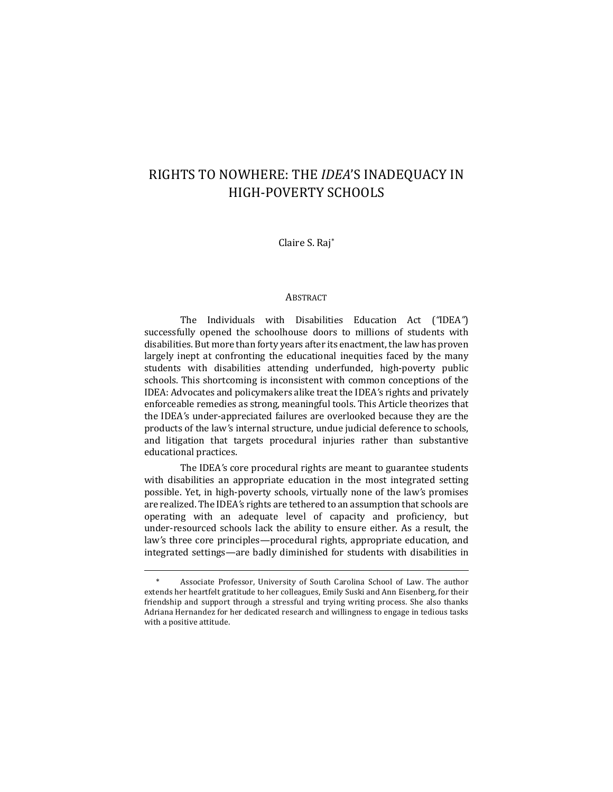## RIGHTS TO NOWHERE: THE *IDEA'S* INADEQUACY IN HIGH-POVERTY SCHOOLS

Claire S. Raj\*

## ABSTRACT

The Individuals with Disabilities Education Act (*"*IDEA*"*) successfully opened the schoolhouse doors to millions of students with disabilities. But more than forty years after its enactment, the law has proven largely inept at confronting the educational inequities faced by the many students with disabilities attending underfunded, high-poverty public schools. This shortcoming is inconsistent with common conceptions of the IDEA: Advocates and policymakers alike treat the IDEA's rights and privately enforceable remedies as strong, meaningful tools. This Article theorizes that the IDEA's under-appreciated failures are overlooked because they are the products of the law's internal structure, undue judicial deference to schools, and litigation that targets procedural injuries rather than substantive educational practices.

The IDEA's core procedural rights are meant to guarantee students with disabilities an appropriate education in the most integrated setting possible. Yet, in high-poverty schools, virtually none of the law's promises are realized. The IDEA's rights are tethered to an assumption that schools are operating with an adequate level of capacity and proficiency, but under-resourced schools lack the ability to ensure either. As a result, the law's three core principles—procedural rights, appropriate education, and integrated settings—are badly diminished for students with disabilities in

Associate Professor, University of South Carolina School of Law. The author extends her heartfelt gratitude to her colleagues, Emily Suski and Ann Eisenberg, for their friendship and support through a stressful and trying writing process. She also thanks Adriana Hernandez for her dedicated research and willingness to engage in tedious tasks with a positive attitude.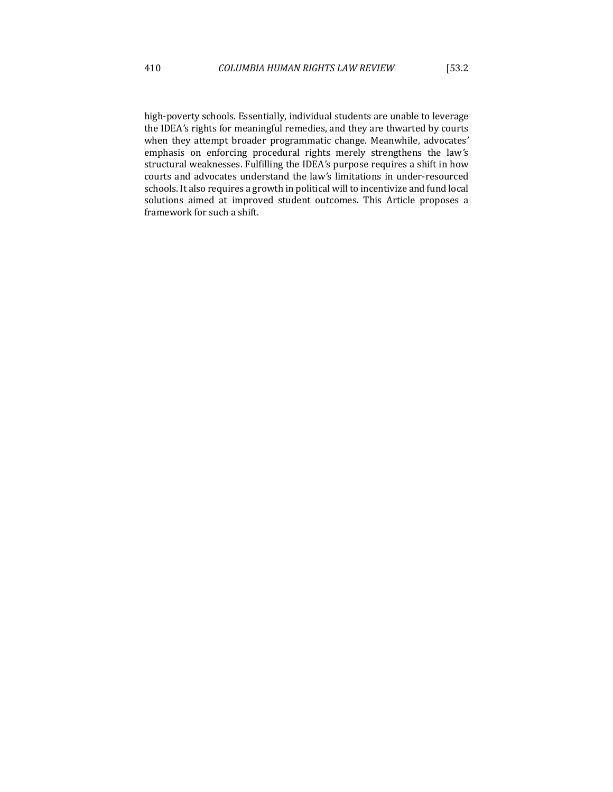high-poverty schools. Essentially, individual students are unable to leverage the IDEA's rights for meaningful remedies, and they are thwarted by courts when they attempt broader programmatic change. Meanwhile, advocates' emphasis on enforcing procedural rights merely strengthens the law's structural weaknesses. Fulfilling the IDEA's purpose requires a shift in how courts and advocates understand the law's limitations in under-resourced schools. It also requires a growth in political will to incentivize and fund local solutions aimed at improved student outcomes. This Article proposes a framework for such a shift.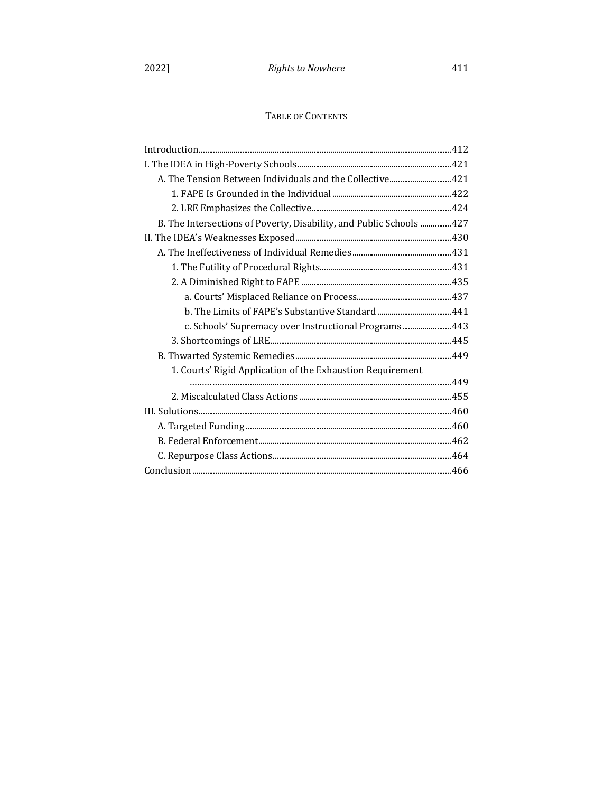## TABLE OF CONTENTS

| A. The Tension Between Individuals and the Collective 421           |  |
|---------------------------------------------------------------------|--|
|                                                                     |  |
|                                                                     |  |
| B. The Intersections of Poverty, Disability, and Public Schools 427 |  |
|                                                                     |  |
|                                                                     |  |
|                                                                     |  |
|                                                                     |  |
|                                                                     |  |
|                                                                     |  |
| c. Schools' Supremacy over Instructional Programs 443               |  |
|                                                                     |  |
|                                                                     |  |
| 1. Courts' Rigid Application of the Exhaustion Requirement          |  |
|                                                                     |  |
|                                                                     |  |
|                                                                     |  |
|                                                                     |  |
|                                                                     |  |
|                                                                     |  |
|                                                                     |  |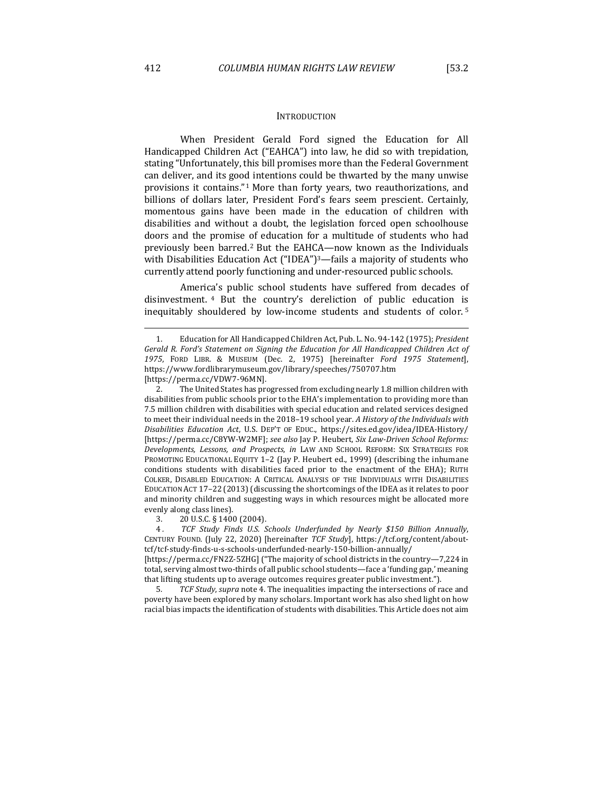#### **INTRODUCTION**

When President Gerald Ford signed the Education for All Handicapped Children Act ("EAHCA") into law, he did so with trepidation, stating "Unfortunately, this bill promises more than the Federal Government can deliver, and its good intentions could be thwarted by the many unwise provisions it contains."<sup>1</sup> More than forty years, two reauthorizations, and billions of dollars later, President Ford's fears seem prescient. Certainly, momentous gains have been made in the education of children with disabilities and without a doubt, the legislation forced open schoolhouse doors and the promise of education for a multitude of students who had previously been barred.<sup>2</sup> But the EAHCA—now known as the Individuals with Disabilities Education Act  $("IDEA")^3$ —fails a majority of students who currently attend poorly functioning and under-resourced public schools.

America's public school students have suffered from decades of disinvestment. <sup>4</sup> But the country's dereliction of public education is inequitably shouldered by low-income students and students of color.<sup>5</sup>

2. The United States has progressed from excluding nearly 1.8 million children with disabilities from public schools prior to the EHA's implementation to providing more than 7.5 million children with disabilities with special education and related services designed to meet their individual needs in the 2018-19 school year. A History of the Individuals with *Disabilities Education Act*, U.S. DEP'T OF EDUC., https://sites.ed.gov/idea/IDEA-History/ [https://perma.cc/C8YW-W2MF]; see also Jay P. Heubert, Six Law-Driven School Reforms: Developments, Lessons, and Prospects, in LAW AND SCHOOL REFORM: SIX STRATEGIES FOR PROMOTING EDUCATIONAL EQUITY  $1-2$  (Jay P. Heubert ed., 1999) (describing the inhumane conditions students with disabilities faced prior to the enactment of the EHA); RUTH COLKER, DISABLED EDUCATION: A CRITICAL ANALYSIS OF THE INDIVIDUALS WITH DISABILITIES EDUCATION ACT 17-22 (2013) (discussing the shortcomings of the IDEA as it relates to poor and minority children and suggesting ways in which resources might be allocated more evenly along class lines).

3. 20 U.S.C. § 1400 (2004).

4. TCF Study Finds U.S. Schools Underfunded by Nearly \$150 Billion Annually, CENTURY FOUND. (July 22, 2020) [hereinafter *TCF Study*], https://tcf.org/content/abouttcf/tcf-study-finds-u-s-schools-underfunded-nearly-150-billion-annually/ 

[https://perma.cc/FN2Z-5ZHG] ("The majority of school districts in the country—7,224 in total, serving almost two-thirds of all public school students—face a 'funding gap,' meaning that lifting students up to average outcomes requires greater public investment.").

5. TCF Study, supra note 4. The inequalities impacting the intersections of race and poverty have been explored by many scholars. Important work has also shed light on how racial bias impacts the identification of students with disabilities. This Article does not aim

<sup>1.</sup> Education for All Handicapped Children Act, Pub. L. No. 94-142 (1975); *President* Gerald R. Ford's Statement on Signing the Education for All Handicapped Children Act of *1975*, FORD LIBR. & MUSEUM (Dec. 2, 1975) [hereinafter *Ford 1975 Statement*], https://www.fordlibrarymuseum.gov/library/speeches/750707.htm [https://perma.cc/VDW7-96MN].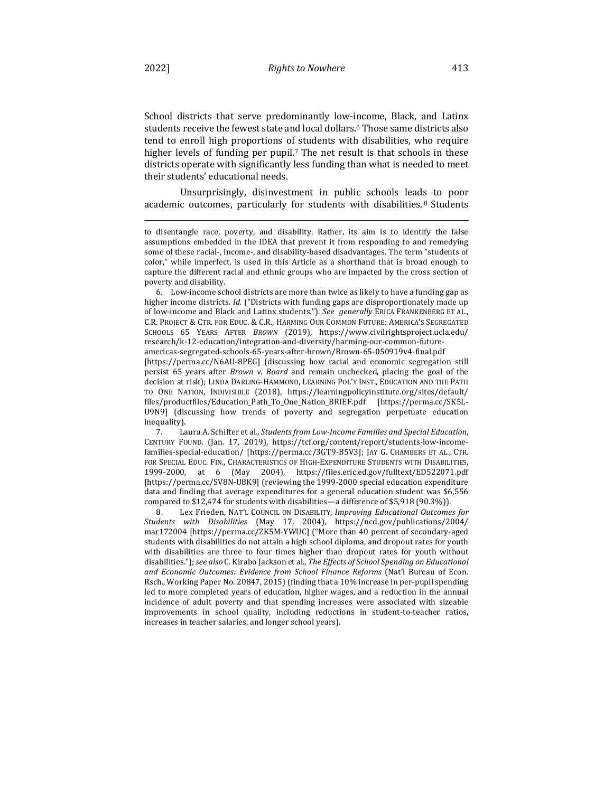School districts that serve predominantly low-income, Black, and Latinx students receive the fewest state and local dollars.<sup>6</sup> Those same districts also tend to enroll high proportions of students with disabilities, who require higher levels of funding per pupil.<sup>7</sup> The net result is that schools in these districts operate with significantly less funding than what is needed to meet their students' educational needs.

Unsurprisingly, disinvestment in public schools leads to poor academic outcomes, particularly for students with disabilities.<sup>8</sup> Students

6. Low-income school districts are more than twice as likely to have a funding gap as higher income districts. *Id.* ("Districts with funding gaps are disproportionately made up of low-income and Black and Latinx students."). See generally ERICA FRANKENBERG ET AL., C.R. PROJECT & CTR. FOR EDUC. & C.R., HARMING OUR COMMON FUTURE: AMERICA'S SEGREGATED SCHOOLS 65 YEARS AFTER *BROWN* (2019), https://www.civilrightsproject.ucla.edu/ research/k-12-education/integration-and-diversity/harming-our-common-futureamericas-segregated-schools-65-years-after-brown/Brown-65-050919v4-final.pdf [https://perma.cc/N6AU-8PEG] (discussing how racial and economic segregation still persist 65 years after *Brown v. Board* and remain unchecked, placing the goal of the decision at risk); LINDA DARLING-HAMMOND, LEARNING POL'Y INST., EDUCATION AND THE PATH TO ONE NATION, INDIVISIBLE (2018), https://learningpolicyinstitute.org/sites/default/ files/productfiles/Education\_Path\_To\_One\_Nation\_BRIEF.pdf [https://perma.cc/SK5L-U9N9] (discussing how trends of poverty and segregation perpetuate education inequality).

7. Laura A. Schifter et al., *Students from Low-Income Families and Special Education*, CENTURY FOUND. (Jan. 17, 2019), https://tcf.org/content/report/students-low-incomefamilies-special-education/ [https://perma.cc/3GT9-B5V3]; JAY G. CHAMBERS ET AL., CTR. FOR SPECIAL EDUC. FIN., CHARACTERISTICS OF HIGH-EXPENDITURE STUDENTS WITH DISABILITIES, 1999-2000, at 6 (May 2004), https://files.eric.ed.gov/fulltext/ED522071.pdf [https://perma.cc/SV8N-U8K9] (reviewing the 1999-2000 special education expenditure data and finding that average expenditures for a general education student was \$6,556 compared to  $$12,474$  for students with disabilities—a difference of  $$5,918$  (90.3%)).

8. Lex Frieden, NAT'L COUNCIL ON DISABILITY, *Improving Educational Outcomes for Students with Disabilities* (May 17, 2004), https://ncd.gov/publications/2004/ mar172004 [https://perma.cc/ZK5M-YWUC] ("More than 40 percent of secondary-aged students with disabilities do not attain a high school diploma, and dropout rates for youth with disabilities are three to four times higher than dropout rates for youth without disabilities."); see also C. Kirabo Jackson et al., *The Effects of School Spending on Educational* and Economic Outcomes: Evidence from School Finance Reforms (Nat'l Bureau of Econ. Rsch., Working Paper No. 20847, 2015) (finding that a 10% increase in per-pupil spending led to more completed years of education, higher wages, and a reduction in the annual incidence of adult poverty and that spending increases were associated with sizeable improvements in school quality, including reductions in student-to-teacher ratios, increases in teacher salaries, and longer school years).

to disentangle race, poverty, and disability. Rather, its aim is to identify the false assumptions embedded in the IDEA that prevent it from responding to and remedying some of these racial-, income-, and disability-based disadvantages. The term "students of color," while imperfect, is used in this Article as a shorthand that is broad enough to capture the different racial and ethnic groups who are impacted by the cross section of poverty and disability.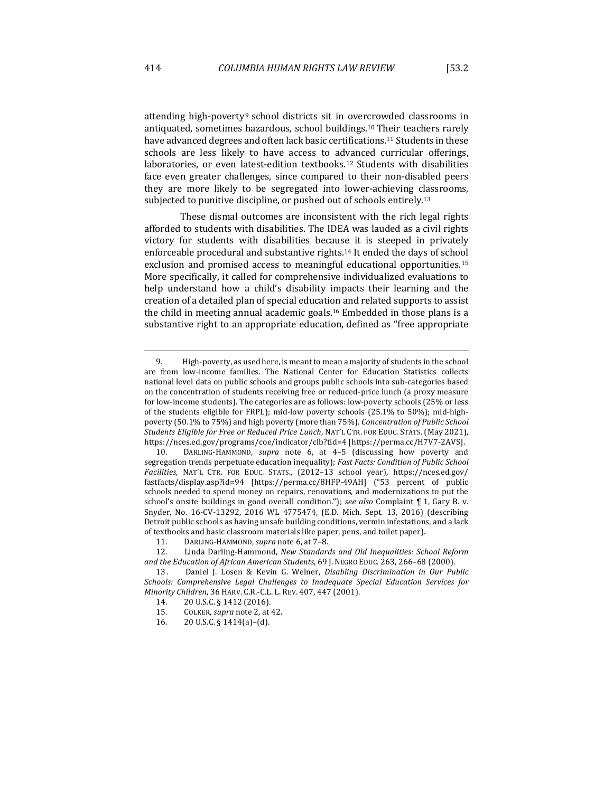attending high-poverty<sup>9</sup> school districts sit in overcrowded classrooms in antiquated, sometimes hazardous, school buildings.<sup>10</sup> Their teachers rarely have advanced degrees and often lack basic certifications.<sup>11</sup> Students in these schools are less likely to have access to advanced curricular offerings, laboratories, or even latest-edition textbooks.<sup>12</sup> Students with disabilities face even greater challenges, since compared to their non-disabled peers they are more likely to be segregated into lower-achieving classrooms,

These dismal outcomes are inconsistent with the rich legal rights afforded to students with disabilities. The IDEA was lauded as a civil rights victory for students with disabilities because it is steeped in privately enforceable procedural and substantive rights.<sup>14</sup> It ended the days of school exclusion and promised access to meaningful educational opportunities.<sup>15</sup> More specifically, it called for comprehensive individualized evaluations to help understand how a child's disability impacts their learning and the creation of a detailed plan of special education and related supports to assist the child in meeting annual academic goals.<sup>16</sup> Embedded in those plans is a substantive right to an appropriate education, defined as "free appropriate

subjected to punitive discipline, or pushed out of schools entirely.<sup>13</sup>

<sup>9.</sup> High-poverty, as used here, is meant to mean a majority of students in the school are from low-income families. The National Center for Education Statistics collects national level data on public schools and groups public schools into sub-categories based on the concentration of students receiving free or reduced-price lunch (a proxy measure for low-income students). The categories are as follows: low-poverty schools (25% or less of the students eligible for FRPL); mid-low poverty schools  $(25.1\%$  to  $50\%$ ); mid-highpoverty (50.1% to 75%) and high poverty (more than 75%). *Concentration of Public School Students Eligible for Free or Reduced Price Lunch*, NAT'L CTR. FOR EDUC. STATS. (May 2021), https://nces.ed.gov/programs/coe/indicator/clb?tid=4 [https://perma.cc/H7V7-2AVS].

<sup>10.</sup> DARLING-HAMMOND, *supra* note 6, at 4-5 (discussing how poverty and segregation trends perpetuate education inequality); *Fast Facts: Condition of Public School* Facilities, NAT'L CTR. FOR EDUC. STATS., (2012-13 school year), https://nces.ed.gov/ fastfacts/display.asp?id=94 [https://perma.cc/8HFP-49AH] ("53 percent of public schools needed to spend money on repairs, renovations, and modernizations to put the school's onsite buildings in good overall condition."); *see also* Complaint  $\P$  1, Gary B. v. Snyder, No. 16-CV-13292, 2016 WL 4775474, (E.D. Mich. Sept. 13, 2016) (describing Detroit public schools as having unsafe building conditions, vermin infestations, and a lack of textbooks and basic classroom materials like paper, pens, and toilet paper).

<sup>11.</sup> DARLING-HAMMOND, *supra* note 6, at 7-8.

<sup>12.</sup> Linda Darling-Hammond, *New Standards and Old Inequalities: School Reform* and the Education of African American Students, 69 J. NEGRO EDUC. 263, 266-68 (2000).

<sup>13.</sup> Daniel J. Losen & Kevin G. Welner, *Disabling Discrimination in Our Public* Schools: Comprehensive Legal Challenges to Inadequate Special Education Services for *Minority Children,* 36 HARV. C.R.-C.L. L. REV. 407, 447 (2001).

<sup>14. 20</sup> U.S.C. § 1412 (2016).

<sup>15.</sup> COLKER, *supra* note 2, at 42.

<sup>16.</sup>  $20 \text{ U.S.C.} \S 1414(a) - (d)$ .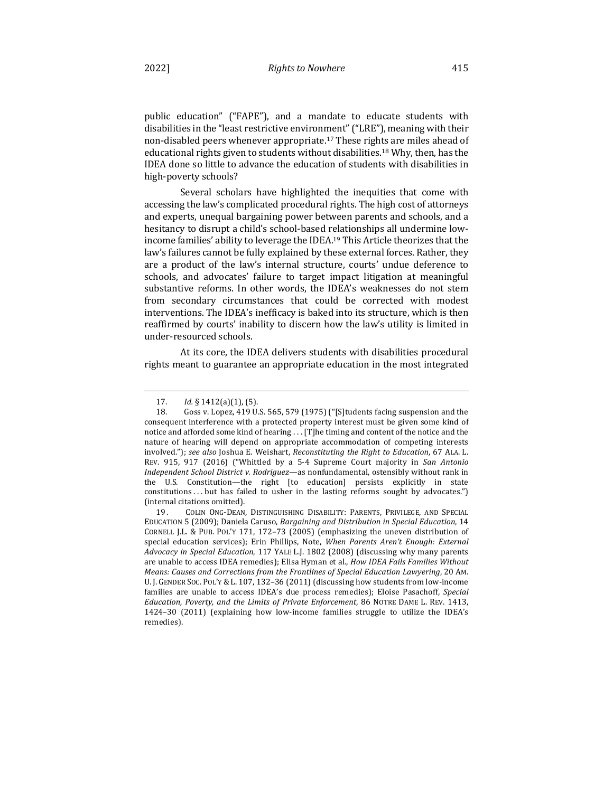public education" ("FAPE"), and a mandate to educate students with disabilities in the "least restrictive environment" ("LRE"), meaning with their non-disabled peers whenever appropriate.<sup>17</sup> These rights are miles ahead of educational rights given to students without disabilities.<sup>18</sup> Why, then, has the IDEA done so little to advance the education of students with disabilities in high-poverty schools?

Several scholars have highlighted the inequities that come with accessing the law's complicated procedural rights. The high cost of attorneys and experts, unequal bargaining power between parents and schools, and a hesitancy to disrupt a child's school-based relationships all undermine lowincome families' ability to leverage the IDEA.<sup>19</sup> This Article theorizes that the law's failures cannot be fully explained by these external forces. Rather, they are a product of the law's internal structure, courts' undue deference to schools, and advocates' failure to target impact litigation at meaningful substantive reforms. In other words, the IDEA's weaknesses do not stem from secondary circumstances that could be corrected with modest interventions. The IDEA's inefficacy is baked into its structure, which is then reaffirmed by courts' inability to discern how the law's utility is limited in under-resourced schools.

At its core, the IDEA delivers students with disabilities procedural rights meant to guarantee an appropriate education in the most integrated

<sup>17.</sup> *Id.* § 1412(a)(1), (5).

<sup>18.</sup> Goss v. Lopez, 419 U.S. 565, 579 (1975) ("[S]tudents facing suspension and the consequent interference with a protected property interest must be given some kind of notice and afforded some kind of hearing . . . [T]he timing and content of the notice and the nature of hearing will depend on appropriate accommodation of competing interests involved."); see also Joshua E. Weishart, *Reconstituting the Right to Education*, 67 ALA. L. REV. 915, 917 (2016) ("Whittled by a 5-4 Supreme Court majority in *San Antonio Independent School District v. Rodriguez*—as nonfundamental, ostensibly without rank in the U.S. Constitution—the right [to education] persists explicitly in state constitutions ... but has failed to usher in the lasting reforms sought by advocates.") (internal citations omitted).

<sup>19.</sup> COLIN ONG-DEAN, DISTINGUISHING DISABILITY: PARENTS, PRIVILEGE, AND SPECIAL EDUCATION 5 (2009); Daniela Caruso, *Bargaining and Distribution in Special Education*, 14 CORNELL J.L. & PUB. POL'Y 171, 172-73 (2005) (emphasizing the uneven distribution of special education services); Erin Phillips, Note, When Parents Aren't Enough: External *Advocacy in Special Education,* 117 YALE L.J. 1802 (2008) (discussing why many parents are unable to access IDEA remedies); Elisa Hyman et al., *How IDEA Fails Families Without Means: Causes and Corrections from the Frontlines of Special Education Lawyering, 20 AM.* U. J. GENDER SOC. POL'Y & L. 107, 132-36 (2011) (discussing how students from low-income families are unable to access IDEA's due process remedies); Eloise Pasachoff, Special Education, Poverty, and the Limits of Private Enforcement, 86 NOTRE DAME L. REV. 1413, 1424-30  $(2011)$  (explaining how low-income families struggle to utilize the IDEA's remedies).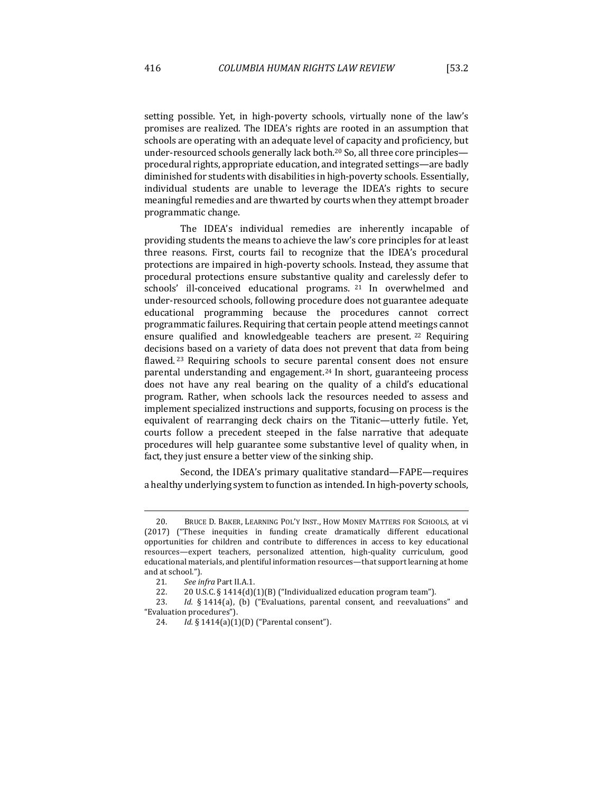setting possible. Yet, in high-poverty schools, virtually none of the law's promises are realized. The IDEA's rights are rooted in an assumption that schools are operating with an adequate level of capacity and proficiency, but under-resourced schools generally lack both.<sup>20</sup> So, all three core principles procedural rights, appropriate education, and integrated settings-are badly diminished for students with disabilities in high-poverty schools. Essentially, individual students are unable to leverage the IDEA's rights to secure meaningful remedies and are thwarted by courts when they attempt broader programmatic change.

The IDEA's individual remedies are inherently incapable of providing students the means to achieve the law's core principles for at least three reasons. First, courts fail to recognize that the IDEA's procedural protections are impaired in high-poverty schools. Instead, they assume that procedural protections ensure substantive quality and carelessly defer to schools' ill-conceived educational programs. <sup>21</sup> In overwhelmed and under-resourced schools, following procedure does not guarantee adequate educational programming because the procedures cannot correct programmatic failures. Requiring that certain people attend meetings cannot ensure qualified and knowledgeable teachers are present.  $22$  Requiring decisions based on a variety of data does not prevent that data from being flawed.<sup>23</sup> Requiring schools to secure parental consent does not ensure parental understanding and engagement.<sup>24</sup> In short, guaranteeing process does not have any real bearing on the quality of a child's educational program. Rather, when schools lack the resources needed to assess and implement specialized instructions and supports, focusing on process is the equivalent of rearranging deck chairs on the Titanic—utterly futile. Yet, courts follow a precedent steeped in the false narrative that adequate procedures will help guarantee some substantive level of quality when, in fact, they just ensure a better view of the sinking ship.

Second, the IDEA's primary qualitative standard—FAPE—requires a healthy underlying system to function as intended. In high-poverty schools,

<sup>20.</sup> BRUCE D. BAKER, LEARNING POL'Y INST., HOW MONEY MATTERS FOR SCHOOLS, at vi (2017) ("These inequities in funding create dramatically different educational opportunities for children and contribute to differences in access to key educational resources—expert teachers, personalized attention, high-quality curriculum, good educational materials, and plentiful information resources—that support learning at home and at school.").

<sup>21.</sup> See infra Part II.A.1.

<sup>22.</sup>  $20 \text{ U.S.C. } $1414(d)(1)(B)$  ("Individualized education program team").

<sup>23.</sup> *Id.* § 1414(a), (b) ("Evaluations, parental consent, and reevaluations" and "Evaluation procedures").

<sup>24.</sup> *Id.* § 1414(a)(1)(D) ("Parental consent").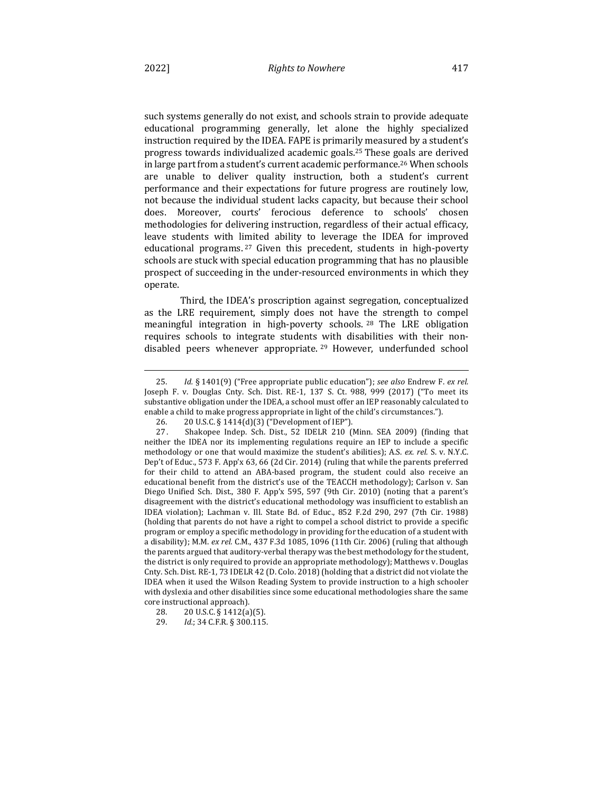such systems generally do not exist, and schools strain to provide adequate educational programming generally, let alone the highly specialized instruction required by the IDEA. FAPE is primarily measured by a student's progress towards individualized academic goals.<sup>25</sup> These goals are derived in large part from a student's current academic performance.<sup>26</sup> When schools are unable to deliver quality instruction, both a student's current performance and their expectations for future progress are routinely low, not because the individual student lacks capacity, but because their school does. Moreover, courts' ferocious deference to schools' chosen methodologies for delivering instruction, regardless of their actual efficacy, leave students with limited ability to leverage the IDEA for improved educational programs.  $27$  Given this precedent, students in high-poverty schools are stuck with special education programming that has no plausible prospect of succeeding in the under-resourced environments in which they

Third, the IDEA's proscription against segregation, conceptualized as the LRE requirement, simply does not have the strength to compel meaningful integration in high-poverty schools. <sup>28</sup> The LRE obligation requires schools to integrate students with disabilities with their nondisabled peers whenever appropriate. <sup>29</sup> However, underfunded school

operate.

<sup>25.</sup> *Id.* § 1401(9) ("Free appropriate public education"); see also Endrew F. ex rel. Joseph F. v. Douglas Cnty. Sch. Dist. RE-1, 137 S. Ct. 988, 999 (2017) ("To meet its substantive obligation under the IDEA, a school must offer an IEP reasonably calculated to enable a child to make progress appropriate in light of the child's circumstances.").

<sup>26. 20</sup> U.S.C. § 1414(d)(3) ("Development of IEP").

<sup>27.</sup> Shakopee Indep. Sch. Dist., 52 IDELR 210 (Minn. SEA 2009) (finding that neither the IDEA nor its implementing regulations require an IEP to include a specific methodology or one that would maximize the student's abilities); A.S. ex. rel. S. v. N.Y.C. Dep't of Educ., 573 F. App'x 63, 66 (2d Cir. 2014) (ruling that while the parents preferred for their child to attend an ABA-based program, the student could also receive an educational benefit from the district's use of the TEACCH methodology); Carlson v. San Diego Unified Sch. Dist., 380 F. App'x 595, 597 (9th Cir. 2010) (noting that a parent's disagreement with the district's educational methodology was insufficient to establish an IDEA violation); Lachman v. Ill. State Bd. of Educ., 852 F.2d 290, 297 (7th Cir. 1988) (holding that parents do not have a right to compel a school district to provide a specific program or employ a specific methodology in providing for the education of a student with a disability); M.M. *ex rel.* C.M., 437 F.3d 1085, 1096 (11th Cir. 2006) (ruling that although the parents argued that auditory-verbal therapy was the best methodology for the student, the district is only required to provide an appropriate methodology); Matthews v. Douglas Cnty. Sch. Dist. RE-1, 73 IDELR 42 (D. Colo. 2018) (holding that a district did not violate the IDEA when it used the Wilson Reading System to provide instruction to a high schooler with dyslexia and other disabilities since some educational methodologies share the same core instructional approach).

<sup>28. 20</sup> U.S.C. § 1412(a)(5).

<sup>29.</sup> *Id.*; 34 C.F.R. § 300.115.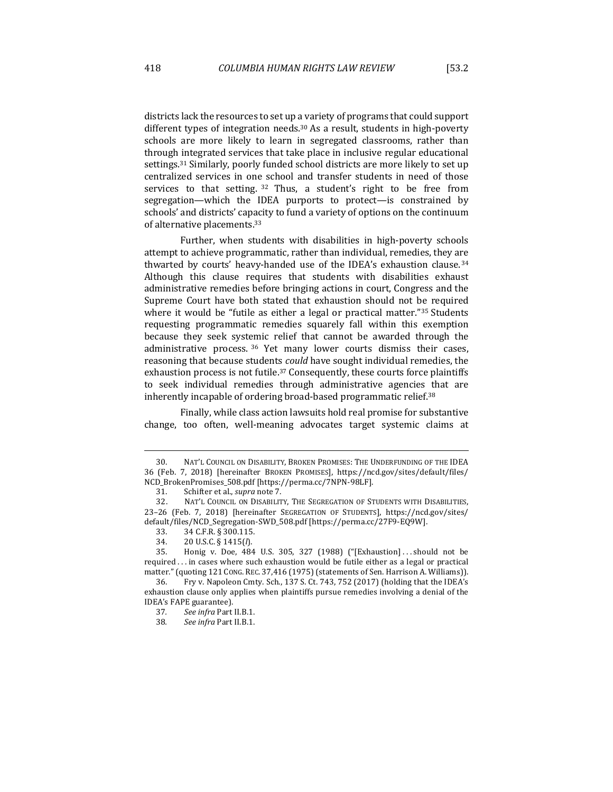districts lack the resources to set up a variety of programs that could support different types of integration needs.<sup>30</sup> As a result, students in high-poverty schools are more likely to learn in segregated classrooms, rather than through integrated services that take place in inclusive regular educational settings.<sup>31</sup> Similarly, poorly funded school districts are more likely to set up centralized services in one school and transfer students in need of those services to that setting.  $32$  Thus, a student's right to be free from segregation—which the IDEA purports to protect—is constrained by schools' and districts' capacity to fund a variety of options on the continuum

Further, when students with disabilities in high-poverty schools attempt to achieve programmatic, rather than individual, remedies, they are thwarted by courts' heavy-handed use of the IDEA's exhaustion clause.<sup>34</sup> Although this clause requires that students with disabilities exhaust administrative remedies before bringing actions in court, Congress and the Supreme Court have both stated that exhaustion should not be required where it would be "futile as either a legal or practical matter."<sup>35</sup> Students requesting programmatic remedies squarely fall within this exemption because they seek systemic relief that cannot be awarded through the administrative process.  $36$  Yet many lower courts dismiss their cases, reasoning that because students *could* have sought individual remedies, the exhaustion process is not futile.<sup>37</sup> Consequently, these courts force plaintiffs to seek individual remedies through administrative agencies that are inherently incapable of ordering broad-based programmatic relief.<sup>38</sup>

Finally, while class action lawsuits hold real promise for substantive change, too often, well-meaning advocates target systemic claims at

of alternative placements.<sup>33</sup>

<sup>30.</sup> NAT'L COUNCIL ON DISABILITY, BROKEN PROMISES: THE UNDERFUNDING OF THE IDEA 36 (Feb. 7, 2018) [hereinafter BROKEN PROMISES], https://ncd.gov/sites/default/files/ NCD\_BrokenPromises\_508.pdf [https://perma.cc/7NPN-98LF].

<sup>31.</sup> Schifter et al., *supra* note 7.

<sup>32.</sup> NAT'L COUNCIL ON DISABILITY, THE SEGREGATION OF STUDENTS WITH DISABILITIES, 23-26 (Feb. 7, 2018) [hereinafter SEGREGATION OF STUDENTS], https://ncd.gov/sites/ default/files/NCD\_Segregation-SWD\_508.pdf [https://perma.cc/27F9-EQ9W].

<sup>33. 34</sup> C.F.R. § 300.115.

<sup>34.</sup>  20 U.S.C. § 1415(*l*).

<sup>35.</sup> Honig v. Doe, 484 U.S. 305, 327 (1988) ("[Exhaustion] ... should not be required ... in cases where such exhaustion would be futile either as a legal or practical matter." (quoting 121 CONG. REC. 37,416 (1975) (statements of Sen. Harrison A. Williams)).

<sup>36.</sup> Fry v. Napoleon Cmty. Sch., 137 S. Ct. 743, 752 (2017) (holding that the IDEA's exhaustion clause only applies when plaintiffs pursue remedies involving a denial of the IDEA's FAPE guarantee).

<sup>37</sup>*. See infra* Part II.B.1.

<sup>38</sup>*. See infra* Part II.B.1.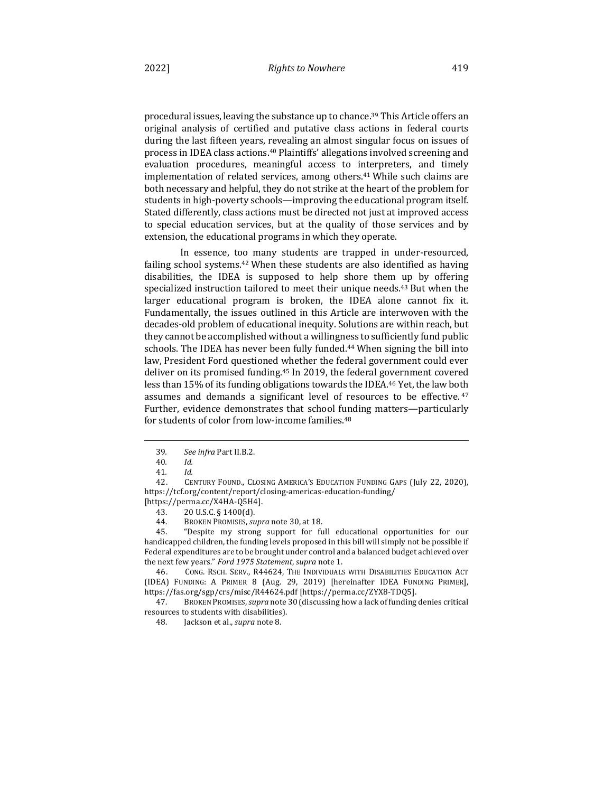procedural issues, leaving the substance up to chance.<sup>39</sup> This Article offers an original analysis of certified and putative class actions in federal courts during the last fifteen years, revealing an almost singular focus on issues of process in IDEA class actions.<sup>40</sup> Plaintiffs' allegations involved screening and evaluation procedures, meaningful access to interpreters, and timely implementation of related services, among others.<sup>41</sup> While such claims are both necessary and helpful, they do not strike at the heart of the problem for students in high-poverty schools—improving the educational program itself. Stated differently, class actions must be directed not just at improved access to special education services, but at the quality of those services and by extension, the educational programs in which they operate.

In essence, too many students are trapped in under-resourced, failing school systems.<sup>42</sup> When these students are also identified as having disabilities, the IDEA is supposed to help shore them up by offering specialized instruction tailored to meet their unique needs.<sup>43</sup> But when the larger educational program is broken, the IDEA alone cannot fix it. Fundamentally, the issues outlined in this Article are interwoven with the decades-old problem of educational inequity. Solutions are within reach, but they cannot be accomplished without a willingness to sufficiently fund public schools. The IDEA has never been fully funded.<sup>44</sup> When signing the bill into law, President Ford questioned whether the federal government could ever deliver on its promised funding.<sup>45</sup> In 2019, the federal government covered less than 15% of its funding obligations towards the IDEA.<sup>46</sup> Yet, the law both assumes and demands a significant level of resources to be effective.  $47$ Further, evidence demonstrates that school funding matters—particularly for students of color from low-income families.<sup>48</sup>

45. "Despite my strong support for full educational opportunities for our handicapped children, the funding levels proposed in this bill will simply not be possible if Federal expenditures are to be brought under control and a balanced budget achieved over the next few years." Ford 1975 Statement, supra note 1.

46. CONG. RSCH. SERV., R44624, THE INDIVIDUALS WITH DISABILITIES EDUCATION ACT (IDEA) FUNDING: A PRIMER 8 (Aug. 29, 2019) [hereinafter IDEA FUNDING PRIMER], https://fas.org/sgp/crs/misc/R44624.pdf [https://perma.cc/ZYX8-TDQ5].

47. BROKEN PROMISES, *supra* note 30 (discussing how a lack of funding denies critical resources to students with disabilities).

48. Jackson et al., *supra* note 8.

<sup>39</sup>*. See infra* Part II.B.2.

<sup>40</sup>*. Id.* 

<sup>41</sup>*. Id.* 

<sup>42.</sup> CENTURY FOUND., CLOSING AMERICA'S EDUCATION FUNDING GAPS (July 22, 2020), https://tcf.org/content/report/closing-americas-education-funding/ [https://perma.cc/X4HA-Q5H4].

<sup>43. 20</sup> U.S.C. § 1400(d).

<sup>44.</sup> BROKEN PROMISES, *supra* note 30, at 18.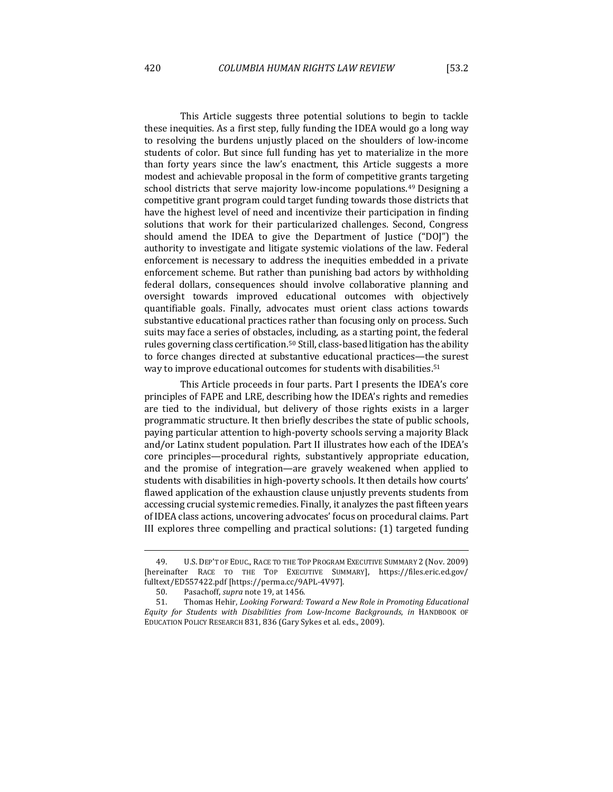This Article suggests three potential solutions to begin to tackle these inequities. As a first step, fully funding the IDEA would go a long way to resolving the burdens unjustly placed on the shoulders of low-income students of color. But since full funding has yet to materialize in the more than forty years since the law's enactment, this Article suggests a more modest and achievable proposal in the form of competitive grants targeting school districts that serve majority low-income populations.<sup>49</sup> Designing a competitive grant program could target funding towards those districts that have the highest level of need and incentivize their participation in finding solutions that work for their particularized challenges. Second, Congress should amend the IDEA to give the Department of Justice ("DOJ") the authority to investigate and litigate systemic violations of the law. Federal enforcement is necessary to address the inequities embedded in a private enforcement scheme. But rather than punishing bad actors by withholding federal dollars, consequences should involve collaborative planning and oversight towards improved educational outcomes with objectively quantifiable goals. Finally, advocates must orient class actions towards substantive educational practices rather than focusing only on process. Such suits may face a series of obstacles, including, as a starting point, the federal rules governing class certification.<sup>50</sup> Still, class-based litigation has the ability

This Article proceeds in four parts. Part I presents the IDEA's core principles of FAPE and LRE, describing how the IDEA's rights and remedies are tied to the individual, but delivery of those rights exists in a larger programmatic structure. It then briefly describes the state of public schools, paying particular attention to high-poverty schools serving a majority Black and/or Latinx student population. Part II illustrates how each of the IDEA's core principles—procedural rights, substantively appropriate education, and the promise of integration—are gravely weakened when applied to students with disabilities in high-poverty schools. It then details how courts' flawed application of the exhaustion clause unjustly prevents students from accessing crucial systemic remedies. Finally, it analyzes the past fifteen years of IDEA class actions, uncovering advocates' focus on procedural claims. Part III explores three compelling and practical solutions: (1) targeted funding

to force changes directed at substantive educational practices-the surest way to improve educational outcomes for students with disabilities.<sup>51</sup>

<sup>49.</sup> U.S. DEP'T OF EDUC., RACE TO THE TOP PROGRAM EXECUTIVE SUMMARY 2 (Nov. 2009) [hereinafter RACE TO THE TOP EXECUTIVE SUMMARY], https://files.eric.ed.gov/ fulltext/ED557422.pdf [https://perma.cc/9APL-4V97].

<sup>50.</sup> Pasachoff, *supra* note 19, at 1456.

<sup>51.</sup> Thomas Hehir, *Looking Forward: Toward a New Role in Promoting Educational Equity for Students with Disabilities from Low-Income Backgrounds*, *in* HANDBOOK OF EDUCATION POLICY RESEARCH 831, 836 (Gary Sykes et al. eds., 2009).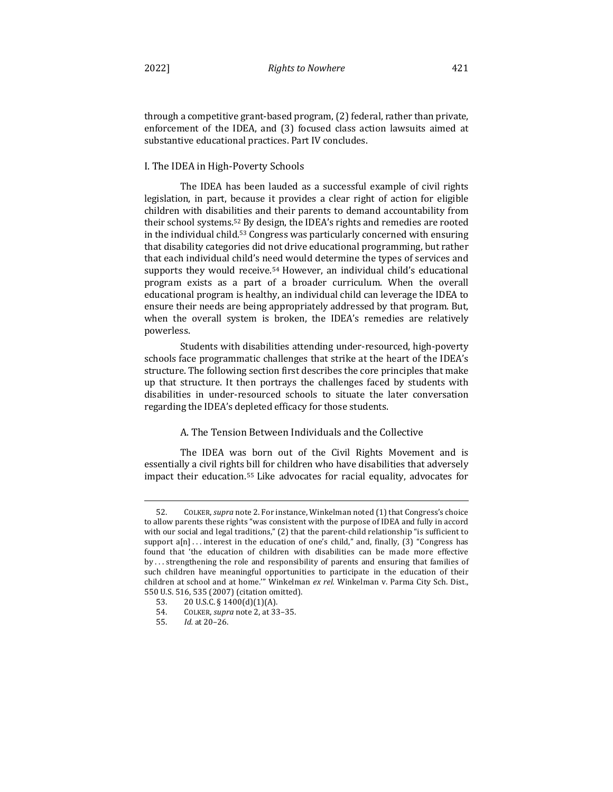through a competitive grant-based program, (2) federal, rather than private, enforcement of the IDEA, and  $(3)$  focused class action lawsuits aimed at substantive educational practices. Part IV concludes.

## I. The IDEA in High-Poverty Schools

The IDEA has been lauded as a successful example of civil rights legislation, in part, because it provides a clear right of action for eligible children with disabilities and their parents to demand accountability from their school systems.<sup>52</sup> By design, the IDEA's rights and remedies are rooted in the individual child.<sup>53</sup> Congress was particularly concerned with ensuring that disability categories did not drive educational programming, but rather that each individual child's need would determine the types of services and supports they would receive.<sup>54</sup> However, an individual child's educational program exists as a part of a broader curriculum. When the overall educational program is healthy, an individual child can leverage the IDEA to ensure their needs are being appropriately addressed by that program. But, when the overall system is broken, the IDEA's remedies are relatively powerless.

Students with disabilities attending under-resourced, high-poverty schools face programmatic challenges that strike at the heart of the IDEA's structure. The following section first describes the core principles that make up that structure. It then portrays the challenges faced by students with disabilities in under-resourced schools to situate the later conversation regarding the IDEA's depleted efficacy for those students.

## A. The Tension Between Individuals and the Collective

The IDEA was born out of the Civil Rights Movement and is essentially a civil rights bill for children who have disabilities that adversely impact their education.<sup>55</sup> Like advocates for racial equality, advocates for

<sup>52.</sup> COLKER, *supra* note 2. For instance, Winkelman noted (1) that Congress's choice to allow parents these rights "was consistent with the purpose of IDEA and fully in accord with our social and legal traditions," (2) that the parent-child relationship "is sufficient to support  $a[n]$ ... interest in the education of one's child," and, finally, (3) "Congress has found that 'the education of children with disabilities can be made more effective by ... strengthening the role and responsibility of parents and ensuring that families of such children have meaningful opportunities to participate in the education of their children at school and at home."" Winkelman ex rel. Winkelman v. Parma City Sch. Dist., 550 U.S. 516, 535 (2007) (citation omitted).

<sup>53.</sup>  $20 \text{ U.S.C.}$  §  $1400(d)(1)(A)$ .

<sup>54.</sup> COLKER, *supra* note 2, at 33-35.

<sup>55.</sup>  *Id.* at 20–26.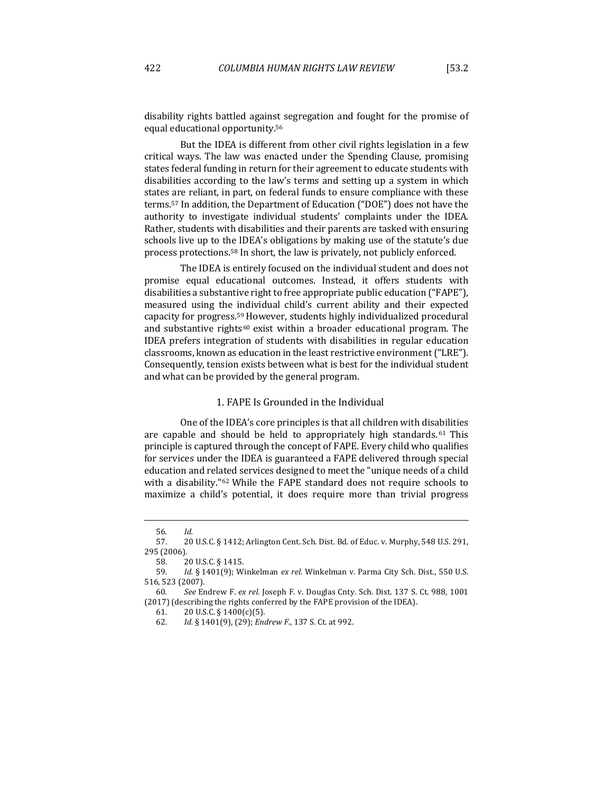disability rights battled against segregation and fought for the promise of equal educational opportunity.<sup>56</sup>

But the IDEA is different from other civil rights legislation in a few critical ways. The law was enacted under the Spending Clause, promising states federal funding in return for their agreement to educate students with disabilities according to the law's terms and setting up a system in which states are reliant, in part, on federal funds to ensure compliance with these terms.<sup>57</sup> In addition, the Department of Education ("DOE") does not have the authority to investigate individual students' complaints under the IDEA. Rather, students with disabilities and their parents are tasked with ensuring schools live up to the IDEA's obligations by making use of the statute's due process protections.<sup>58</sup> In short, the law is privately, not publicly enforced.

The IDEA is entirely focused on the individual student and does not promise equal educational outcomes. Instead, it offers students with disabilities a substantive right to free appropriate public education ("FAPE"), measured using the individual child's current ability and their expected capacity for progress.<sup>59</sup> However, students highly individualized procedural and substantive rights<sup>60</sup> exist within a broader educational program. The IDEA prefers integration of students with disabilities in regular education classrooms, known as education in the least restrictive environment ("LRE"). Consequently, tension exists between what is best for the individual student and what can be provided by the general program.

## 1. FAPE Is Grounded in the Individual

One of the IDEA's core principles is that all children with disabilities are capable and should be held to appropriately high standards.  $61$  This principle is captured through the concept of FAPE. Every child who qualifies for services under the IDEA is guaranteed a FAPE delivered through special education and related services designed to meet the "unique needs of a child with a disability." $62$  While the FAPE standard does not require schools to maximize a child's potential, it does require more than trivial progress

<sup>56</sup>*. Id.*

<sup>57. 20</sup> U.S.C. § 1412; Arlington Cent. Sch. Dist. Bd. of Educ. v. Murphy, 548 U.S. 291, 295 (2006).

<sup>58. 20</sup> U.S.C. § 1415.

<sup>59.</sup> *Id.* § 1401(9); Winkelman *ex rel.* Winkelman v. Parma City Sch. Dist., 550 U.S. 516, 523 (2007).

<sup>60</sup>*. See* Endrew F. *ex rel.* Joseph F. v. Douglas Cnty. Sch. Dist. 137 S. Ct. 988, 1001 (2017) (describing the rights conferred by the FAPE provision of the IDEA).

<sup>61.</sup>  $20 \text{ U.S.C.} \S 1400(c)(5)$ .

<sup>62.</sup> *Id.* § 1401(9), (29); *Endrew F.*, 137 S. Ct. at 992.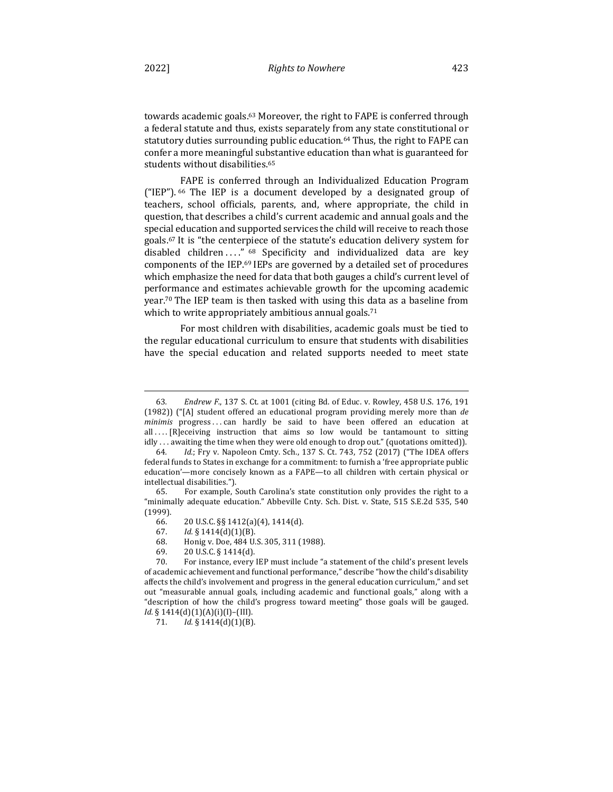towards academic goals.<sup>63</sup> Moreover, the right to FAPE is conferred through a federal statute and thus, exists separately from any state constitutional or statutory duties surrounding public education.<sup>64</sup> Thus, the right to FAPE can confer a more meaningful substantive education than what is guaranteed for students without disabilities.<sup>65</sup>

FAPE is conferred through an Individualized Education Program ("IEP").  $66$  The IEP is a document developed by a designated group of teachers, school officials, parents, and, where appropriate, the child in question, that describes a child's current academic and annual goals and the special education and supported services the child will receive to reach those goals.<sup>67</sup> It is "the centerpiece of the statute's education delivery system for disabled children ...." <sup>68</sup> Specificity and individualized data are key components of the IEP.<sup>69</sup> IEPs are governed by a detailed set of procedures which emphasize the need for data that both gauges a child's current level of performance and estimates achievable growth for the upcoming academic year.<sup>70</sup> The IEP team is then tasked with using this data as a baseline from which to write appropriately ambitious annual goals.<sup>71</sup>

For most children with disabilities, academic goals must be tied to the regular educational curriculum to ensure that students with disabilities have the special education and related supports needed to meet state

69.  $20 \text{ U.S.C.}$  § 1414(d).

<sup>63.</sup> *Endrew F.*, 137 S. Ct. at 1001 (citing Bd. of Educ. v. Rowley, 458 U.S. 176, 191 (1982)) ("[A] student offered an educational program providing merely more than *de minimis* progress...can hardly be said to have been offered an education at all  $\ldots$  [R]eceiving instruction that aims so low would be tantamount to sitting idly ... awaiting the time when they were old enough to drop out." (quotations omitted)).

<sup>64.</sup> *Id.*; Fry v. Napoleon Cmty. Sch., 137 S. Ct. 743, 752 (2017) ("The IDEA offers federal funds to States in exchange for a commitment: to furnish a 'free appropriate public education'—more concisely known as a FAPE—to all children with certain physical or intellectual disabilities.").

<sup>65.</sup> For example, South Carolina's state constitution only provides the right to a "minimally adequate education." Abbeville Cnty. Sch. Dist. v. State, 515 S.E.2d 535, 540 (1999).

<sup>66.</sup>  20 U.S.C. §§ 1412(a)(4), 1414(d).

<sup>67.</sup>  *Id.* § 1414(d)(1)(B).

<sup>68.</sup> Honig v. Doe, 484 U.S. 305, 311 (1988).

<sup>70.</sup> For instance, every IEP must include "a statement of the child's present levels of academic achievement and functional performance," describe "how the child's disability affects the child's involvement and progress in the general education curriculum," and set out "measurable annual goals, including academic and functional goals," along with a "description of how the child's progress toward meeting" those goals will be gauged. *Id.* § 1414(d)(1)(A)(i)(I)–(III).

<sup>71.</sup> *Id.* § 1414(d)(1)(B).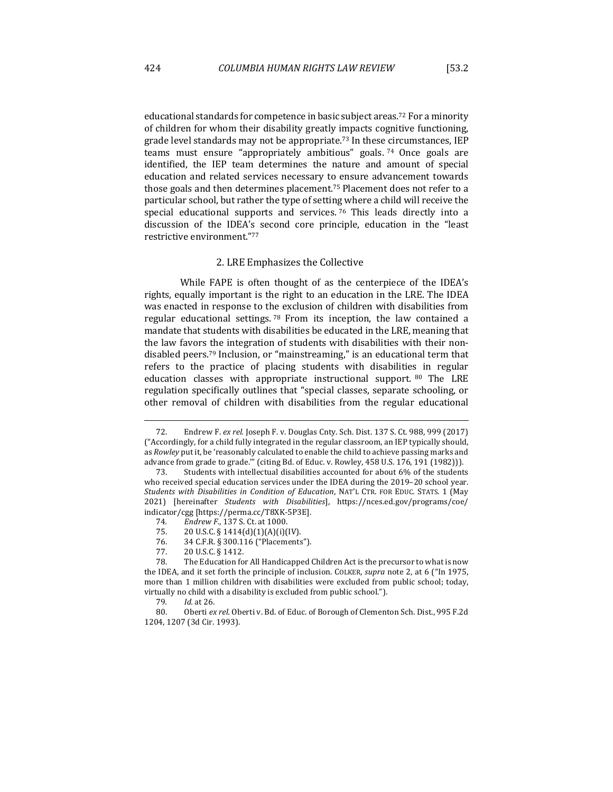educational standards for competence in basic subject areas.<sup>72</sup> For a minority of children for whom their disability greatly impacts cognitive functioning, grade level standards may not be appropriate.<sup>73</sup> In these circumstances, IEP teams must ensure "appropriately ambitious" goals.  $74$  Once goals are identified, the IEP team determines the nature and amount of special education and related services necessary to ensure advancement towards those goals and then determines placement.<sup>75</sup> Placement does not refer to a particular school, but rather the type of setting where a child will receive the special educational supports and services.  $76$  This leads directly into a discussion of the IDEA's second core principle, education in the "least restrictive environment."77

## 2. LRE Emphasizes the Collective

While FAPE is often thought of as the centerpiece of the IDEA's rights, equally important is the right to an education in the LRE. The IDEA was enacted in response to the exclusion of children with disabilities from regular educational settings.  $78$  From its inception, the law contained a mandate that students with disabilities be educated in the LRE, meaning that the law favors the integration of students with disabilities with their nondisabled peers.<sup>79</sup> Inclusion, or "mainstreaming," is an educational term that refers to the practice of placing students with disabilities in regular education classes with appropriate instructional support. 80 The LRE regulation specifically outlines that "special classes, separate schooling, or other removal of children with disabilities from the regular educational

<sup>72.</sup> Endrew F. *ex rel.* Joseph F. v. Douglas Cnty. Sch. Dist. 137 S. Ct. 988, 999 (2017) ("Accordingly, for a child fully integrated in the regular classroom, an IEP typically should, as *Rowley* put it, be 'reasonably calculated to enable the child to achieve passing marks and advance from grade to grade."" (citing Bd. of Educ. v. Rowley, 458 U.S. 176, 191 (1982))).

<sup>73.</sup> Students with intellectual disabilities accounted for about 6% of the students who received special education services under the IDEA during the 2019-20 school year. Students with Disabilities in Condition of Education, NAT'L CTR. FOR EDUC. STATS. 1 (May 2021) [hereinafter *Students with Disabilities*], https://nces.ed.gov/programs/coe/ indicator/cgg [https://perma.cc/T8XK-5P3E].

<sup>74.</sup> Endrew F., 137 S. Ct. at 1000.

<sup>75.</sup>  $20 \text{ U.S.C.} \S 1414(d)(1)(A)(i)(IV)$ .

<sup>76. 34</sup> C.F.R. § 300.116 ("Placements").

<sup>77. 20</sup> U.S.C. § 1412.

<sup>78.</sup> The Education for All Handicapped Children Act is the precursor to what is now the IDEA, and it set forth the principle of inclusion. COLKER, *supra* note 2, at 6 ("In 1975, more than 1 million children with disabilities were excluded from public school; today, virtually no child with a disability is excluded from public school.").

<sup>79</sup>*. Id.* at 26.

<sup>80.</sup> Oberti ex rel. Oberti v. Bd. of Educ. of Borough of Clementon Sch. Dist., 995 F.2d 1204, 1207 (3d Cir. 1993).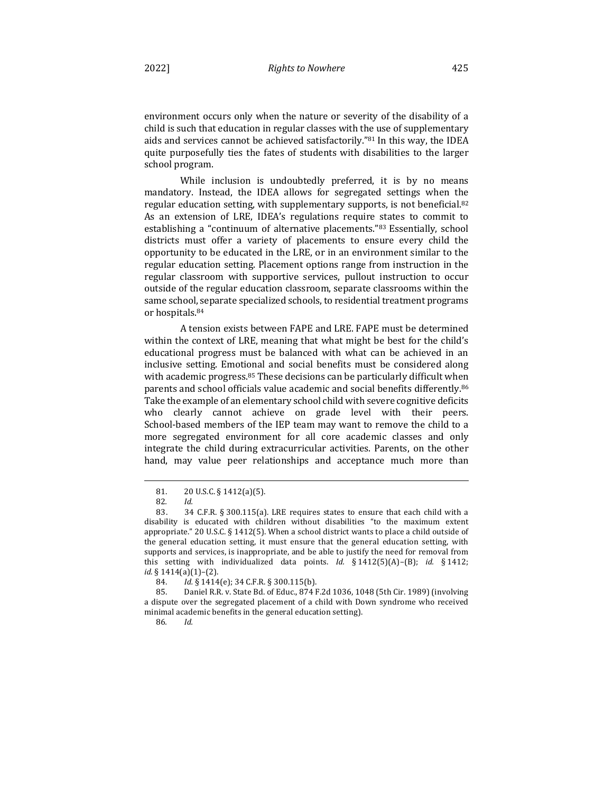environment occurs only when the nature or severity of the disability of a child is such that education in regular classes with the use of supplementary aids and services cannot be achieved satisfactorily."81 In this way, the IDEA quite purposefully ties the fates of students with disabilities to the larger school program.

While inclusion is undoubtedly preferred, it is by no means mandatory. Instead, the IDEA allows for segregated settings when the regular education setting, with supplementary supports, is not beneficial.<sup>82</sup> As an extension of LRE, IDEA's regulations require states to commit to establishing a "continuum of alternative placements."83 Essentially, school districts must offer a variety of placements to ensure every child the opportunity to be educated in the LRE, or in an environment similar to the regular education setting. Placement options range from instruction in the regular classroom with supportive services, pullout instruction to occur outside of the regular education classroom, separate classrooms within the same school, separate specialized schools, to residential treatment programs or hospitals.<sup>84</sup>

A tension exists between FAPE and LRE. FAPE must be determined within the context of LRE, meaning that what might be best for the child's educational progress must be balanced with what can be achieved in an inclusive setting. Emotional and social benefits must be considered along with academic progress.<sup>85</sup> These decisions can be particularly difficult when parents and school officials value academic and social benefits differently.<sup>86</sup> Take the example of an elementary school child with severe cognitive deficits who clearly cannot achieve on grade level with their peers. School-based members of the IEP team may want to remove the child to a more segregated environment for all core academic classes and only integrate the child during extracurricular activities. Parents, on the other hand, may value peer relationships and acceptance much more than

86*. Id.*

<sup>81. 20</sup> U.S.C. § 1412(a)(5).

<sup>82</sup>*. Id.*

<sup>83. 34</sup> C.F.R. § 300.115(a). LRE requires states to ensure that each child with a disability is educated with children without disabilities "to the maximum extent appropriate." 20 U.S.C. § 1412(5). When a school district wants to place a child outside of the general education setting, it must ensure that the general education setting, with supports and services, is inappropriate, and be able to justify the need for removal from this setting with individualized data points. *Id.* § 1412(5)(A)–(B); *id.* § 1412; *id.* § 1414(a)(1)–(2).

<sup>84.</sup> *Id.* § 1414(e); 34 C.F.R. § 300.115(b).

<sup>85.</sup> Daniel R.R. v. State Bd. of Educ., 874 F.2d 1036, 1048 (5th Cir. 1989) (involving a dispute over the segregated placement of a child with Down syndrome who received minimal academic benefits in the general education setting).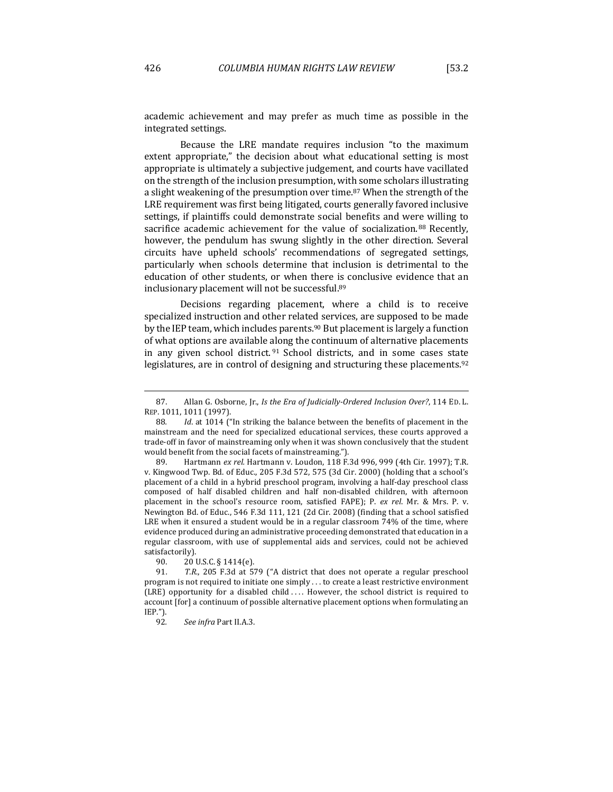academic achievement and may prefer as much time as possible in the integrated settings.

Because the LRE mandate requires inclusion "to the maximum extent appropriate," the decision about what educational setting is most appropriate is ultimately a subjective judgement, and courts have vacillated on the strength of the inclusion presumption, with some scholars illustrating a slight weakening of the presumption over time.<sup>87</sup> When the strength of the LRE requirement was first being litigated, courts generally favored inclusive settings, if plaintiffs could demonstrate social benefits and were willing to sacrifice academic achievement for the value of socialization. 88 Recently, however, the pendulum has swung slightly in the other direction. Several circuits have upheld schools' recommendations of segregated settings, particularly when schools determine that inclusion is detrimental to the education of other students, or when there is conclusive evidence that an inclusionary placement will not be successful.<sup>89</sup>

Decisions regarding placement, where a child is to receive specialized instruction and other related services, are supposed to be made by the IEP team, which includes parents.<sup>90</sup> But placement is largely a function of what options are available along the continuum of alternative placements in any given school district.  $91$  School districts, and in some cases state legislatures, are in control of designing and structuring these placements.<sup>92</sup>

89. Hartmann ex rel. Hartmann v. Loudon, 118 F.3d 996, 999 (4th Cir. 1997); T.R. v. Kingwood Twp. Bd. of Educ., 205 F.3d 572, 575 (3d Cir. 2000) (holding that a school's placement of a child in a hybrid preschool program, involving a half-day preschool class composed of half disabled children and half non-disabled children, with afternoon placement in the school's resource room, satisfied FAPE); P. ex rel. Mr. & Mrs. P. v. Newington Bd. of Educ., 546 F.3d 111, 121 (2d Cir. 2008) (finding that a school satisfied LRE when it ensured a student would be in a regular classroom 74% of the time, where evidence produced during an administrative proceeding demonstrated that education in a regular classroom, with use of supplemental aids and services, could not be achieved satisfactorily).

<sup>87.</sup> Allan G. Osborne, Jr., *Is the Era of Judicially-Ordered Inclusion Over?*, 114 ED. L. REP. 1011, 1011 (1997).

<sup>88.</sup> *Id.* at 1014 ("In striking the balance between the benefits of placement in the mainstream and the need for specialized educational services, these courts approved a trade-off in favor of mainstreaming only when it was shown conclusively that the student would benefit from the social facets of mainstreaming.").

<sup>90. 20</sup> U.S.C. § 1414(e).

<sup>91.</sup> T.R., 205 F.3d at 579 ("A district that does not operate a regular preschool program is not required to initiate one simply . . . to create a least restrictive environment (LRE) opportunity for a disabled child .... However, the school district is required to account [for] a continuum of possible alternative placement options when formulating an IEP.").

<sup>92</sup>*. See infra* Part II.A.3.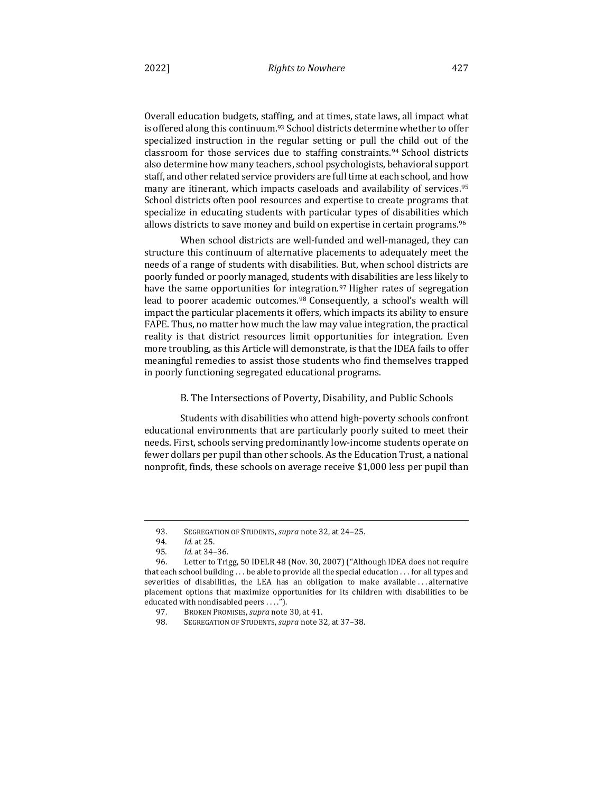Overall education budgets, staffing, and at times, state laws, all impact what is offered along this continuum.<sup>93</sup> School districts determine whether to offer specialized instruction in the regular setting or pull the child out of the classroom for those services due to staffing constraints.<sup>94</sup> School districts also determine how many teachers, school psychologists, behavioral support staff, and other related service providers are full time at each school, and how many are itinerant, which impacts caseloads and availability of services.<sup>95</sup> School districts often pool resources and expertise to create programs that specialize in educating students with particular types of disabilities which allows districts to save money and build on expertise in certain programs.<sup>96</sup>

When school districts are well-funded and well-managed, they can structure this continuum of alternative placements to adequately meet the needs of a range of students with disabilities. But, when school districts are poorly funded or poorly managed, students with disabilities are less likely to have the same opportunities for integration.<sup>97</sup> Higher rates of segregation lead to poorer academic outcomes.<sup>98</sup> Consequently, a school's wealth will impact the particular placements it offers, which impacts its ability to ensure FAPE. Thus, no matter how much the law may value integration, the practical reality is that district resources limit opportunities for integration. Even more troubling, as this Article will demonstrate, is that the IDEA fails to offer meaningful remedies to assist those students who find themselves trapped in poorly functioning segregated educational programs.

## B. The Intersections of Poverty, Disability, and Public Schools

Students with disabilities who attend high-poverty schools confront educational environments that are particularly poorly suited to meet their needs. First, schools serving predominantly low-income students operate on fewer dollars per pupil than other schools. As the Education Trust, a national nonprofit, finds, these schools on average receive \$1,000 less per pupil than

<sup>93.</sup> SEGREGATION OF STUDENTS, *supra* note 32, at 24-25.

<sup>94</sup>*. Id.* at 25.

<sup>95</sup>*. Id.* at 34–36.

<sup>96.</sup> Letter to Trigg, 50 IDELR 48 (Nov. 30, 2007) ("Although IDEA does not require that each school building  $\dots$  be able to provide all the special education  $\dots$  for all types and severities of disabilities, the LEA has an obligation to make available ... alternative placement options that maximize opportunities for its children with disabilities to be educated with nondisabled peers . . . .").

<sup>97.</sup> BROKEN PROMISES, *supra* note 30, at 41.

<sup>98.</sup> SEGREGATION OF STUDENTS, *supra* note 32, at 37-38.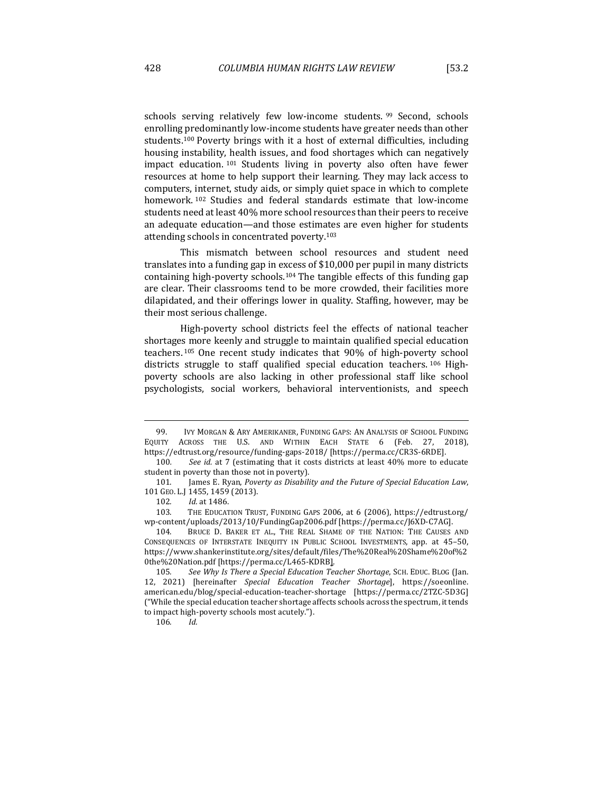schools serving relatively few low-income students. <sup>99</sup> Second, schools enrolling predominantly low-income students have greater needs than other students.<sup>100</sup> Poverty brings with it a host of external difficulties, including housing instability, health issues, and food shortages which can negatively impact education. <sup>101</sup> Students living in poverty also often have fewer resources at home to help support their learning. They may lack access to computers, internet, study aids, or simply quiet space in which to complete homework. <sup>102</sup> Studies and federal standards estimate that low-income students need at least 40% more school resources than their peers to receive an adequate education—and those estimates are even higher for students attending schools in concentrated poverty.<sup>103</sup>

This mismatch between school resources and student need translates into a funding gap in excess of \$10,000 per pupil in many districts containing high-poverty schools.<sup>104</sup> The tangible effects of this funding gap are clear. Their classrooms tend to be more crowded, their facilities more dilapidated, and their offerings lower in quality. Staffing, however, may be their most serious challenge.

High-poverty school districts feel the effects of national teacher shortages more keenly and struggle to maintain qualified special education teachers.<sup>105</sup> One recent study indicates that 90% of high-poverty school districts struggle to staff qualified special education teachers. 106 Highpoverty schools are also lacking in other professional staff like school psychologists, social workers, behavioral interventionists, and speech

<sup>99.</sup> IVY MORGAN & ARY AMERIKANER, FUNDING GAPS: AN ANALYSIS OF SCHOOL FUNDING EQUITY ACROSS THE U.S. AND WITHIN EACH STATE 6 (Feb. 27, 2018), https://edtrust.org/resource/funding-gaps-2018/ [https://perma.cc/CR3S-6RDE].

<sup>100.</sup> See id. at 7 (estimating that it costs districts at least 40% more to educate student in poverty than those not in poverty).

<sup>101.</sup> James E. Ryan, *Poverty as Disability and the Future of Special Education Law*, 101 GEO. L.J 1455, 1459 (2013).

<sup>102.</sup> *Id.* at 1486.

<sup>103.</sup> THE EDUCATION TRUST, FUNDING GAPS 2006, at 6 (2006), https://edtrust.org/ wp-content/uploads/2013/10/FundingGap2006.pdf [https://perma.cc/J6XD-C7AG].

<sup>104.</sup> BRUCE D. BAKER ET AL., THE REAL SHAME OF THE NATION: THE CAUSES AND CONSEQUENCES OF INTERSTATE INEQUITY IN PUBLIC SCHOOL INVESTMENTS, app. at 45-50, https://www.shankerinstitute.org/sites/default/files/The%20Real%20Shame%20of%2 0the%20Nation.pdf [https://perma.cc/L465-KDRB].

<sup>105.</sup> See Why Is There a Special Education Teacher Shortage, SCH. EDUC. BLOG (Jan. 12, 2021) [hereinafter *Special Education Teacher Shortage*], https://soeonline. american.edu/blog/special-education-teacher-shortage [https://perma.cc/2TZC-5D3G] ("While the special education teacher shortage affects schools across the spectrum, it tends to impact high-poverty schools most acutely.").

<sup>106</sup>*. Id.*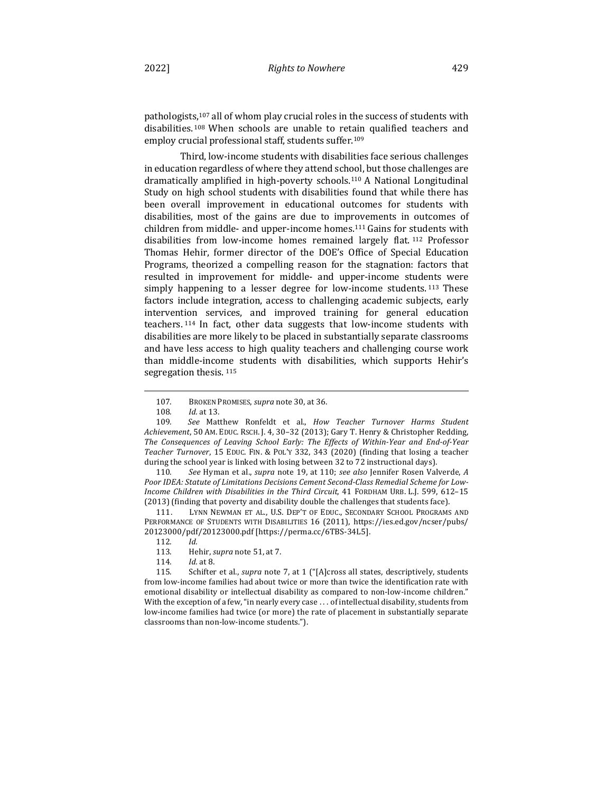pathologists,<sup>107</sup> all of whom play crucial roles in the success of students with disabilities.<sup>108</sup> When schools are unable to retain qualified teachers and employ crucial professional staff, students suffer.<sup>109</sup>

Third, low-income students with disabilities face serious challenges in education regardless of where they attend school, but those challenges are dramatically amplified in high-poverty schools.<sup>110</sup> A National Longitudinal Study on high school students with disabilities found that while there has been overall improvement in educational outcomes for students with disabilities, most of the gains are due to improvements in outcomes of children from middle- and upper-income homes.<sup>111</sup> Gains for students with disabilities from low-income homes remained largely flat. <sup>112</sup> Professor Thomas Hehir, former director of the DOE's Office of Special Education Programs, theorized a compelling reason for the stagnation: factors that resulted in improvement for middle- and upper-income students were simply happening to a lesser degree for low-income students.<sup>113</sup> These factors include integration, access to challenging academic subjects, early intervention services, and improved training for general education teachers.<sup>114</sup> In fact, other data suggests that low-income students with disabilities are more likely to be placed in substantially separate classrooms and have less access to high quality teachers and challenging course work than middle-income students with disabilities, which supports Hehir's segregation thesis.<sup>115</sup>

<sup>107.</sup> BROKEN PROMISES, *supra* note 30, at 36.

<sup>108.</sup> *Id.* at 13.

<sup>109.</sup> See Matthew Ronfeldt et al., *How Teacher Turnover Harms Student* Achievement, 50 AM. EDUC. RSCH. J. 4, 30-32 (2013); Gary T. Henry & Christopher Redding, The Consequences of Leaving School Early: The Effects of Within-Year and End-of-Year Teacher Turnover, 15 EDUC. FIN. & POL'Y 332, 343 (2020) (finding that losing a teacher during the school year is linked with losing between 32 to 72 instructional days).

<sup>110.</sup> See Hyman et al., *supra* note 19, at 110; see also Jennifer Rosen Valverde, *A* Poor IDEA: Statute of Limitations Decisions Cement Second-Class Remedial Scheme for Low-*Income Children with Disabilities in the Third Circuit*, 41 FORDHAM URB. L.J. 599, 612-15 (2013) (finding that poverty and disability double the challenges that students face).

<sup>111.</sup> LYNN NEWMAN ET AL., U.S. DEP'T OF EDUC., SECONDARY SCHOOL PROGRAMS AND PERFORMANCE OF STUDENTS WITH DISABILITIES 16 (2011), https://ies.ed.gov/ncser/pubs/ 20123000/pdf/20123000.pdf [https://perma.cc/6TBS-34L5].

<sup>112</sup>*. Id.*

<sup>113.</sup> Hehir, *supra* note 51, at 7.

<sup>114</sup>*. Id.* at 8.

<sup>115.</sup> Schifter et al., *supra* note 7, at 1 ("[A]cross all states, descriptively, students from low-income families had about twice or more than twice the identification rate with emotional disability or intellectual disability as compared to non-low-income children." With the exception of a few, "in nearly every case  $\dots$  of intellectual disability, students from low-income families had twice (or more) the rate of placement in substantially separate classrooms than non-low-income students.").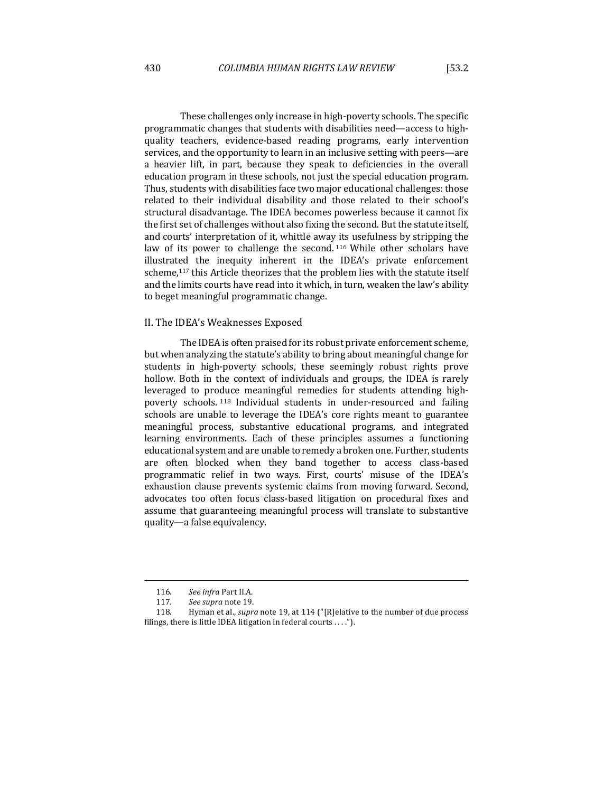These challenges only increase in high-poverty schools. The specific programmatic changes that students with disabilities need—access to highquality teachers, evidence-based reading programs, early intervention services, and the opportunity to learn in an inclusive setting with peers—are a heavier lift, in part, because they speak to deficiencies in the overall education program in these schools, not just the special education program. Thus, students with disabilities face two major educational challenges: those related to their individual disability and those related to their school's structural disadvantage. The IDEA becomes powerless because it cannot fix the first set of challenges without also fixing the second. But the statute itself, and courts' interpretation of it, whittle away its usefulness by stripping the law of its power to challenge the second. 116 While other scholars have illustrated the inequity inherent in the IDEA's private enforcement scheme,<sup>117</sup> this Article theorizes that the problem lies with the statute itself and the limits courts have read into it which, in turn, weaken the law's ability to beget meaningful programmatic change.

#### II. The IDEA's Weaknesses Exposed

The IDEA is often praised for its robust private enforcement scheme, but when analyzing the statute's ability to bring about meaningful change for students in high-poverty schools, these seemingly robust rights prove hollow. Both in the context of individuals and groups, the IDEA is rarely leveraged to produce meaningful remedies for students attending highpoverty schools.<sup>118</sup> Individual students in under-resourced and failing schools are unable to leverage the IDEA's core rights meant to guarantee meaningful process, substantive educational programs, and integrated learning environments. Each of these principles assumes a functioning educational system and are unable to remedy a broken one. Further, students are often blocked when they band together to access class-based programmatic relief in two ways. First, courts' misuse of the IDEA's exhaustion clause prevents systemic claims from moving forward. Second, advocates too often focus class-based litigation on procedural fixes and assume that guaranteeing meaningful process will translate to substantive quality—a false equivalency.

<sup>116</sup>*. See infra* Part II.A.

<sup>117.</sup> See supra note 19.

<sup>118.</sup> Hyman et al., *supra* note 19, at 114 ("[R]elative to the number of due process filings, there is little IDEA litigation in federal courts  $\dots$ ").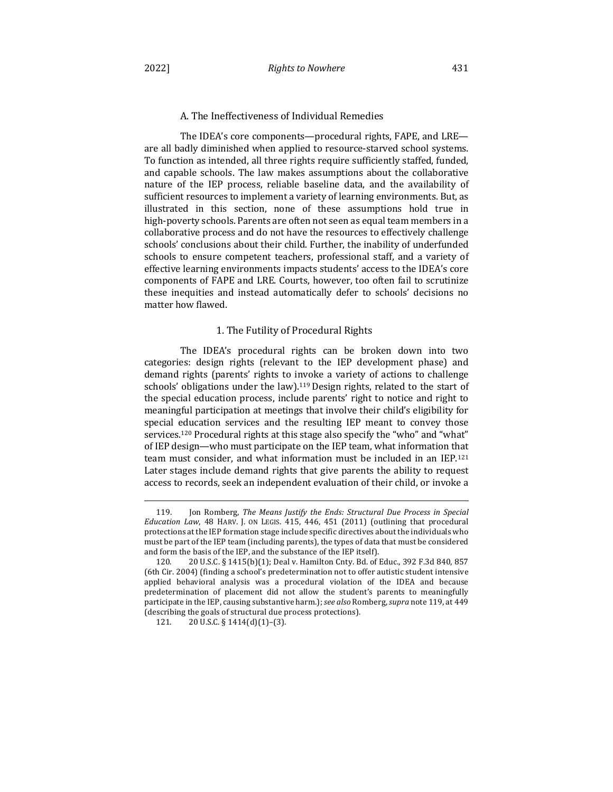## A. The Ineffectiveness of Individual Remedies

The IDEA's core components—procedural rights, FAPE, and LRE are all badly diminished when applied to resource-starved school systems. To function as intended, all three rights require sufficiently staffed, funded, and capable schools. The law makes assumptions about the collaborative nature of the IEP process, reliable baseline data, and the availability of sufficient resources to implement a variety of learning environments. But, as illustrated in this section, none of these assumptions hold true in high-poverty schools. Parents are often not seen as equal team members in a collaborative process and do not have the resources to effectively challenge schools' conclusions about their child. Further, the inability of underfunded schools to ensure competent teachers, professional staff, and a variety of effective learning environments impacts students' access to the IDEA's core components of FAPE and LRE. Courts, however, too often fail to scrutinize these inequities and instead automatically defer to schools' decisions no matter how flawed.

## 1. The Futility of Procedural Rights

The IDEA's procedural rights can be broken down into two categories: design rights (relevant to the IEP development phase) and demand rights (parents' rights to invoke a variety of actions to challenge schools' obligations under the law).<sup>119</sup> Design rights, related to the start of the special education process, include parents' right to notice and right to meaningful participation at meetings that involve their child's eligibility for special education services and the resulting IEP meant to convey those services.<sup>120</sup> Procedural rights at this stage also specify the "who" and "what" of IEP design—who must participate on the IEP team, what information that team must consider, and what information must be included in an  $\text{IEP}.121$ Later stages include demand rights that give parents the ability to request access to records, seek an independent evaluation of their child, or invoke a

<sup>119.</sup> Ion Romberg, *The Means Justify the Ends: Structural Due Process in Special Education Law*, 48 HARV. J. ON LEGIS. 415, 446, 451 (2011) (outlining that procedural protections at the IEP formation stage include specific directives about the individuals who must be part of the IEP team (including parents), the types of data that must be considered and form the basis of the IEP, and the substance of the IEP itself).

<sup>120. 20</sup> U.S.C. § 1415(b)(1); Deal v. Hamilton Cnty. Bd. of Educ., 392 F.3d 840, 857 (6th Cir. 2004) (finding a school's predetermination not to offer autistic student intensive applied behavioral analysis was a procedural violation of the IDEA and because predetermination of placement did not allow the student's parents to meaningfully participate in the IEP, causing substantive harm.); *see also* Romberg, *supra* note 119, at 449 (describing the goals of structural due process protections).

<sup>121.</sup>  $20 \text{ U.S.C.} \S 1414(d)(1)-(3)$ .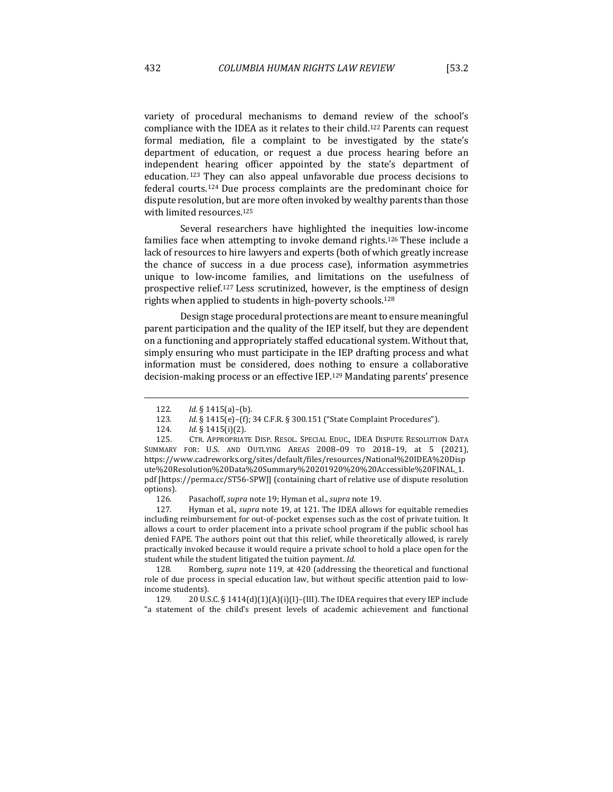variety of procedural mechanisms to demand review of the school's compliance with the IDEA as it relates to their child.<sup>122</sup> Parents can request formal mediation, file a complaint to be investigated by the state's department of education, or request a due process hearing before an independent hearing officer appointed by the state's department of education.<sup>123</sup> They can also appeal unfavorable due process decisions to federal courts.<sup>124</sup> Due process complaints are the predominant choice for dispute resolution, but are more often invoked by wealthy parents than those with limited resources.<sup>125</sup>

Several researchers have highlighted the inequities low-income families face when attempting to invoke demand rights.<sup>126</sup> These include a lack of resources to hire lawyers and experts (both of which greatly increase the chance of success in a due process case), information asymmetries unique to low-income families, and limitations on the usefulness of prospective relief.<sup>127</sup> Less scrutinized, however, is the emptiness of design rights when applied to students in high-poverty schools.<sup>128</sup>

Design stage procedural protections are meant to ensure meaningful parent participation and the quality of the IEP itself, but they are dependent on a functioning and appropriately staffed educational system. Without that, simply ensuring who must participate in the IEP drafting process and what information must be considered, does nothing to ensure a collaborative decision-making process or an effective IEP.<sup>129</sup> Mandating parents' presence

127. Hyman et al., *supra* note 19, at 121. The IDEA allows for equitable remedies including reimbursement for out-of-pocket expenses such as the cost of private tuition. It allows a court to order placement into a private school program if the public school has denied FAPE. The authors point out that this relief, while theoretically allowed, is rarely practically invoked because it would require a private school to hold a place open for the student while the student litigated the tuition payment. Id.

128. Romberg, *supra* note 119, at 420 (addressing the theoretical and functional role of due process in special education law, but without specific attention paid to lowincome students).

129.  $20 \text{ U.S.C.}$  § 1414(d)(1)(A)(i)(I)–(III). The IDEA requires that every IEP include "a statement of the child's present levels of academic achievement and functional

<sup>122.</sup>  *Id.* § 1415(a)–(b).

<sup>123.</sup> *Id.* § 1415(e)-(f); 34 C.F.R. § 300.151 ("State Complaint Procedures").

<sup>124.</sup>  *Id.* § 1415(i)(2).

<sup>125.</sup> CTR. APPROPRIATE DISP. RESOL. SPECIAL EDUC., IDEA DISPUTE RESOLUTION DATA SUMMARY FOR: U.S. AND OUTLYING AREAS 2008-09 TO 2018-19, at 5 (2021), https://www.cadreworks.org/sites/default/files/resources/National%20IDEA%20Disp ute%20Resolution%20Data%20Summary%20201920%20%20Accessible%20FINAL\_1. pdf [https://perma.cc/ST56-SPWJ] (containing chart of relative use of dispute resolution options).

<sup>126.</sup> Pasachoff, *supra* note 19; Hyman et al., *supra* note 19.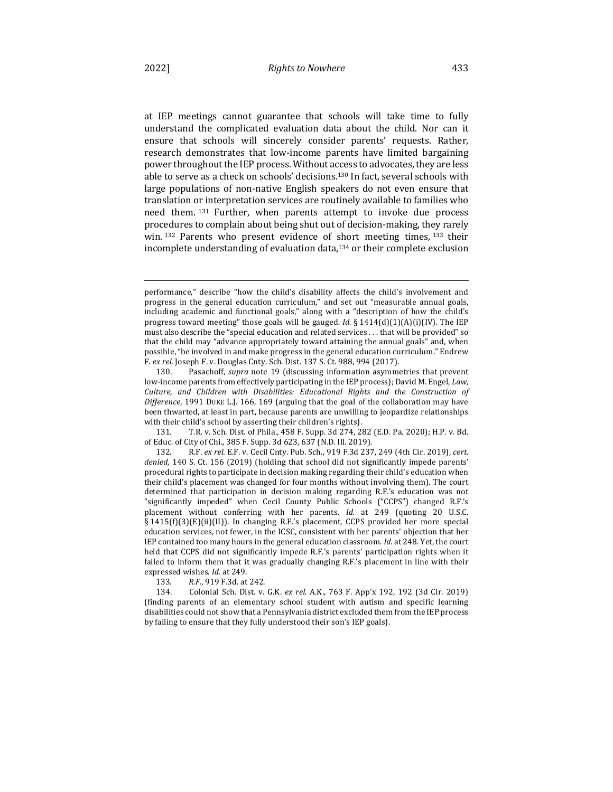at IEP meetings cannot guarantee that schools will take time to fully understand the complicated evaluation data about the child. Nor can it ensure that schools will sincerely consider parents' requests. Rather, research demonstrates that low-income parents have limited bargaining power throughout the IEP process. Without access to advocates, they are less able to serve as a check on schools' decisions.<sup>130</sup> In fact, several schools with large populations of non-native English speakers do not even ensure that translation or interpretation services are routinely available to families who need them. <sup>131</sup> Further, when parents attempt to invoke due process procedures to complain about being shut out of decision-making, they rarely win. 132 Parents who present evidence of short meeting times, 133 their incomplete understanding of evaluation data, $134$  or their complete exclusion

133*. R.F.*, 919 F.3d. at 242.

134. Colonial Sch. Dist. v. G.K. *ex rel.* A.K., 763 F. App'x 192, 192 (3d Cir. 2019) (finding parents of an elementary school student with autism and specific learning disabilities could not show that a Pennsylvania district excluded them from the IEP process by failing to ensure that they fully understood their son's IEP goals).

performance," describe "how the child's disability affects the child's involvement and progress in the general education curriculum," and set out "measurable annual goals, including academic and functional goals," along with a "description of how the child's progress toward meeting" those goals will be gauged. *Id.*  $\S 1414(d)(1)(A)(i)(IV)$ . The IEP must also describe the "special education and related services . . . that will be provided" so that the child may "advance appropriately toward attaining the annual goals" and, when possible, "be involved in and make progress in the general education curriculum." Endrew F. ex rel. Joseph F. v. Douglas Cnty. Sch. Dist. 137 S. Ct. 988, 994 (2017).

<sup>130.</sup> Pasachoff, *supra* note 19 (discussing information asymmetries that prevent low-income parents from effectively participating in the IEP process); David M. Engel, *Law*, *Culture, and Children with Disabilities: Educational Rights and the Construction of*  Difference, 1991 DUKE L.J. 166, 169 (arguing that the goal of the collaboration may have been thwarted, at least in part, because parents are unwilling to jeopardize relationships with their child's school by asserting their children's rights).

<sup>131.</sup> T.R. v. Sch. Dist. of Phila., 458 F. Supp. 3d 274, 282 (E.D. Pa. 2020); H.P. v. Bd. of Educ. of City of Chi., 385 F. Supp. 3d 623, 637 (N.D. Ill. 2019).

<sup>132.</sup> R.F. ex rel. E.F. v. Cecil Cnty. Pub. Sch., 919 F.3d 237, 249 (4th Cir. 2019), cert. denied, 140 S. Ct. 156 (2019) (holding that school did not significantly impede parents' procedural rights to participate in decision making regarding their child's education when their child's placement was changed for four months without involving them). The court determined that participation in decision making regarding R.F.'s education was not "significantly impeded" when Cecil County Public Schools ("CCPS") changed R.F.'s placement without conferring with her parents. *Id.* at 249 (quoting 20 U.S.C. § 1415(f)(3)(E)(ii)(II)). In changing R.F.'s placement, CCPS provided her more special education services, not fewer, in the ICSC, consistent with her parents' objection that her IEP contained too many hours in the general education classroom. *Id.* at 248. Yet, the court held that CCPS did not significantly impede R.F.'s parents' participation rights when it failed to inform them that it was gradually changing R.F.'s placement in line with their expressed wishes. *Id.* at 249.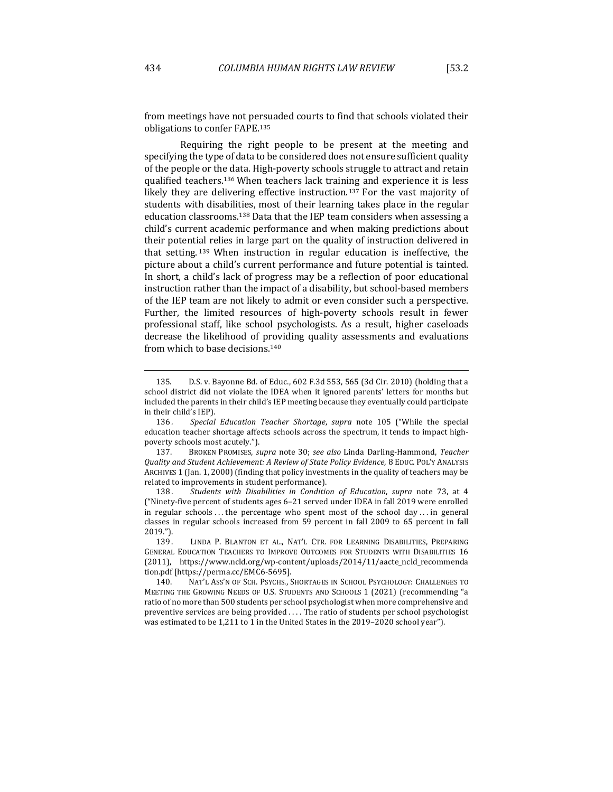from meetings have not persuaded courts to find that schools violated their obligations to confer FAPE.<sup>135</sup>

Requiring the right people to be present at the meeting and specifying the type of data to be considered does not ensure sufficient quality of the people or the data. High-poverty schools struggle to attract and retain qualified teachers.<sup>136</sup> When teachers lack training and experience it is less likely they are delivering effective instruction.<sup>137</sup> For the vast majority of students with disabilities, most of their learning takes place in the regular education classrooms.<sup>138</sup> Data that the IEP team considers when assessing a child's current academic performance and when making predictions about their potential relies in large part on the quality of instruction delivered in that setting.  $139$  When instruction in regular education is ineffective, the picture about a child's current performance and future potential is tainted. In short, a child's lack of progress may be a reflection of poor educational instruction rather than the impact of a disability, but school-based members of the IEP team are not likely to admit or even consider such a perspective. Further, the limited resources of high-poverty schools result in fewer professional staff, like school psychologists. As a result, higher caseloads decrease the likelihood of providing quality assessments and evaluations from which to base decisions.<sup>140</sup>

138. Students with Disabilities in Condition of Education, supra note 73, at 4 ("Ninety-five percent of students ages  $6-21$  served under IDEA in fall 2019 were enrolled in regular schools ... the percentage who spent most of the school day ... in general classes in regular schools increased from 59 percent in fall 2009 to 65 percent in fall 2019.").

<sup>135.</sup> D.S. v. Bayonne Bd. of Educ.,  $602$  F.3d 553, 565 (3d Cir. 2010) (holding that a school district did not violate the IDEA when it ignored parents' letters for months but included the parents in their child's IEP meeting because they eventually could participate in their child's IEP).

<sup>136.</sup> Special Education Teacher Shortage, supra note 105 ("While the special education teacher shortage affects schools across the spectrum, it tends to impact highpoverty schools most acutely.").

<sup>137.</sup> BROKEN PROMISES, *supra* note 30; *see also* Linda Darling-Hammond, *Teacher Quality and Student Achievement: A Review of State Policy Evidence*, 8 EDUC. POL'Y ANALYSIS ARCHIVES 1 (Jan. 1, 2000) (finding that policy investments in the quality of teachers may be related to improvements in student performance).

<sup>139.</sup> LINDA P. BLANTON ET AL., NAT'L CTR. FOR LEARNING DISABILITIES, PREPARING GENERAL EDUCATION TEACHERS TO IMPROVE OUTCOMES FOR STUDENTS WITH DISABILITIES 16 (2011), https://www.ncld.org/wp-content/uploads/2014/11/aacte\_ncld\_recommenda tion.pdf [https://perma.cc/EMC6-5695].

<sup>140.</sup> NAT'L ASS'N OF SCH. PSYCHS., SHORTAGES IN SCHOOL PSYCHOLOGY: CHALLENGES TO MEETING THE GROWING NEEDS OF U.S. STUDENTS AND SCHOOLS 1 (2021) (recommending "a ratio of no more than 500 students per school psychologist when more comprehensive and preventive services are being provided .... The ratio of students per school psychologist was estimated to be 1,211 to 1 in the United States in the 2019-2020 school year").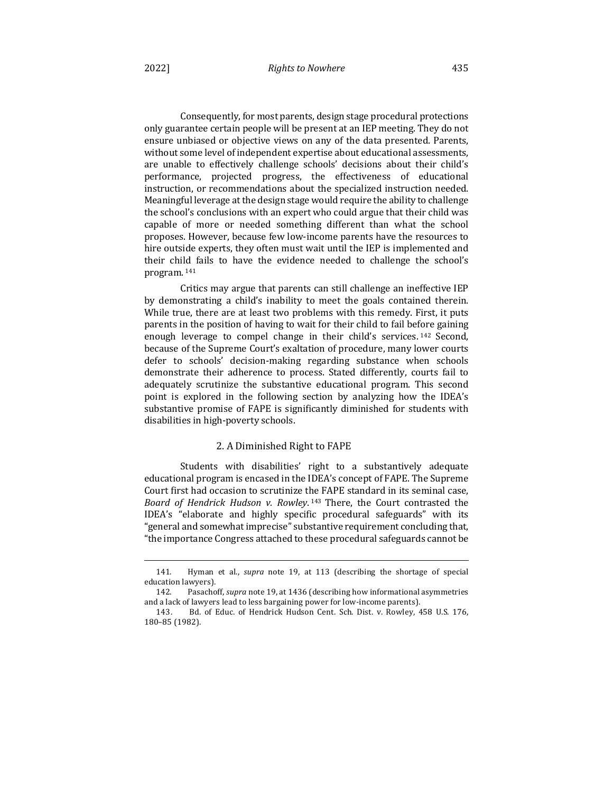Consequently, for most parents, design stage procedural protections only guarantee certain people will be present at an IEP meeting. They do not ensure unbiased or objective views on any of the data presented. Parents, without some level of independent expertise about educational assessments, are unable to effectively challenge schools' decisions about their child's performance, projected progress, the effectiveness of educational instruction, or recommendations about the specialized instruction needed. Meaningful leverage at the design stage would require the ability to challenge the school's conclusions with an expert who could argue that their child was capable of more or needed something different than what the school proposes. However, because few low-income parents have the resources to hire outside experts, they often must wait until the IEP is implemented and their child fails to have the evidence needed to challenge the school's program. <sup>141</sup>

Critics may argue that parents can still challenge an ineffective IEP by demonstrating a child's inability to meet the goals contained therein. While true, there are at least two problems with this remedy. First, it puts parents in the position of having to wait for their child to fail before gaining enough leverage to compel change in their child's services.  $142$  Second, because of the Supreme Court's exaltation of procedure, many lower courts defer to schools' decision-making regarding substance when schools demonstrate their adherence to process. Stated differently, courts fail to adequately scrutinize the substantive educational program. This second point is explored in the following section by analyzing how the IDEA's substantive promise of FAPE is significantly diminished for students with disabilities in high-poverty schools.

## 2. A Diminished Right to FAPE

Students with disabilities' right to a substantively adequate educational program is encased in the IDEA's concept of FAPE. The Supreme Court first had occasion to scrutinize the FAPE standard in its seminal case, *Board of Hendrick Hudson v. Rowley.* 143 There, the Court contrasted the IDEA's "elaborate and highly specific procedural safeguards" with its "general and somewhat imprecise" substantive requirement concluding that, "the importance Congress attached to these procedural safeguards cannot be

<sup>141.</sup> Hyman et al., *supra* note 19, at 113 (describing the shortage of special education lawyers).

<sup>142.</sup> Pasachoff, *supra* note 19, at 1436 (describing how informational asymmetries and a lack of lawyers lead to less bargaining power for low-income parents).

<sup>143.</sup> Bd. of Educ. of Hendrick Hudson Cent. Sch. Dist. v. Rowley, 458 U.S. 176, 180–85 (1982).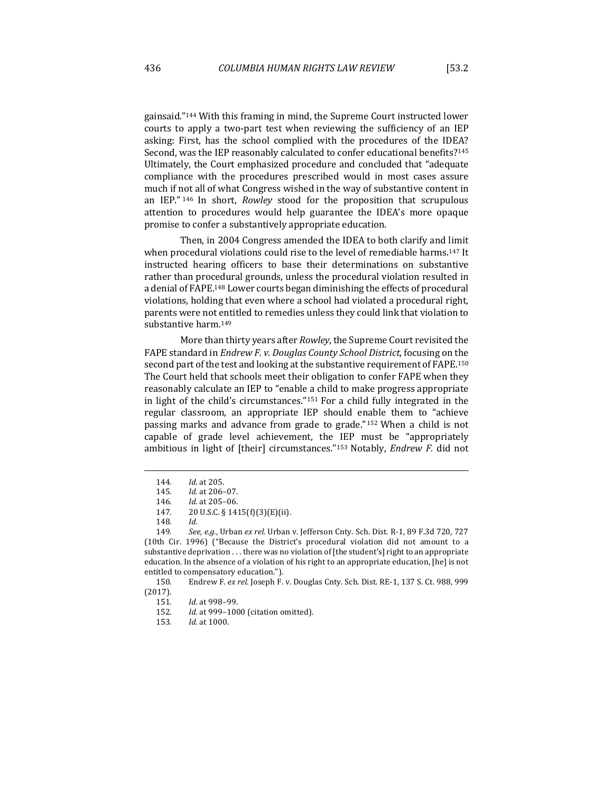gainsaid."<sup>144</sup> With this framing in mind, the Supreme Court instructed lower courts to apply a two-part test when reviewing the sufficiency of an IEP asking: First, has the school complied with the procedures of the IDEA? Second, was the IEP reasonably calculated to confer educational benefits?<sup>145</sup> Ultimately, the Court emphasized procedure and concluded that "adequate compliance with the procedures prescribed would in most cases assure much if not all of what Congress wished in the way of substantive content in an IEP."<sup>146</sup> In short, *Rowley* stood for the proposition that scrupulous attention to procedures would help guarantee the IDEA's more opaque promise to confer a substantively appropriate education.

Then, in 2004 Congress amended the IDEA to both clarify and limit when procedural violations could rise to the level of remediable harms.<sup>147</sup> It instructed hearing officers to base their determinations on substantive rather than procedural grounds, unless the procedural violation resulted in a denial of FAPE.<sup>148</sup> Lower courts began diminishing the effects of procedural violations, holding that even where a school had violated a procedural right, parents were not entitled to remedies unless they could link that violation to substantive harm.<sup>149</sup>

More than thirty years after *Rowley*, the Supreme Court revisited the FAPE standard in *Endrew F. v. Douglas County School District*, focusing on the second part of the test and looking at the substantive requirement of FAPE.<sup>150</sup> The Court held that schools meet their obligation to confer FAPE when they reasonably calculate an IEP to "enable a child to make progress appropriate in light of the child's circumstances."<sup>151</sup> For a child fully integrated in the regular classroom, an appropriate IEP should enable them to "achieve passing marks and advance from grade to grade."<sup>152</sup> When a child is not capable of grade level achievement, the IEP must be "appropriately ambitious in light of [their] circumstances."<sup>153</sup> Notably, *Endrew F.* did not

<sup>144.</sup> *Id.* at 205.

<sup>145</sup>*. Id.* at 206–07.

<sup>146.</sup> *Id.* at 205-06.

<sup>147. 20</sup> U.S.C. § 1415(f)(3)(E)(ii).

<sup>148</sup>*. Id.*

<sup>149.</sup> See, e.g., Urban ex rel. Urban v. Jefferson Cnty. Sch. Dist. R-1, 89 F.3d 720, 727 (10th Cir. 1996) ("Because the District's procedural violation did not amount to a substantive deprivation  $\dots$  there was no violation of [the student's] right to an appropriate education. In the absence of a violation of his right to an appropriate education, [he] is not entitled to compensatory education.").

<sup>150.</sup> Endrew F. ex rel. Joseph F. v. Douglas Cnty. Sch. Dist. RE-1, 137 S. Ct. 988, 999 (2017).

<sup>151</sup>*. Id.* at 998–99.

<sup>152</sup>*. Id.* at 999–1000 (citation omitted).

<sup>153.</sup> *Id.* at 1000.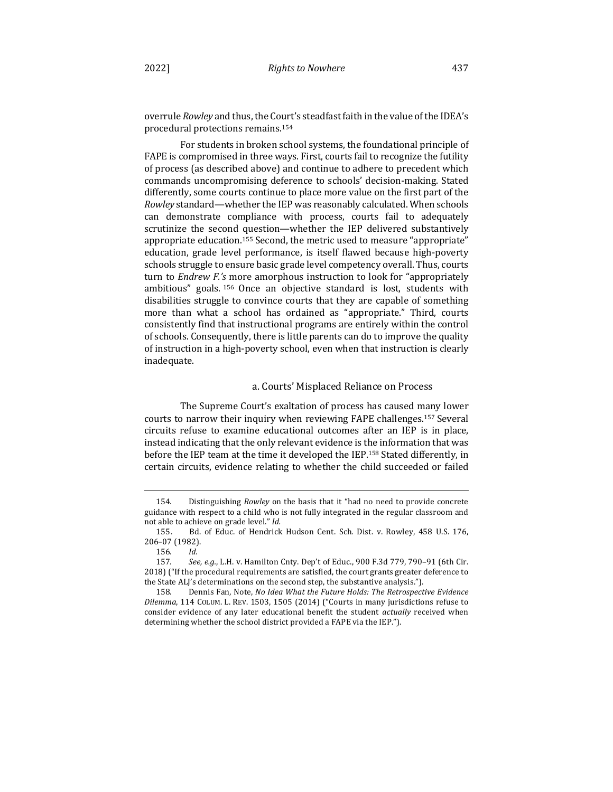overrule *Rowley* and thus, the Court's steadfast faith in the value of the IDEA's procedural protections remains.<sup>154</sup>

For students in broken school systems, the foundational principle of FAPE is compromised in three ways. First, courts fail to recognize the futility of process (as described above) and continue to adhere to precedent which commands uncompromising deference to schools' decision-making. Stated differently, some courts continue to place more value on the first part of the *Rowley* standard—whether the IEP was reasonably calculated. When schools can demonstrate compliance with process, courts fail to adequately scrutinize the second question—whether the IEP delivered substantively appropriate education.<sup>155</sup> Second, the metric used to measure "appropriate" education, grade level performance, is itself flawed because high-poverty schools struggle to ensure basic grade level competency overall. Thus, courts turn to *Endrew F.'s* more amorphous instruction to look for "appropriately ambitious" goals. 156 Once an objective standard is lost, students with disabilities struggle to convince courts that they are capable of something more than what a school has ordained as "appropriate." Third, courts consistently find that instructional programs are entirely within the control of schools. Consequently, there is little parents can do to improve the quality of instruction in a high-poverty school, even when that instruction is clearly inadequate.

### a. Courts' Misplaced Reliance on Process

The Supreme Court's exaltation of process has caused many lower courts to narrow their inquiry when reviewing FAPE challenges.<sup>157</sup> Several circuits refuse to examine educational outcomes after an IEP is in place, instead indicating that the only relevant evidence is the information that was before the IEP team at the time it developed the IEP.<sup>158</sup> Stated differently, in certain circuits, evidence relating to whether the child succeeded or failed

<sup>154.</sup> Distinguishing *Rowley* on the basis that it "had no need to provide concrete guidance with respect to a child who is not fully integrated in the regular classroom and not able to achieve on grade level." Id.

<sup>155.</sup> Bd. of Educ. of Hendrick Hudson Cent. Sch. Dist. v. Rowley, 458 U.S. 176, 206–07 (1982).

<sup>156</sup>*. Id.*

<sup>157.</sup> See, e.g., L.H. v. Hamilton Cnty. Dep't of Educ., 900 F.3d 779, 790-91 (6th Cir. 2018) ("If the procedural requirements are satisfied, the court grants greater deference to the State ALJ's determinations on the second step, the substantive analysis.").

<sup>158.</sup> Dennis Fan, Note, *No Idea What the Future Holds: The Retrospective Evidence Dilemma*, 114 COLUM. L. REV. 1503, 1505 (2014) ("Courts in many jurisdictions refuse to consider evidence of any later educational benefit the student *actually* received when determining whether the school district provided a FAPE via the IEP.").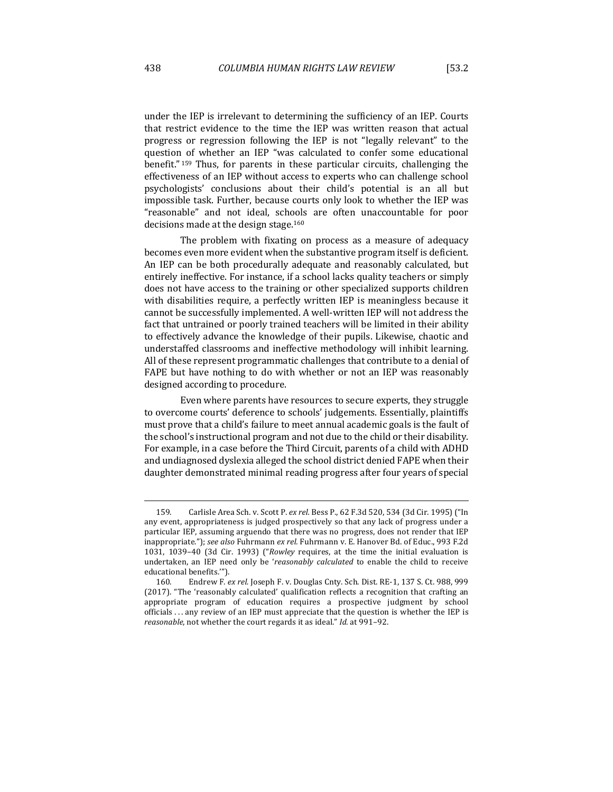under the IEP is irrelevant to determining the sufficiency of an IEP. Courts that restrict evidence to the time the IEP was written reason that actual progress or regression following the IEP is not "legally relevant" to the question of whether an IEP "was calculated to confer some educational benefit."<sup>159</sup> Thus, for parents in these particular circuits, challenging the effectiveness of an IEP without access to experts who can challenge school psychologists' conclusions about their child's potential is an all but impossible task. Further, because courts only look to whether the IEP was "reasonable" and not ideal, schools are often unaccountable for poor decisions made at the design stage.<sup>160</sup>

The problem with fixating on process as a measure of adequacy becomes even more evident when the substantive program itself is deficient. An IEP can be both procedurally adequate and reasonably calculated, but entirely ineffective. For instance, if a school lacks quality teachers or simply does not have access to the training or other specialized supports children with disabilities require, a perfectly written IEP is meaningless because it cannot be successfully implemented. A well-written IEP will not address the fact that untrained or poorly trained teachers will be limited in their ability to effectively advance the knowledge of their pupils. Likewise, chaotic and understaffed classrooms and ineffective methodology will inhibit learning. All of these represent programmatic challenges that contribute to a denial of FAPE but have nothing to do with whether or not an IEP was reasonably designed according to procedure.

Even where parents have resources to secure experts, they struggle to overcome courts' deference to schools' judgements. Essentially, plaintiffs must prove that a child's failure to meet annual academic goals is the fault of the school's instructional program and not due to the child or their disability. For example, in a case before the Third Circuit, parents of a child with ADHD and undiagnosed dyslexia alleged the school district denied FAPE when their daughter demonstrated minimal reading progress after four years of special

<sup>159.</sup> Carlisle Area Sch. v. Scott P. ex rel. Bess P., 62 F.3d 520, 534 (3d Cir. 1995) ("In any event, appropriateness is judged prospectively so that any lack of progress under a particular IEP, assuming arguendo that there was no progress, does not render that IEP inappropriate."); see also Fuhrmann ex rel. Fuhrmann v. E. Hanover Bd. of Educ., 993 F.2d 1031, 1039-40 (3d Cir. 1993) ("*Rowley* requires, at the time the initial evaluation is undertaken, an IEP need only be 'reasonably calculated to enable the child to receive educational benefits."").

<sup>160.</sup> Endrew F. ex rel. Joseph F. v. Douglas Cnty. Sch. Dist. RE-1, 137 S. Ct. 988, 999 (2017). "The 'reasonably calculated' qualification reflects a recognition that crafting an appropriate program of education requires a prospective judgment by school officials . . . any review of an IEP must appreciate that the question is whether the IEP is *reasonable*, not whether the court regards it as ideal." Id. at 991-92.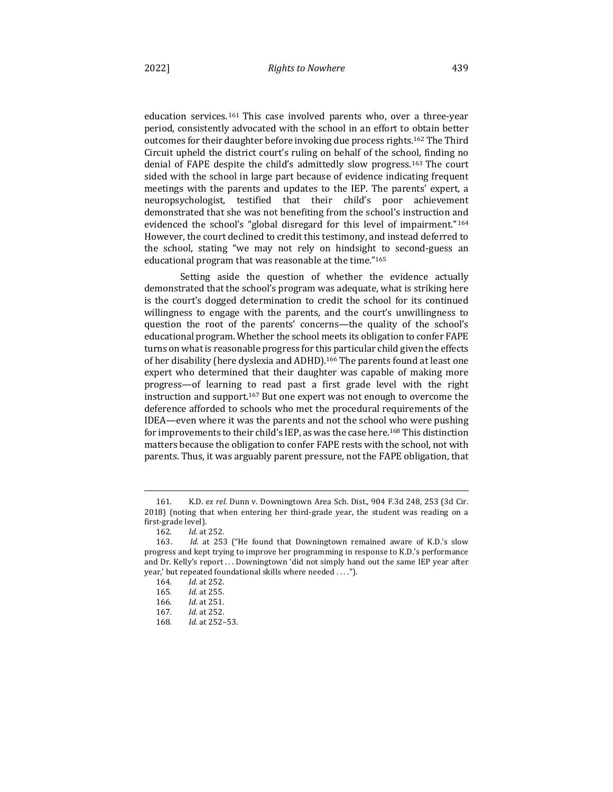education services.<sup>161</sup> This case involved parents who, over a three-year period, consistently advocated with the school in an effort to obtain better outcomes for their daughter before invoking due process rights.<sup>162</sup> The Third Circuit upheld the district court's ruling on behalf of the school, finding no denial of FAPE despite the child's admittedly slow progress.<sup>163</sup> The court sided with the school in large part because of evidence indicating frequent meetings with the parents and updates to the IEP. The parents' expert, a neuropsychologist, testified that their child's poor achievement demonstrated that she was not benefiting from the school's instruction and evidenced the school's "global disregard for this level of impairment."<sup>164</sup> However, the court declined to credit this testimony, and instead deferred to the school, stating "we may not rely on hindsight to second-guess an educational program that was reasonable at the time."<sup>165</sup>

Setting aside the question of whether the evidence actually demonstrated that the school's program was adequate, what is striking here is the court's dogged determination to credit the school for its continued willingness to engage with the parents, and the court's unwillingness to question the root of the parents' concerns—the quality of the school's educational program. Whether the school meets its obligation to confer FAPE turns on what is reasonable progress for this particular child given the effects of her disability (here dyslexia and ADHD).<sup>166</sup> The parents found at least one expert who determined that their daughter was capable of making more progress—of learning to read past a first grade level with the right instruction and support.<sup>167</sup> But one expert was not enough to overcome the deference afforded to schools who met the procedural requirements of the IDEA—even where it was the parents and not the school who were pushing for improvements to their child's IEP, as was the case here.<sup>168</sup> This distinction matters because the obligation to confer FAPE rests with the school, not with parents. Thus, it was arguably parent pressure, not the FAPE obligation, that

<sup>161.</sup> K.D. *ex rel.* Dunn v. Downingtown Area Sch. Dist., 904 F.3d 248, 253 (3d Cir. 2018) (noting that when entering her third-grade year, the student was reading on a first-grade level).

<sup>162</sup>*. Id.* at 252.

<sup>163.</sup> *Id.* at 253 ("He found that Downingtown remained aware of K.D.'s slow progress and kept trying to improve her programming in response to K.D.'s performance and Dr. Kelly's report . . . Downingtown 'did not simply hand out the same IEP year after year,' but repeated foundational skills where needed . . . .").

<sup>164.</sup> *Id.* at 252.

<sup>165</sup>*. Id.* at 255.

<sup>166</sup>*. Id.* at 251.

<sup>167</sup>*. Id.* at 252.

<sup>168</sup>*. Id.* at 252–53.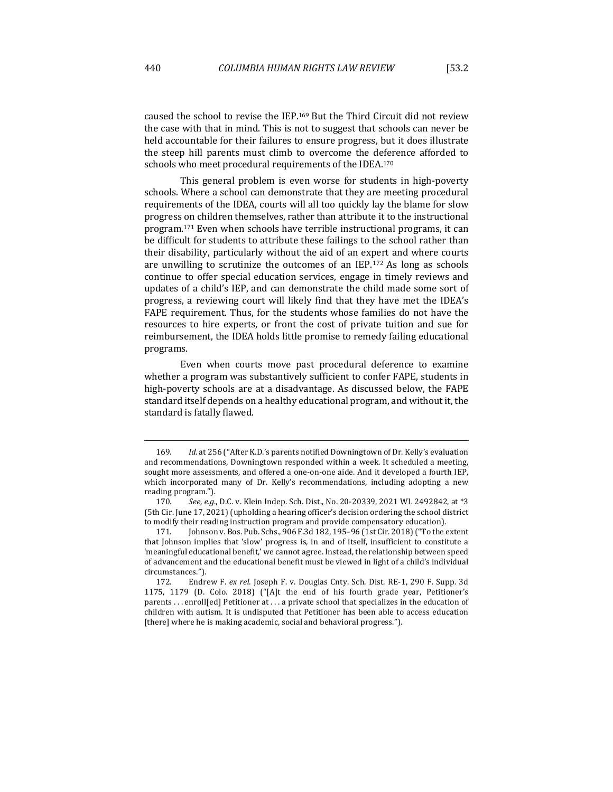schools who meet procedural requirements of the IDEA.<sup>170</sup>

caused the school to revise the IEP.<sup>169</sup> But the Third Circuit did not review the case with that in mind. This is not to suggest that schools can never be held accountable for their failures to ensure progress, but it does illustrate the steep hill parents must climb to overcome the deference afforded to

This general problem is even worse for students in high-poverty schools. Where a school can demonstrate that they are meeting procedural requirements of the IDEA, courts will all too quickly lay the blame for slow progress on children themselves, rather than attribute it to the instructional program.<sup>171</sup> Even when schools have terrible instructional programs, it can be difficult for students to attribute these failings to the school rather than their disability, particularly without the aid of an expert and where courts are unwilling to scrutinize the outcomes of an IEP.<sup>172</sup> As long as schools continue to offer special education services, engage in timely reviews and updates of a child's IEP, and can demonstrate the child made some sort of progress, a reviewing court will likely find that they have met the IDEA's FAPE requirement. Thus, for the students whose families do not have the resources to hire experts, or front the cost of private tuition and sue for reimbursement, the IDEA holds little promise to remedy failing educational programs.

Even when courts move past procedural deference to examine whether a program was substantively sufficient to confer FAPE, students in high-poverty schools are at a disadvantage. As discussed below, the FAPE standard itself depends on a healthy educational program, and without it, the standard is fatally flawed.

<sup>169.</sup> *Id.* at 256 ("After K.D.'s parents notified Downingtown of Dr. Kelly's evaluation and recommendations, Downingtown responded within a week. It scheduled a meeting, sought more assessments, and offered a one-on-one aide. And it developed a fourth IEP, which incorporated many of Dr. Kelly's recommendations, including adopting a new reading program.").

<sup>170.</sup> *See, e.g.*, D.C. v. Klein Indep. Sch. Dist., No. 20-20339, 2021 WL 2492842, at \*3 (5th Cir. June 17, 2021) (upholding a hearing officer's decision ordering the school district to modify their reading instruction program and provide compensatory education).

<sup>171.</sup> Johnson v. Bos. Pub. Schs., 906 F.3d 182, 195-96 (1st Cir. 2018) ("To the extent that Johnson implies that 'slow' progress is, in and of itself, insufficient to constitute a 'meaningful educational benefit,' we cannot agree. Instead, the relationship between speed of advancement and the educational benefit must be viewed in light of a child's individual circumstances.").

<sup>172.</sup> Endrew F. ex rel. Joseph F. v. Douglas Cnty. Sch. Dist. RE-1, 290 F. Supp. 3d 1175, 1179 (D. Colo. 2018) ("[A]t the end of his fourth grade year, Petitioner's parents  $\dots$  enroll [ed] Petitioner at  $\dots$  a private school that specializes in the education of children with autism. It is undisputed that Petitioner has been able to access education [there] where he is making academic, social and behavioral progress."].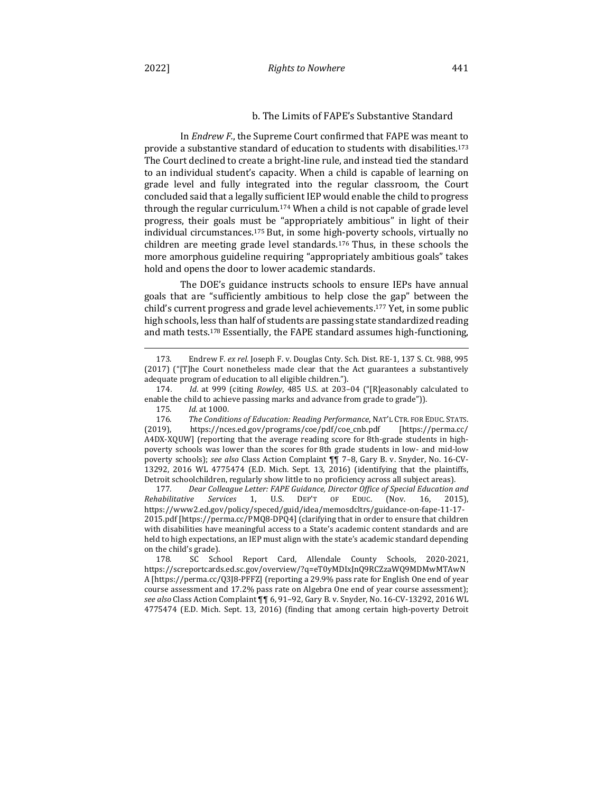In *Endrew F.*, the Supreme Court confirmed that FAPE was meant to provide a substantive standard of education to students with disabilities.<sup>173</sup> The Court declined to create a bright-line rule, and instead tied the standard to an individual student's capacity. When a child is capable of learning on grade level and fully integrated into the regular classroom, the Court concluded said that a legally sufficient IEP would enable the child to progress through the regular curriculum.<sup>174</sup> When a child is not capable of grade level progress, their goals must be "appropriately ambitious" in light of their individual circumstances.<sup>175</sup> But, in some high-poverty schools, virtually no children are meeting grade level standards.  $176$  Thus, in these schools the more amorphous guideline requiring "appropriately ambitious goals" takes hold and opens the door to lower academic standards.

The DOE's guidance instructs schools to ensure IEPs have annual goals that are "sufficiently ambitious to help close the gap" between the child's current progress and grade level achievements.<sup>177</sup> Yet, in some public high schools, less than half of students are passing state standardized reading and math tests.<sup>178</sup> Essentially, the FAPE standard assumes high-functioning,

Detroit schoolchildren, regularly show little to no proficiency across all subject areas).<br>177. Dear Colleague Letter: FAPE Guidance, Director Office of Special Education of Dear Colleague Letter: FAPE Guidance, Director Office of Special Education and *Rehabilitative Services* 1, U.S. DEP'T OF EDUC. (Nov. 16, 2015), https://www2.ed.gov/policy/speced/guid/idea/memosdcltrs/guidance-on-fape-11-17- 2015.pdf [https://perma.cc/PMQ8-DPQ4] (clarifying that in order to ensure that children with disabilities have meaningful access to a State's academic content standards and are held to high expectations, an IEP must align with the state's academic standard depending on the child's grade).

178. SC School Report Card, Allendale County Schools, 2020-2021, https://screportcards.ed.sc.gov/overview/?q=eT0yMDIxJnQ9RCZzaWQ9MDMwMTAwN A [https://perma.cc/Q3J8-PFFZ] (reporting a 29.9% pass rate for English One end of year course assessment and 17.2% pass rate on Algebra One end of year course assessment); *see also* Class Action Complaint ¶¶ 6, 91–92, Gary B. v. Snyder, No. 16-CV-13292, 2016 WL 4775474 (E.D. Mich. Sept. 13, 2016) (finding that among certain high-poverty Detroit

<sup>173.</sup> Endrew F. *ex rel.* Joseph F. v. Douglas Cnty. Sch. Dist. RE-1, 137 S. Ct. 988, 995  $(2017)$  ("[T]he Court nonetheless made clear that the Act guarantees a substantively adequate program of education to all eligible children.").

<sup>174.</sup> *Id.* at 999 (citing *Rowley*, 485 U.S. at 203-04 ("[R]easonably calculated to enable the child to achieve passing marks and advance from grade to grade")).

<sup>175</sup>*. Id.* at 1000.

<sup>176.</sup> The Conditions of Education: Reading Performance, NAT'L CTR. FOR EDUC. STATS. (2019), https://nces.ed.gov/programs/coe/pdf/coe\_cnb.pdf [https://perma.cc/ A4DX-XQUW] (reporting that the average reading score for 8th-grade students in highpoverty schools was lower than the scores for 8th grade students in low- and mid-low poverty schools); see also Class Action Complaint  $\P$ <sub>1</sub> 7–8, Gary B. v. Snyder, No. 16-CV-13292, 2016 WL 4775474 (E.D. Mich. Sept. 13, 2016) (identifying that the plaintiffs,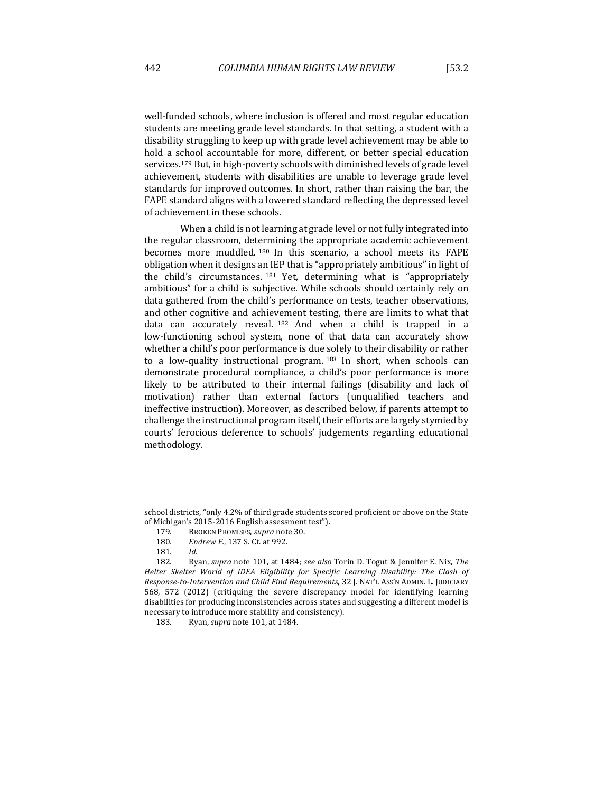students are meeting grade level standards. In that setting, a student with a disability struggling to keep up with grade level achievement may be able to hold a school accountable for more, different, or better special education services.<sup>179</sup> But, in high-poverty schools with diminished levels of grade level achievement, students with disabilities are unable to leverage grade level standards for improved outcomes. In short, rather than raising the bar, the FAPE standard aligns with a lowered standard reflecting the depressed level of achievement in these schools.

When a child is not learning at grade level or not fully integrated into the regular classroom, determining the appropriate academic achievement becomes more muddled. 180 In this scenario, a school meets its FAPE obligation when it designs an IEP that is "appropriately ambitious" in light of the child's circumstances.  $181$  Yet, determining what is "appropriately ambitious" for a child is subjective. While schools should certainly rely on data gathered from the child's performance on tests, teacher observations, and other cognitive and achievement testing, there are limits to what that data can accurately reveal.  $182$  And when a child is trapped in a low-functioning school system, none of that data can accurately show whether a child's poor performance is due solely to their disability or rather to a low-quality instructional program. 183 In short, when schools can demonstrate procedural compliance, a child's poor performance is more likely to be attributed to their internal failings (disability and lack of motivation) rather than external factors (unqualified teachers and ineffective instruction). Moreover, as described below, if parents attempt to challenge the instructional program itself, their efforts are largely stymied by courts' ferocious deference to schools' judgements regarding educational methodology.

school districts, "only 4.2% of third grade students scored proficient or above on the State of Michigan's 2015-2016 English assessment test").

<sup>179.</sup> BROKEN PROMISES, *supra* note 30.

<sup>180.</sup> Endrew F., 137 S. Ct. at 992.

<sup>181</sup>*. Id.*

<sup>182.</sup> Ryan, *supra* note 101, at 1484; *see also* Torin D. Togut & Jennifer E. Nix, The Helter Skelter World of IDEA Eligibility for Specific Learning Disability: The Clash of *Response-to-Intervention and Child Find Requirements*, 32 J. NAT'L ASS'N ADMIN. L. JUDICIARY 568, 572 (2012) (critiquing the severe discrepancy model for identifying learning disabilities for producing inconsistencies across states and suggesting a different model is necessary to introduce more stability and consistency).

<sup>183.</sup> Ryan, *supra* note 101, at 1484.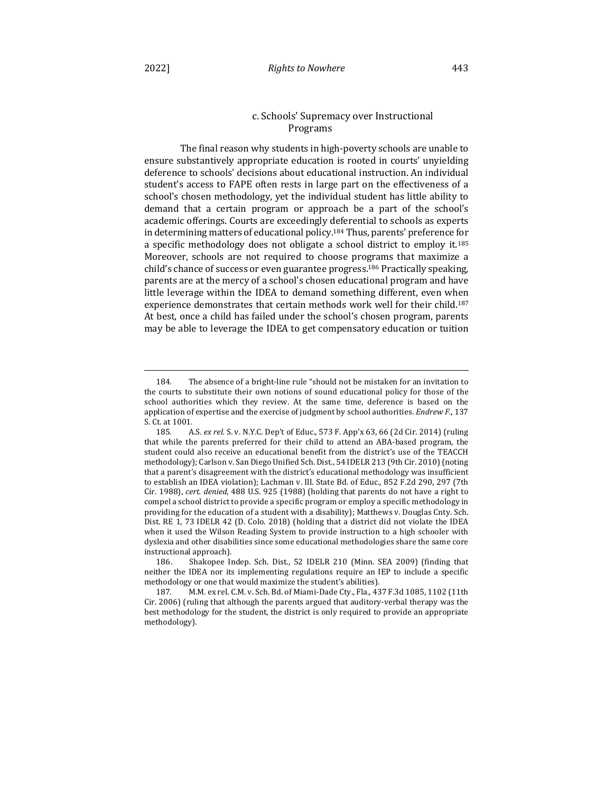## Programs

The final reason why students in high-poverty schools are unable to ensure substantively appropriate education is rooted in courts' unyielding deference to schools' decisions about educational instruction. An individual student's access to FAPE often rests in large part on the effectiveness of a school's chosen methodology, yet the individual student has little ability to demand that a certain program or approach be a part of the school's academic offerings. Courts are exceedingly deferential to schools as experts in determining matters of educational policy.<sup>184</sup> Thus, parents' preference for a specific methodology does not obligate a school district to employ it.<sup>185</sup> Moreover, schools are not required to choose programs that maximize a child's chance of success or even guarantee progress.<sup>186</sup> Practically speaking, parents are at the mercy of a school's chosen educational program and have little leverage within the IDEA to demand something different, even when experience demonstrates that certain methods work well for their child.<sup>187</sup> At best, once a child has failed under the school's chosen program, parents may be able to leverage the IDEA to get compensatory education or tuition

<sup>184.</sup> The absence of a bright-line rule "should not be mistaken for an invitation to the courts to substitute their own notions of sound educational policy for those of the school authorities which they review. At the same time, deference is based on the application of expertise and the exercise of judgment by school authorities. *Endrew F.*, 137 S. Ct. at 1001.

<sup>185.</sup> A.S. ex rel. S. v. N.Y.C. Dep't of Educ., 573 F. App'x 63, 66 (2d Cir. 2014) (ruling that while the parents preferred for their child to attend an ABA-based program, the student could also receive an educational benefit from the district's use of the TEACCH methodology); Carlson v. San Diego Unified Sch. Dist., 54 IDELR 213 (9th Cir. 2010) (noting that a parent's disagreement with the district's educational methodology was insufficient to establish an IDEA violation); Lachman v. Ill. State Bd. of Educ., 852 F.2d 290, 297 (7th Cir. 1988), cert. denied, 488 U.S. 925 (1988) (holding that parents do not have a right to compel a school district to provide a specific program or employ a specific methodology in providing for the education of a student with a disability); Matthews v. Douglas Cnty. Sch. Dist. RE 1, 73 IDELR 42 (D. Colo. 2018) (holding that a district did not violate the IDEA when it used the Wilson Reading System to provide instruction to a high schooler with dyslexia and other disabilities since some educational methodologies share the same core instructional approach).

<sup>186.</sup> Shakopee Indep. Sch. Dist., 52 IDELR 210 (Minn. SEA 2009) (finding that neither the IDEA nor its implementing regulations require an IEP to include a specific methodology or one that would maximize the student's abilities).

<sup>187.</sup> M.M. ex rel. C.M. v. Sch. Bd. of Miami-Dade Cty., Fla., 437 F.3d 1085, 1102 (11th  $Cir. 2006$  (ruling that although the parents argued that auditory-verbal therapy was the best methodology for the student, the district is only required to provide an appropriate methodology).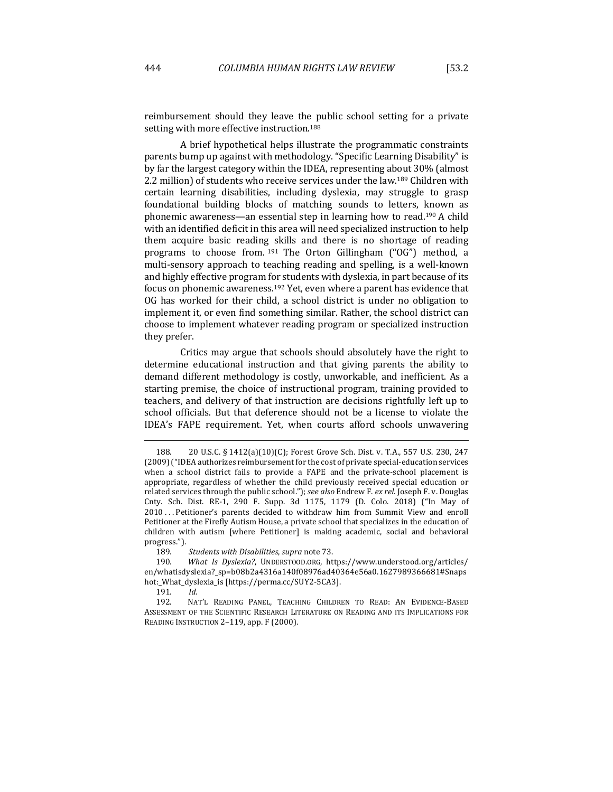reimbursement should they leave the public school setting for a private setting with more effective instruction.<sup>188</sup>

A brief hypothetical helps illustrate the programmatic constraints parents bump up against with methodology. "Specific Learning Disability" is by far the largest category within the IDEA, representing about 30% (almost 2.2 million) of students who receive services under the law.<sup>189</sup> Children with certain learning disabilities, including dyslexia, may struggle to grasp foundational building blocks of matching sounds to letters, known as phonemic awareness—an essential step in learning how to read.<sup>190</sup> A child with an identified deficit in this area will need specialized instruction to help them acquire basic reading skills and there is no shortage of reading programs to choose from. 191 The Orton Gillingham ("OG") method, a multi-sensory approach to teaching reading and spelling, is a well-known and highly effective program for students with dyslexia, in part because of its focus on phonemic awareness.<sup>192</sup> Yet, even where a parent has evidence that OG has worked for their child, a school district is under no obligation to implement it, or even find something similar. Rather, the school district can choose to implement whatever reading program or specialized instruction they prefer.

Critics may argue that schools should absolutely have the right to determine educational instruction and that giving parents the ability to demand different methodology is costly, unworkable, and inefficient. As a starting premise, the choice of instructional program, training provided to teachers, and delivery of that instruction are decisions rightfully left up to school officials. But that deference should not be a license to violate the IDEA's FAPE requirement. Yet, when courts afford schools unwavering

189*. Students with Disabilities*, *supra* note 73.

<sup>188. 20</sup> U.S.C. § 1412(a)(10)(C); Forest Grove Sch. Dist. v. T.A., 557 U.S. 230, 247 (2009) ("IDEA authorizes reimbursement for the cost of private special-education services when a school district fails to provide a FAPE and the private-school placement is appropriate, regardless of whether the child previously received special education or related services through the public school."); see also Endrew F. ex rel. Joseph F. v. Douglas Cnty. Sch. Dist. RE-1, 290 F. Supp. 3d 1175, 1179 (D. Colo. 2018) ("In May of 2010 ... Petitioner's parents decided to withdraw him from Summit View and enroll Petitioner at the Firefly Autism House, a private school that specializes in the education of children with autism [where Petitioner] is making academic, social and behavioral progress.").

<sup>190.</sup> *What Is Dyslexia?*, UNDERSTOOD.ORG, https://www.understood.org/articles/ en/whatisdyslexia?\_sp=b08b2a4316a140f08976ad40364e56a0.1627989366681#Snaps hot:\_What\_dyslexia\_is [https://perma.cc/SUY2-5CA3].

<sup>191</sup>*. Id.*

<sup>192.</sup> NAT'L READING PANEL, TEACHING CHILDREN TO READ: AN EVIDENCE-BASED ASSESSMENT OF THE SCIENTIFIC RESEARCH LITERATURE ON READING AND ITS IMPLICATIONS FOR READING INSTRUCTION 2-119, app. F (2000).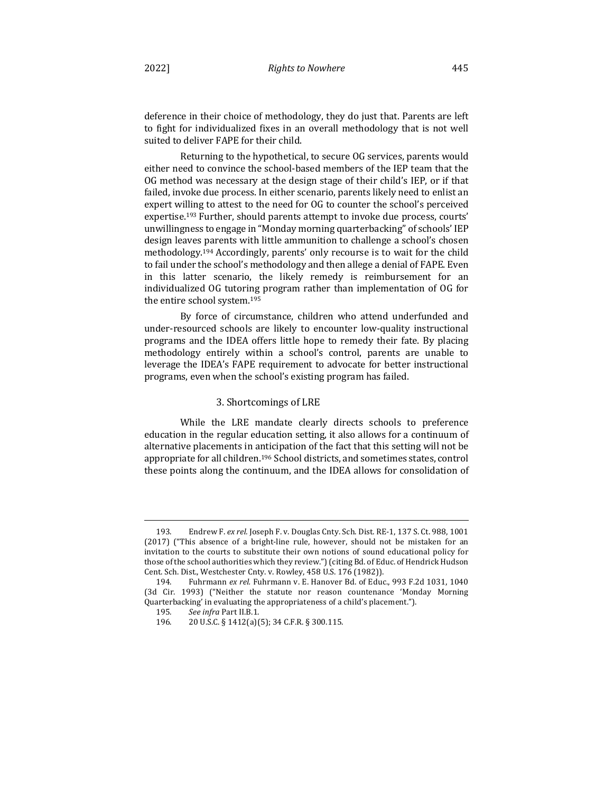deference in their choice of methodology, they do just that. Parents are left to fight for individualized fixes in an overall methodology that is not well suited to deliver FAPE for their child.

Returning to the hypothetical, to secure OG services, parents would either need to convince the school-based members of the IEP team that the OG method was necessary at the design stage of their child's IEP, or if that failed, invoke due process. In either scenario, parents likely need to enlist an expert willing to attest to the need for OG to counter the school's perceived expertise.<sup>193</sup> Further, should parents attempt to invoke due process, courts' unwillingness to engage in "Monday morning quarterbacking" of schools' IEP design leaves parents with little ammunition to challenge a school's chosen methodology.<sup>194</sup> Accordingly, parents' only recourse is to wait for the child to fail under the school's methodology and then allege a denial of FAPE. Even in this latter scenario, the likely remedy is reimbursement for an individualized OG tutoring program rather than implementation of OG for the entire school system.<sup>195</sup>

By force of circumstance, children who attend underfunded and under-resourced schools are likely to encounter low-quality instructional programs and the IDEA offers little hope to remedy their fate. By placing methodology entirely within a school's control, parents are unable to leverage the IDEA's FAPE requirement to advocate for better instructional programs, even when the school's existing program has failed.

## 3. Shortcomings of LRE

While the LRE mandate clearly directs schools to preference education in the regular education setting, it also allows for a continuum of alternative placements in anticipation of the fact that this setting will not be appropriate for all children.<sup>196</sup> School districts, and sometimes states, control these points along the continuum, and the IDEA allows for consolidation of

<sup>193.</sup> Endrew F. ex rel. Joseph F. v. Douglas Cnty. Sch. Dist. RE-1, 137 S. Ct. 988, 1001  $(2017)$  ("This absence of a bright-line rule, however, should not be mistaken for an invitation to the courts to substitute their own notions of sound educational policy for those of the school authorities which they review.") (citing Bd. of Educ. of Hendrick Hudson Cent. Sch. Dist., Westchester Cnty. v. Rowley, 458 U.S. 176 (1982)).

<sup>194.</sup> Fuhrmann ex rel. Fuhrmann v. E. Hanover Bd. of Educ., 993 F.2d 1031, 1040 (3d Cir. 1993) ("Neither the statute nor reason countenance 'Monday Morning Quarterbacking' in evaluating the appropriateness of a child's placement.").

<sup>195</sup>*. See infra* Part II.B.1.

<sup>196. 20</sup> U.S.C. § 1412(a)(5); 34 C.F.R. § 300.115.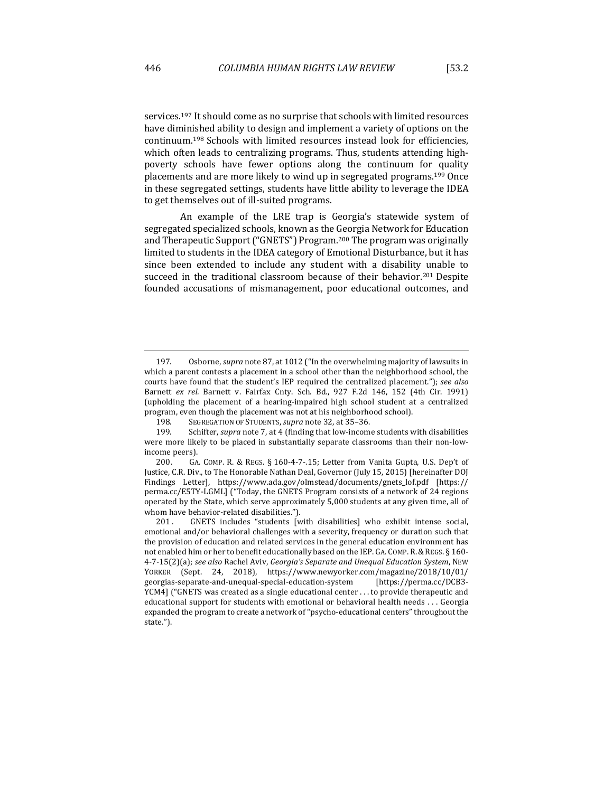services.<sup>197</sup> It should come as no surprise that schools with limited resources have diminished ability to design and implement a variety of options on the continuum.<sup>198</sup> Schools with limited resources instead look for efficiencies, which often leads to centralizing programs. Thus, students attending highpoverty schools have fewer options along the continuum for quality placements and are more likely to wind up in segregated programs.<sup>199</sup> Once in these segregated settings, students have little ability to leverage the IDEA to get themselves out of ill-suited programs.

An example of the LRE trap is Georgia's statewide system of segregated specialized schools, known as the Georgia Network for Education and Therapeutic Support ("GNETS") Program.<sup>200</sup> The program was originally limited to students in the IDEA category of Emotional Disturbance, but it has since been extended to include any student with a disability unable to succeed in the traditional classroom because of their behavior.<sup>201</sup> Despite founded accusations of mismanagement, poor educational outcomes, and

<sup>197.</sup> Osborne, *supra* note 87, at 1012 ("In the overwhelming majority of lawsuits in which a parent contests a placement in a school other than the neighborhood school, the courts have found that the student's IEP required the centralized placement."); see also Barnett *ex rel.* Barnett v. Fairfax Cnty. Sch. Bd., 927 F.2d 146, 152 (4th Cir. 1991) (upholding the placement of a hearing-impaired high school student at a centralized program, even though the placement was not at his neighborhood school).

<sup>198.</sup> SEGREGATION OF STUDENTS, *supra* note 32, at 35-36.

<sup>199.</sup> Schifter, *supra* note 7, at 4 (finding that low-income students with disabilities were more likely to be placed in substantially separate classrooms than their non-lowincome peers).

<sup>200.</sup> GA. COMP. R. & REGS. § 160-4-7-.15; Letter from Vanita Gupta, U.S. Dep't of Justice, C.R. Div., to The Honorable Nathan Deal, Governor (July 15, 2015) [hereinafter DOJ Findings Letter], https://www.ada.gov/olmstead/documents/gnets\_lof.pdf [https:// perma.cc/E5TY-LGML] ("Today, the GNETS Program consists of a network of 24 regions operated by the State, which serve approximately 5,000 students at any given time, all of whom have behavior-related disabilities.").

<sup>201.</sup> GNETS includes "students [with disabilities] who exhibit intense social, emotional and/or behavioral challenges with a severity, frequency or duration such that the provision of education and related services in the general education environment has not enabled him or her to benefit educationally based on the IEP. GA. COMP. R. & REGS.  $\S$  160-4-7-15(2)(a); see also Rachel Aviv, Georgia's Separate and Unequal Education System, NEW YORKER (Sept. 24, 2018), https://www.newyorker.com/magazine/2018/10/01/ georgias-separate-and-unequal-special-education-system [https://perma.cc/DCB3- YCM4] ("GNETS was created as a single educational center . . . to provide therapeutic and educational support for students with emotional or behavioral health needs  $\dots$  Georgia expanded the program to create a network of "psycho-educational centers" throughout the state.").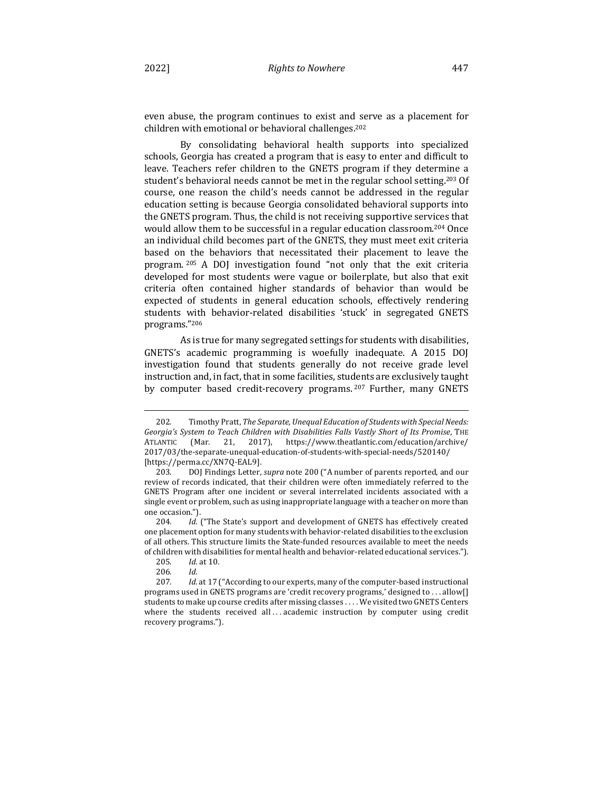even abuse, the program continues to exist and serve as a placement for children with emotional or behavioral challenges.<sup>202</sup>

By consolidating behavioral health supports into specialized schools, Georgia has created a program that is easy to enter and difficult to leave. Teachers refer children to the GNETS program if they determine a student's behavioral needs cannot be met in the regular school setting.<sup>203</sup> Of course, one reason the child's needs cannot be addressed in the regular education setting is because Georgia consolidated behavioral supports into the GNETS program. Thus, the child is not receiving supportive services that would allow them to be successful in a regular education classroom.<sup>204</sup> Once an individual child becomes part of the GNETS, they must meet exit criteria based on the behaviors that necessitated their placement to leave the program. <sup>205</sup> A DOJ investigation found "not only that the exit criteria developed for most students were vague or boilerplate, but also that exit criteria often contained higher standards of behavior than would be expected of students in general education schools, effectively rendering students with behavior-related disabilities 'stuck' in segregated GNETS programs."206

As is true for many segregated settings for students with disabilities, GNETS's academic programming is woefully inadequate. A 2015 DOJ investigation found that students generally do not receive grade level instruction and, in fact, that in some facilities, students are exclusively taught by computer based credit-recovery programs. <sup>207</sup> Further, many GNETS

<sup>202.</sup> Timothy Pratt, *The Separate, Unequal Education of Students with Special Needs: Georgia's System to Teach Children with Disabilities Falls Vastly Short of Its Promise, THE* ATLANTIC (Mar. 21, 2017), https://www.theatlantic.com/education/archive/ 2017/03/the-separate-unequal-education-of-students-with-special-needs/520140/ [https://perma.cc/XN7Q-EAL9].

<sup>203.</sup> DOJ Findings Letter, *supra* note 200 ("A number of parents reported, and our review of records indicated, that their children were often immediately referred to the GNETS Program after one incident or several interrelated incidents associated with a single event or problem, such as using inappropriate language with a teacher on more than one occasion.").

<sup>204.</sup> Id. ("The State's support and development of GNETS has effectively created one placement option for many students with behavior-related disabilities to the exclusion of all others. This structure limits the State-funded resources available to meet the needs of children with disabilities for mental health and behavior-related educational services.").

<sup>205</sup>*. Id.* at 10.

<sup>206</sup>*. Id.*

<sup>207.</sup> Id. at 17 ("According to our experts, many of the computer-based instructional programs used in GNETS programs are 'credit recovery programs,' designed to . . . allow[] students to make up course credits after missing classes . . . . We visited two GNETS Centers where the students received all ... academic instruction by computer using credit recovery programs.").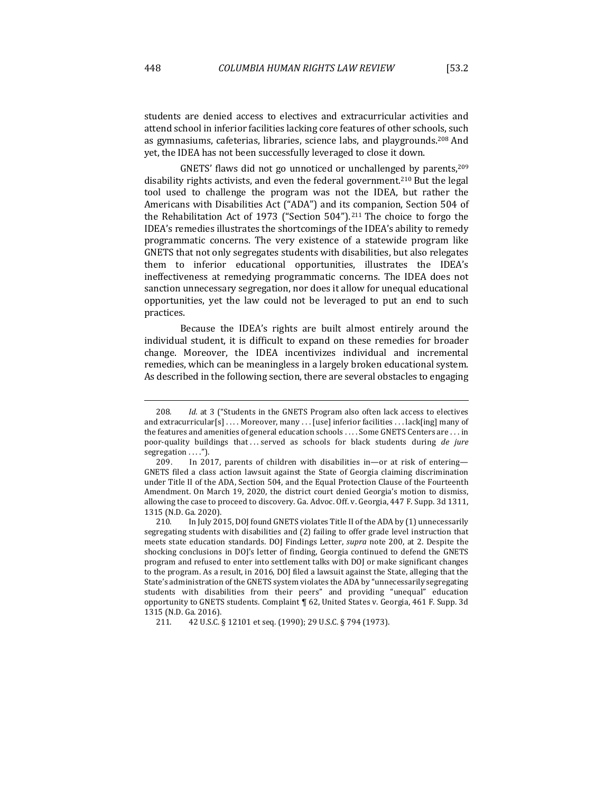students are denied access to electives and extracurricular activities and attend school in inferior facilities lacking core features of other schools, such as gymnasiums, cafeterias, libraries, science labs, and playgrounds.<sup>208</sup> And yet, the IDEA has not been successfully leveraged to close it down.

GNETS' flaws did not go unnoticed or unchallenged by parents,  $209$ disability rights activists, and even the federal government.<sup>210</sup> But the legal tool used to challenge the program was not the IDEA, but rather the Americans with Disabilities Act ("ADA") and its companion, Section 504 of the Rehabilitation Act of 1973 ("Section  $504$ ").<sup>211</sup> The choice to forgo the IDEA's remedies illustrates the shortcomings of the IDEA's ability to remedy programmatic concerns. The very existence of a statewide program like GNETS that not only segregates students with disabilities, but also relegates them to inferior educational opportunities, illustrates the IDEA's ineffectiveness at remedying programmatic concerns. The IDEA does not sanction unnecessary segregation, nor does it allow for unequal educational opportunities, yet the law could not be leveraged to put an end to such practices.

Because the IDEA's rights are built almost entirely around the individual student, it is difficult to expand on these remedies for broader change. Moreover, the IDEA incentivizes individual and incremental remedies, which can be meaningless in a largely broken educational system. As described in the following section, there are several obstacles to engaging

<sup>208.</sup> *Id.* at 3 ("Students in the GNETS Program also often lack access to electives and extracurricular $[s] \ldots$  Moreover, many  $\ldots$  [use] inferior facilities  $\ldots$  lack[ing] many of the features and amenities of general education schools .... Some GNETS Centers are ... in poor-quality buildings that ... served as schools for black students during *de jure* segregation . . . . ").

<sup>209.</sup> In 2017, parents of children with disabilities in—or at risk of entering— GNETS filed a class action lawsuit against the State of Georgia claiming discrimination under Title II of the ADA, Section 504, and the Equal Protection Clause of the Fourteenth Amendment. On March 19, 2020, the district court denied Georgia's motion to dismiss, allowing the case to proceed to discovery. Ga. Advoc. Off. v. Georgia, 447 F. Supp. 3d 1311, 1315 (N.D. Ga. 2020).

<sup>210.</sup> In July 2015, DOJ found GNETS violates Title II of the ADA by (1) unnecessarily segregating students with disabilities and (2) failing to offer grade level instruction that meets state education standards. DOJ Findings Letter, *supra* note 200, at 2. Despite the shocking conclusions in DOJ's letter of finding, Georgia continued to defend the GNETS program and refused to enter into settlement talks with DOJ or make significant changes to the program. As a result, in 2016, DOJ filed a lawsuit against the State, alleging that the State's administration of the GNETS system violates the ADA by "unnecessarily segregating students with disabilities from their peers" and providing "unequal" education opportunity to GNETS students. Complaint ¶ 62, United States v. Georgia, 461 F. Supp. 3d 1315 (N.D. Ga. 2016).

<sup>211. 42</sup> U.S.C. § 12101 et seq. (1990); 29 U.S.C. § 794 (1973).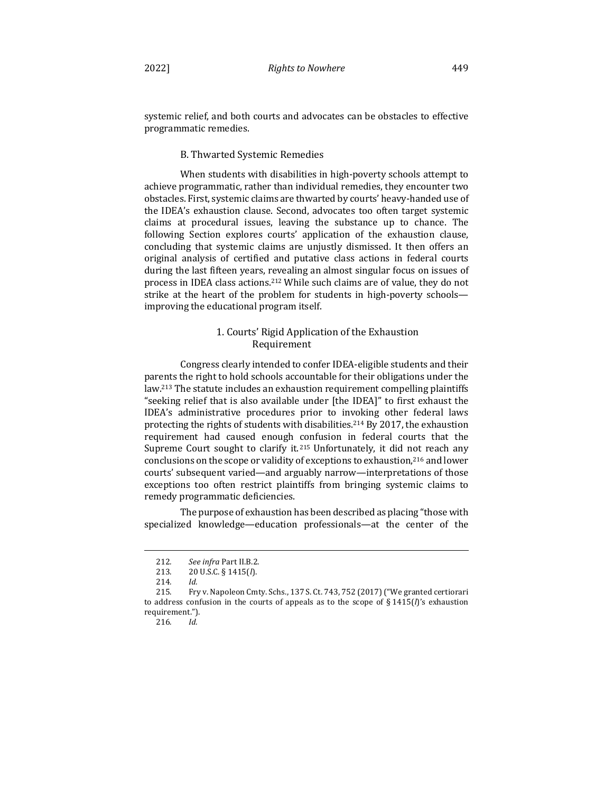systemic relief, and both courts and advocates can be obstacles to effective programmatic remedies.

## B. Thwarted Systemic Remedies

When students with disabilities in high-poverty schools attempt to achieve programmatic, rather than individual remedies, they encounter two obstacles. First, systemic claims are thwarted by courts' heavy-handed use of the IDEA's exhaustion clause. Second, advocates too often target systemic claims at procedural issues, leaving the substance up to chance. The following Section explores courts' application of the exhaustion clause, concluding that systemic claims are unjustly dismissed. It then offers an original analysis of certified and putative class actions in federal courts during the last fifteen years, revealing an almost singular focus on issues of process in IDEA class actions.<sup>212</sup> While such claims are of value, they do not strike at the heart of the problem for students in high-poverty schools improving the educational program itself.

## 1. Courts' Rigid Application of the Exhaustion Requirement

Congress clearly intended to confer IDEA-eligible students and their parents the right to hold schools accountable for their obligations under the law.<sup>213</sup> The statute includes an exhaustion requirement compelling plaintiffs "seeking relief that is also available under [the IDEA]" to first exhaust the IDEA's administrative procedures prior to invoking other federal laws protecting the rights of students with disabilities.<sup>214</sup> By 2017, the exhaustion requirement had caused enough confusion in federal courts that the Supreme Court sought to clarify it.<sup>215</sup> Unfortunately, it did not reach any conclusions on the scope or validity of exceptions to exhaustion,<sup>216</sup> and lower courts' subsequent varied—and arguably narrow—interpretations of those exceptions too often restrict plaintiffs from bringing systemic claims to remedy programmatic deficiencies.

The purpose of exhaustion has been described as placing "those with specialized knowledge—education professionals—at the center of the

<sup>212</sup>*. See infra* Part II.B.2.

<sup>213. 20</sup> U.S.C. § 1415(*l*).

<sup>214</sup>*. Id.*

<sup>215.</sup> Fry v. Napoleon Cmty. Schs., 137 S. Ct. 743, 752 (2017) ("We granted certiorari to address confusion in the courts of appeals as to the scope of  $\S 1415(f)$ 's exhaustion requirement.").

<sup>216</sup>*. Id.*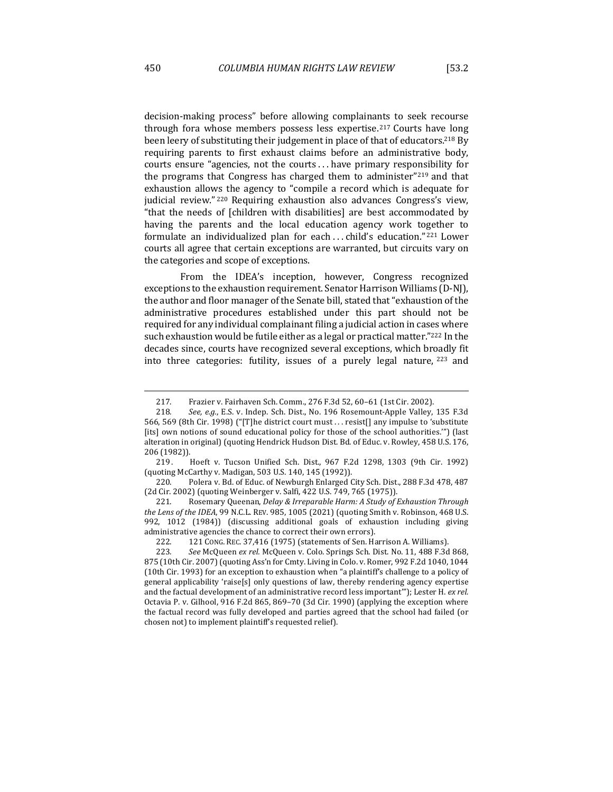decision-making process" before allowing complainants to seek recourse through fora whose members possess less expertise.<sup>217</sup> Courts have long been leery of substituting their judgement in place of that of educators.<sup>218</sup> By requiring parents to first exhaust claims before an administrative body, courts ensure "agencies, not the courts ... have primary responsibility for the programs that Congress has charged them to administer"<sup>219</sup> and that exhaustion allows the agency to "compile a record which is adequate for judicial review." 220 Requiring exhaustion also advances Congress's view, "that the needs of [children with disabilities] are best accommodated by having the parents and the local education agency work together to formulate an individualized plan for each ... child's education."<sup>221</sup> Lower courts all agree that certain exceptions are warranted, but circuits vary on the categories and scope of exceptions.

From the IDEA's inception, however, Congress recognized exceptions to the exhaustion requirement. Senator Harrison Williams (D-NJ), the author and floor manager of the Senate bill, stated that "exhaustion of the administrative procedures established under this part should not be required for any individual complainant filing a judicial action in cases where such exhaustion would be futile either as a legal or practical matter." $222$  In the decades since, courts have recognized several exceptions, which broadly fit into three categories: futility, issues of a purely legal nature,  $223$  and

221. Rosemary Queenan, *Delay & Irreparable Harm: A Study of Exhaustion Through the Lens of the IDEA*, 99 N.C.L. REV. 985, 1005 (2021) (quoting Smith v. Robinson, 468 U.S. 992, 1012 (1984)) (discussing additional goals of exhaustion including giving administrative agencies the chance to correct their own errors).

222. 121 CONG. REC. 37,416 (1975) (statements of Sen. Harrison A. Williams).

<sup>217.</sup> Frazier v. Fairhaven Sch. Comm., 276 F.3d 52, 60-61 (1st Cir. 2002).

<sup>218.</sup> See, e.g., E.S. v. Indep. Sch. Dist., No. 196 Rosemount-Apple Valley, 135 F.3d 566, 569 (8th Cir. 1998) ("[T]he district court must . . . resist[] any impulse to 'substitute [its] own notions of sound educational policy for those of the school authorities."") (last alteration in original) (quoting Hendrick Hudson Dist. Bd. of Educ. v. Rowley, 458 U.S. 176, 206 (1982)).

<sup>219.</sup> Hoeft v. Tucson Unified Sch. Dist., 967 F.2d 1298, 1303 (9th Cir. 1992) (quoting McCarthy v. Madigan, 503 U.S. 140, 145 (1992)).

<sup>220.</sup> Polera v. Bd. of Educ. of Newburgh Enlarged City Sch. Dist., 288 F.3d 478, 487 (2d Cir. 2002) (quoting Weinberger v. Salfi, 422 U.S. 749, 765 (1975)).

<sup>223</sup>*. See* McQueen *ex rel.* McQueen v. Colo. Springs Sch. Dist. No. 11, 488 F.3d 868, 875 (10th Cir. 2007) (quoting Ass'n for Cmty. Living in Colo. v. Romer, 992 F.2d 1040, 1044 (10th Cir. 1993) for an exception to exhaustion when "a plaintiff's challenge to a policy of general applicability 'raise[s] only questions of law, thereby rendering agency expertise and the factual development of an administrative record less important"'); Lester H. *ex rel.* Octavia P. v. Gilhool, 916 F.2d 865, 869–70 (3d Cir. 1990) (applying the exception where the factual record was fully developed and parties agreed that the school had failed (or chosen not) to implement plaintiff's requested relief).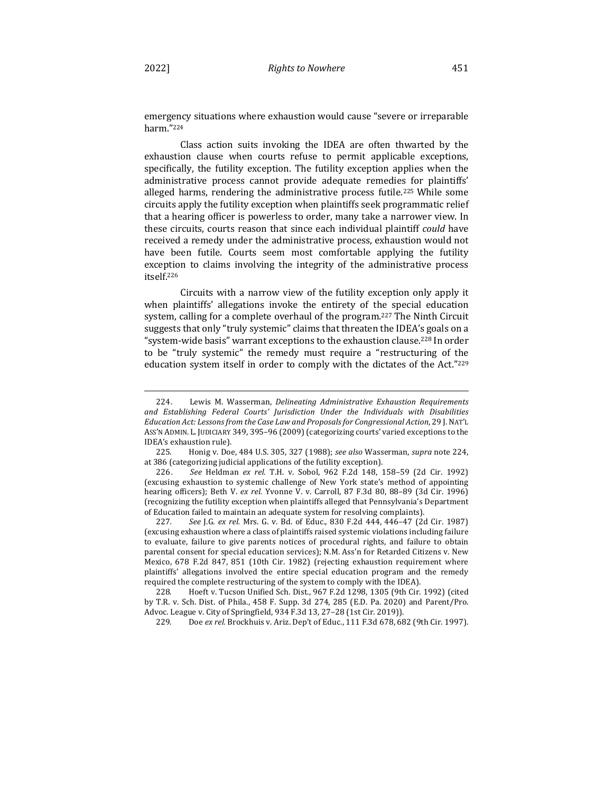emergency situations where exhaustion would cause "severe or irreparable" harm."224

Class action suits invoking the IDEA are often thwarted by the exhaustion clause when courts refuse to permit applicable exceptions, specifically, the futility exception. The futility exception applies when the administrative process cannot provide adequate remedies for plaintiffs' alleged harms, rendering the administrative process futile.<sup>225</sup> While some circuits apply the futility exception when plaintiffs seek programmatic relief that a hearing officer is powerless to order, many take a narrower view. In these circuits, courts reason that since each individual plaintiff *could* have received a remedy under the administrative process, exhaustion would not have been futile. Courts seem most comfortable applying the futility exception to claims involving the integrity of the administrative process itself.226

Circuits with a narrow view of the futility exception only apply it when plaintiffs' allegations invoke the entirety of the special education system, calling for a complete overhaul of the program.<sup>227</sup> The Ninth Circuit suggests that only "truly systemic" claims that threaten the IDEA's goals on a "system-wide basis" warrant exceptions to the exhaustion clause.<sup>228</sup> In order to be "truly systemic" the remedy must require a "restructuring of the education system itself in order to comply with the dictates of the Act."229

<sup>224.</sup> Lewis M. Wasserman, *Delineating Administrative Exhaustion Requirements* and Establishing Federal Courts' Jurisdiction Under the Individuals with Disabilities *Education Act: Lessons from the Case Law and Proposals for Congressional Action*, 29 J.NAT'L Ass'N ADMIN. L. JUDICIARY 349, 395-96 (2009) (categorizing courts' varied exceptions to the IDEA's exhaustion rule).

<sup>225.</sup>  Honig v. Doe, 484 U.S. 305, 327 (1988); *see also* Wasserman, *supra* note 224, at 386 (categorizing judicial applications of the futility exception).

<sup>226.</sup> See Heldman ex rel. T.H. v. Sobol, 962 F.2d 148, 158-59 (2d Cir. 1992) (excusing exhaustion to systemic challenge of New York state's method of appointing hearing officers); Beth V. ex rel. Yvonne V. v. Carroll, 87 F.3d 80, 88-89 (3d Cir. 1996) (recognizing the futility exception when plaintiffs alleged that Pennsylvania's Department of Education failed to maintain an adequate system for resolving complaints).

<sup>227.</sup> See J.G. ex rel. Mrs. G. v. Bd. of Educ., 830 F.2d 444, 446-47 (2d Cir. 1987) (excusing exhaustion where a class of plaintiffs raised systemic violations including failure to evaluate, failure to give parents notices of procedural rights, and failure to obtain parental consent for special education services); N.M. Ass'n for Retarded Citizens v. New Mexico, 678 F.2d 847, 851 (10th Cir. 1982) (rejecting exhaustion requirement where plaintiffs' allegations involved the entire special education program and the remedy required the complete restructuring of the system to comply with the IDEA).

<sup>228.</sup> Hoeft v. Tucson Unified Sch. Dist., 967 F.2d 1298, 1305 (9th Cir. 1992) (cited by T.R. v. Sch. Dist. of Phila., 458 F. Supp. 3d 274, 285 (E.D. Pa. 2020) and Parent/Pro. Advoc. League v. City of Springfield, 934 F.3d 13, 27-28 (1st Cir. 2019)).

<sup>229.</sup> Doe ex rel. Brockhuis v. Ariz. Dep't of Educ., 111 F.3d 678, 682 (9th Cir. 1997).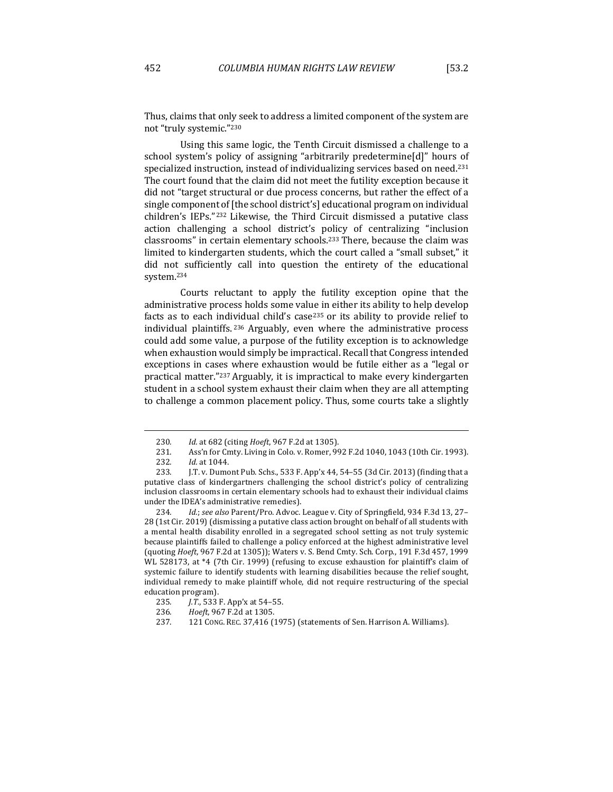Thus, claims that only seek to address a limited component of the system are not "truly systemic."<sup>230</sup>

Using this same logic, the Tenth Circuit dismissed a challenge to a school system's policy of assigning "arbitrarily predetermine[d]" hours of specialized instruction, instead of individualizing services based on need.<sup>231</sup> The court found that the claim did not meet the futility exception because it did not "target structural or due process concerns, but rather the effect of a single component of [the school district's] educational program on individual children's IEPs." $232$  Likewise, the Third Circuit dismissed a putative class action challenging a school district's policy of centralizing "inclusion classrooms" in certain elementary schools.<sup>233</sup> There, because the claim was limited to kindergarten students, which the court called a "small subset," it did not sufficiently call into question the entirety of the educational system.234

Courts reluctant to apply the futility exception opine that the administrative process holds some value in either its ability to help develop facts as to each individual child's case<sup>235</sup> or its ability to provide relief to individual plaintiffs. <sup>236</sup> Arguably, even where the administrative process could add some value, a purpose of the futility exception is to acknowledge when exhaustion would simply be impractical. Recall that Congress intended exceptions in cases where exhaustion would be futile either as a "legal or practical matter."<sup>237</sup> Arguably, it is impractical to make every kindergarten student in a school system exhaust their claim when they are all attempting to challenge a common placement policy. Thus, some courts take a slightly

<sup>230</sup>*. Id.* at 682 (citing *Hoeft*, 967 F.2d at 1305).

<sup>231.</sup> Ass'n for Cmty. Living in Colo. v. Romer, 992 F.2d 1040, 1043 (10th Cir. 1993).

<sup>232</sup>*. Id.* at 1044.

<sup>233.</sup> J.T. v. Dumont Pub. Schs., 533 F. App'x 44, 54-55 (3d Cir. 2013) (finding that a putative class of kindergartners challenging the school district's policy of centralizing inclusion classrooms in certain elementary schools had to exhaust their individual claims under the IDEA's administrative remedies).

<sup>234.</sup> *Id.*; see also Parent/Pro. Advoc. League v. City of Springfield, 934 F.3d 13, 27-28 (1st Cir. 2019) (dismissing a putative class action brought on behalf of all students with a mental health disability enrolled in a segregated school setting as not truly systemic because plaintiffs failed to challenge a policy enforced at the highest administrative level (quoting *Hoeft*, 967 F.2d at 1305)); Waters v. S. Bend Cmty. Sch. Corp., 191 F.3d 457, 1999 WL 528173, at \*4 (7th Cir. 1999) (refusing to excuse exhaustion for plaintiff's claim of systemic failure to identify students with learning disabilities because the relief sought, individual remedy to make plaintiff whole, did not require restructuring of the special education program).

<sup>235</sup>*. J.T.*, 533 F. App'x at 54–55.

<sup>236</sup>*. Hoeft*, 967 F.2d at 1305.

<sup>237. 121</sup> CONG. REC. 37,416 (1975) (statements of Sen. Harrison A. Williams).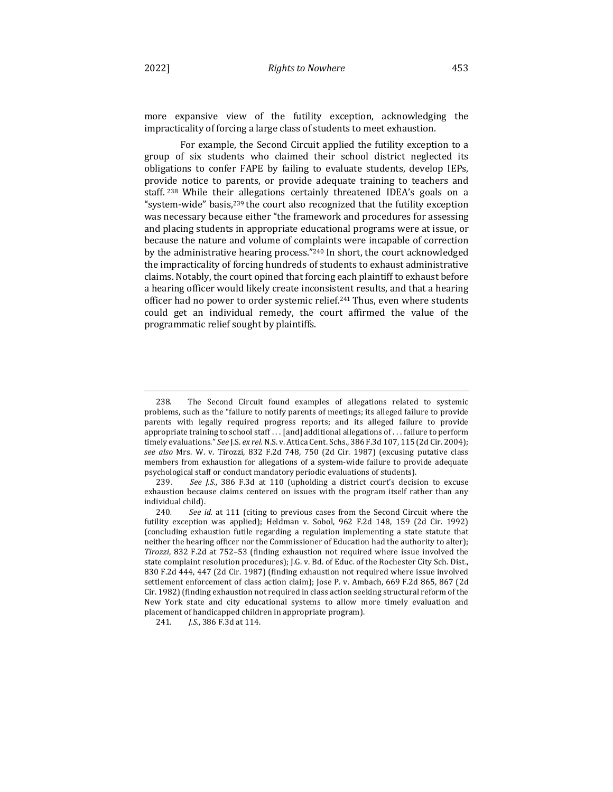more expansive view of the futility exception, acknowledging the impracticality of forcing a large class of students to meet exhaustion.

For example, the Second Circuit applied the futility exception to a group of six students who claimed their school district neglected its obligations to confer FAPE by failing to evaluate students, develop IEPs, provide notice to parents, or provide adequate training to teachers and staff. <sup>238</sup> While their allegations certainly threatened IDEA's goals on a "system-wide" basis, $239$  the court also recognized that the futility exception was necessary because either "the framework and procedures for assessing and placing students in appropriate educational programs were at issue, or because the nature and volume of complaints were incapable of correction by the administrative hearing process."<sup>240</sup> In short, the court acknowledged the impracticality of forcing hundreds of students to exhaust administrative claims. Notably, the court opined that forcing each plaintiff to exhaust before a hearing officer would likely create inconsistent results, and that a hearing officer had no power to order systemic relief.<sup>241</sup> Thus, even where students could get an individual remedy, the court affirmed the value of the programmatic relief sought by plaintiffs.

<sup>238.</sup> The Second Circuit found examples of allegations related to systemic problems, such as the "failure to notify parents of meetings; its alleged failure to provide parents with legally required progress reports; and its alleged failure to provide appropriate training to school staff  $\ldots$  [and] additional allegations of  $\ldots$  failure to perform timely evaluations." See J.S. ex rel. N.S. v. Attica Cent. Schs., 386 F.3d 107, 115 (2d Cir. 2004); see also Mrs. W. v. Tirozzi, 832 F.2d 748, 750 (2d Cir. 1987) (excusing putative class members from exhaustion for allegations of a system-wide failure to provide adequate psychological staff or conduct mandatory periodic evaluations of students).

<sup>239.</sup> See J.S., 386 F.3d at 110 (upholding a district court's decision to excuse exhaustion because claims centered on issues with the program itself rather than any individual child).

<sup>240.</sup> See *id.* at 111 (citing to previous cases from the Second Circuit where the futility exception was applied); Heldman v. Sobol, 962 F.2d 148, 159 (2d Cir. 1992) (concluding exhaustion futile regarding a regulation implementing a state statute that neither the hearing officer nor the Commissioner of Education had the authority to alter); *Tirozzi*, 832 F.2d at 752–53 (finding exhaustion not required where issue involved the state complaint resolution procedures); J.G. v. Bd. of Educ. of the Rochester City Sch. Dist., 830 F.2d 444, 447 (2d Cir. 1987) (finding exhaustion not required where issue involved settlement enforcement of class action claim); Jose P. v. Ambach, 669 F.2d 865, 867 (2d Cir. 1982) (finding exhaustion not required in class action seeking structural reform of the New York state and city educational systems to allow more timely evaluation and placement of handicapped children in appropriate program).

<sup>241.</sup> *J.S.*, 386 F.3d at 114.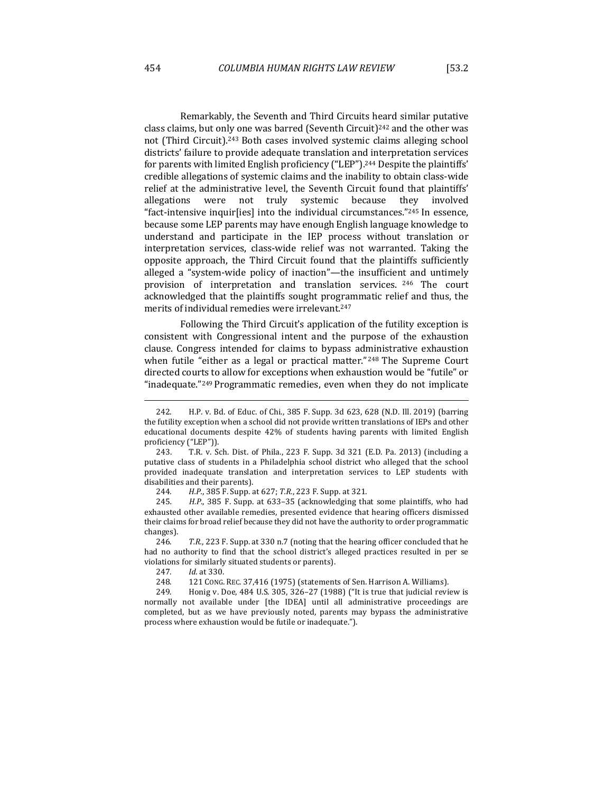Remarkably, the Seventh and Third Circuits heard similar putative class claims, but only one was barred (Seventh Circuit)<sup>242</sup> and the other was not (Third Circuit).<sup>243</sup> Both cases involved systemic claims alleging school districts' failure to provide adequate translation and interpretation services for parents with limited English proficiency ("LEP").<sup>244</sup> Despite the plaintiffs' credible allegations of systemic claims and the inability to obtain class-wide relief at the administrative level, the Seventh Circuit found that plaintiffs' allegations were not truly systemic because they involved "fact-intensive inquir[ies] into the individual circumstances." $^{245}$  In essence, because some LEP parents may have enough English language knowledge to understand and participate in the IEP process without translation or interpretation services, class-wide relief was not warranted. Taking the opposite approach, the Third Circuit found that the plaintiffs sufficiently alleged a "system-wide policy of inaction"—the insufficient and untimely provision of interpretation and translation services. <sup>246</sup> The court acknowledged that the plaintiffs sought programmatic relief and thus, the merits of individual remedies were irrelevant.<sup>247</sup>

Following the Third Circuit's application of the futility exception is consistent with Congressional intent and the purpose of the exhaustion clause. Congress intended for claims to bypass administrative exhaustion when futile "either as a legal or practical matter."  $248$  The Supreme Court directed courts to allow for exceptions when exhaustion would be "futile" or "inadequate."<sup>249</sup> Programmatic remedies, even when they do not implicate

245. *H.P.*, 385 F. Supp. at 633-35 (acknowledging that some plaintiffs, who had exhausted other available remedies, presented evidence that hearing officers dismissed their claims for broad relief because they did not have the authority to order programmatic changes).

246. T.R., 223 F. Supp. at 330 n.7 (noting that the hearing officer concluded that he had no authority to find that the school district's alleged practices resulted in per se violations for similarly situated students or parents).

247*. Id.* at 330.

248. 121 CONG. REC. 37,416 (1975) (statements of Sen. Harrison A. Williams).

249. Honig v. Doe, 484 U.S. 305, 326-27 (1988) ("It is true that judicial review is normally not available under [the IDEA] until all administrative proceedings are completed, but as we have previously noted, parents may bypass the administrative process where exhaustion would be futile or inadequate.").

<sup>242.</sup> H.P. v. Bd. of Educ. of Chi., 385 F. Supp. 3d 623, 628 (N.D. Ill. 2019) (barring the futility exception when a school did not provide written translations of IEPs and other educational documents despite 42% of students having parents with limited English proficiency ("LEP")).

<sup>243.</sup> T.R. v. Sch. Dist. of Phila., 223 F. Supp. 3d 321 (E.D. Pa. 2013) (including a putative class of students in a Philadelphia school district who alleged that the school provided inadequate translation and interpretation services to LEP students with disabilities and their parents).

<sup>244.</sup> *H.P.*, 385 F. Supp. at 627; T.R., 223 F. Supp. at 321.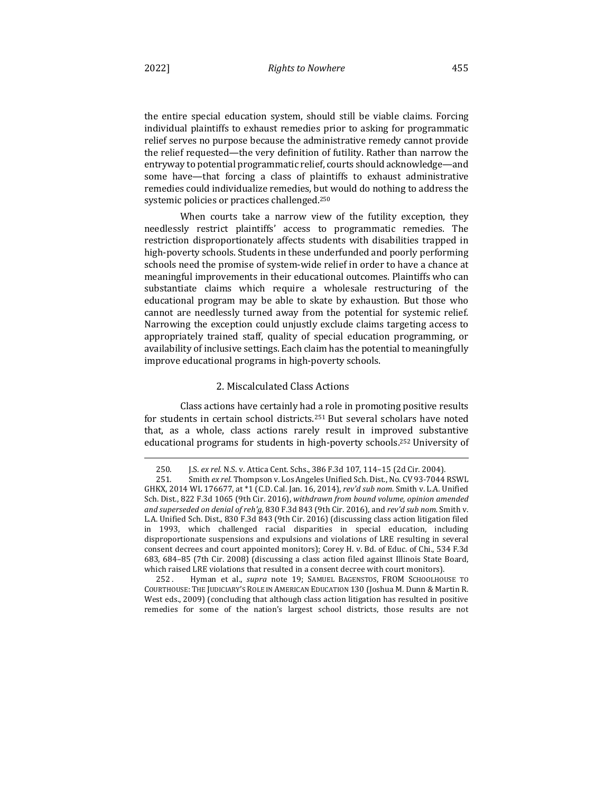the entire special education system, should still be viable claims. Forcing individual plaintiffs to exhaust remedies prior to asking for programmatic relief serves no purpose because the administrative remedy cannot provide the relief requested—the very definition of futility. Rather than narrow the entryway to potential programmatic relief, courts should acknowledge-and some have—that forcing a class of plaintiffs to exhaust administrative remedies could individualize remedies, but would do nothing to address the systemic policies or practices challenged.<sup>250</sup>

When courts take a narrow view of the futility exception, they needlessly restrict plaintiffs' access to programmatic remedies. The restriction disproportionately affects students with disabilities trapped in high-poverty schools. Students in these underfunded and poorly performing schools need the promise of system-wide relief in order to have a chance at meaningful improvements in their educational outcomes. Plaintiffs who can substantiate claims which require a wholesale restructuring of the educational program may be able to skate by exhaustion. But those who cannot are needlessly turned away from the potential for systemic relief. Narrowing the exception could unjustly exclude claims targeting access to appropriately trained staff, quality of special education programming, or availability of inclusive settings. Each claim has the potential to meaningfully improve educational programs in high-poverty schools.

## 2. Miscalculated Class Actions

Class actions have certainly had a role in promoting positive results for students in certain school districts.<sup>251</sup> But several scholars have noted that, as a whole, class actions rarely result in improved substantive educational programs for students in high-poverty schools.<sup>252</sup> University of

252 . Hyman et al., *supra* note 19; SAMUEL BAGENSTOS, FROM SCHOOLHOUSE TO COURTHOUSE: THE JUDICIARY'S ROLE IN AMERICAN EDUCATION 130 (Joshua M. Dunn & Martin R. West eds., 2009) (concluding that although class action litigation has resulted in positive remedies for some of the nation's largest school districts, those results are not

<sup>250.</sup> **J.S. ex rel. N.S. v. Attica Cent. Schs., 386 F.3d 107, 114-15 (2d Cir. 2004).** 

<sup>251.</sup> Smith ex rel. Thompson v. Los Angeles Unified Sch. Dist., No. CV 93-7044 RSWL GHKX, 2014 WL 176677, at \*1 (C.D. Cal. Jan. 16, 2014), *rev'd sub nom.* Smith v. L.A. Unified Sch. Dist., 822 F.3d 1065 (9th Cir. 2016), withdrawn from bound volume, opinion amended *and superseded on denial of reh'g*, 830 F.3d 843 (9th Cir. 2016), and *rev'd sub nom.* Smith v. L.A. Unified Sch. Dist., 830 F.3d 843 (9th Cir. 2016) (discussing class action litigation filed in 1993, which challenged racial disparities in special education, including disproportionate suspensions and expulsions and violations of LRE resulting in several consent decrees and court appointed monitors); Corey H. v. Bd. of Educ. of Chi., 534 F.3d 683, 684-85 (7th Cir. 2008) (discussing a class action filed against Illinois State Board, which raised LRE violations that resulted in a consent decree with court monitors).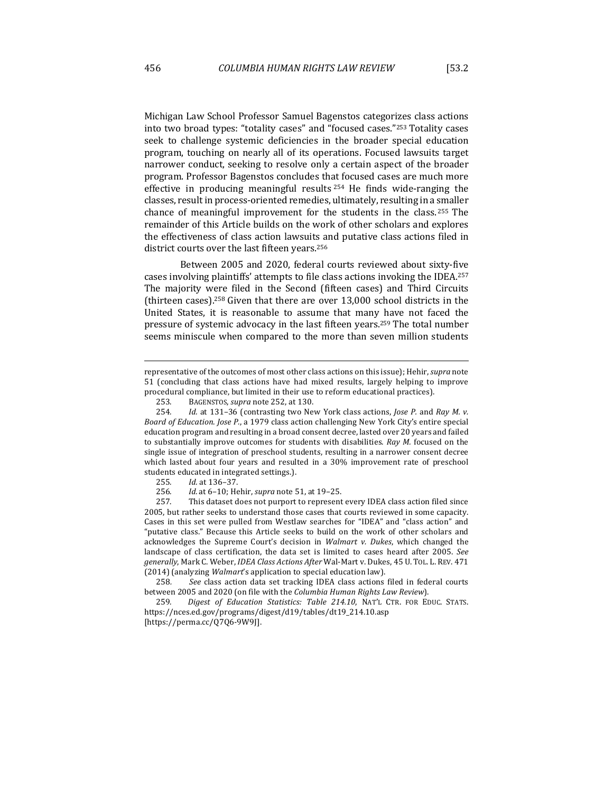seek to challenge systemic deficiencies in the broader special education program, touching on nearly all of its operations. Focused lawsuits target narrower conduct, seeking to resolve only a certain aspect of the broader program. Professor Bagenstos concludes that focused cases are much more effective in producing meaningful results  $254$  He finds wide-ranging the classes, result in process-oriented remedies, ultimately, resulting in a smaller chance of meaningful improvement for the students in the class.<sup>255</sup> The remainder of this Article builds on the work of other scholars and explores the effectiveness of class action lawsuits and putative class actions filed in district courts over the last fifteen years.<sup>256</sup>

Between 2005 and 2020, federal courts reviewed about sixty-five cases involving plaintiffs' attempts to file class actions invoking the IDEA.<sup>257</sup> The majority were filed in the Second (fifteen cases) and Third Circuits (thirteen cases).<sup>258</sup> Given that there are over  $13,000$  school districts in the United States, it is reasonable to assume that many have not faced the pressure of systemic advocacy in the last fifteen years.<sup>259</sup> The total number seems miniscule when compared to the more than seven million students

257. This dataset does not purport to represent every IDEA class action filed since 2005, but rather seeks to understand those cases that courts reviewed in some capacity. Cases in this set were pulled from Westlaw searches for "IDEA" and "class action" and "putative class." Because this Article seeks to build on the work of other scholars and acknowledges the Supreme Court's decision in *Walmart v. Dukes*, which changed the landscape of class certification, the data set is limited to cases heard after 2005. See *generally*, Mark C. Weber, *IDEA Class Actions After* Wal-Mart v. Dukes, 45 U. TOL. L. REV. 471 (2014) (analyzing *Walmart's* application to special education law).

258. See class action data set tracking IDEA class actions filed in federal courts between 2005 and 2020 (on file with the *Columbia Human Rights Law Review*).

259. *Digest of Education Statistics: Table 214.10*, NAT'L CTR. FOR EDUC. STATS. https://nces.ed.gov/programs/digest/d19/tables/dt19\_214.10.asp [https://perma.cc/Q7Q6-9W9J].

representative of the outcomes of most other class actions on this issue); Hehir, *supra* note 51 (concluding that class actions have had mixed results, largely helping to improve procedural compliance, but limited in their use to reform educational practices).

<sup>253.</sup> BAGENSTOS, *supra* note 252, at 130.

<sup>254.</sup> *Id.* at 131–36 (contrasting two New York class actions, *Jose P.* and *Ray M. v. Board of Education. Jose P.*, a 1979 class action challenging New York City's entire special education program and resulting in a broad consent decree, lasted over 20 years and failed to substantially improve outcomes for students with disabilities. *Ray M.* focused on the single issue of integration of preschool students, resulting in a narrower consent decree which lasted about four years and resulted in a 30% improvement rate of preschool students educated in integrated settings.).

<sup>255</sup>*. Id.* at 136–37.

<sup>256</sup>*. Id.* at 6–10; Hehir, *supra* note 51, at 19–25.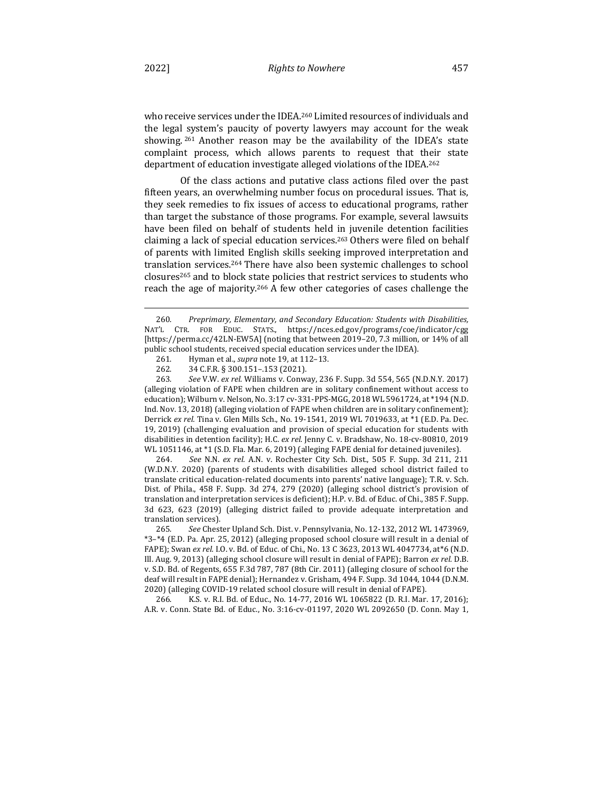who receive services under the IDEA.<sup>260</sup> Limited resources of individuals and the legal system's paucity of poverty lawyers may account for the weak showing.  $261$  Another reason may be the availability of the IDEA's state complaint process, which allows parents to request that their state department of education investigate alleged violations of the IDEA.<sup>262</sup>

Of the class actions and putative class actions filed over the past fifteen years, an overwhelming number focus on procedural issues. That is, they seek remedies to fix issues of access to educational programs, rather than target the substance of those programs. For example, several lawsuits have been filed on behalf of students held in juvenile detention facilities claiming a lack of special education services.<sup>263</sup> Others were filed on behalf of parents with limited English skills seeking improved interpretation and translation services.<sup>264</sup> There have also been systemic challenges to school closures<sup>265</sup> and to block state policies that restrict services to students who reach the age of majority.<sup>266</sup> A few other categories of cases challenge the

263*. See* V.W. *ex rel.* Williams v. Conway, 236 F. Supp. 3d 554, 565 (N.D.N.Y. 2017) (alleging violation of FAPE when children are in solitary confinement without access to education); Wilburn v. Nelson, No. 3:17 cv-331-PPS-MGG, 2018 WL 5961724, at  $*194$  (N.D. Ind. Nov. 13, 2018) (alleging violation of FAPE when children are in solitary confinement); Derrick ex rel. Tina v. Glen Mills Sch., No. 19-1541, 2019 WL 7019633, at \*1 (E.D. Pa. Dec. 19, 2019) (challenging evaluation and provision of special education for students with disabilities in detention facility); H.C. ex rel. Jenny C. v. Bradshaw, No. 18-cv-80810, 2019 WL 1051146, at \*1 (S.D. Fla. Mar. 6, 2019) (alleging FAPE denial for detained juveniles).

264*. See*  N.N. *ex rel.* A.N. v. Rochester City Sch. Dist., 505 F. Supp. 3d 211, 211 (W.D.N.Y. 2020) (parents of students with disabilities alleged school district failed to translate critical education-related documents into parents' native language); T.R. v. Sch. Dist. of Phila., 458 F. Supp. 3d 274, 279 (2020) (alleging school district's provision of translation and interpretation services is deficient); H.P. v. Bd. of Educ. of Chi., 385 F. Supp. 3d 623, 623 (2019) (alleging district failed to provide adequate interpretation and translation services).

265. See Chester Upland Sch. Dist. v. Pennsylvania, No. 12-132, 2012 WL 1473969, \*3-\*4 (E.D. Pa. Apr. 25, 2012) (alleging proposed school closure will result in a denial of FAPE); Swan ex rel. I.O. v. Bd. of Educ. of Chi., No. 13 C 3623, 2013 WL 4047734, at\*6 (N.D. Ill. Aug. 9, 2013) (alleging school closure will result in denial of FAPE); Barron ex rel. D.B. v. S.D. Bd. of Regents, 655 F.3d 787, 787 (8th Cir. 2011) (alleging closure of school for the deaf will result in FAPE denial); Hernandez v. Grisham, 494 F. Supp. 3d 1044, 1044 (D.N.M. 2020) (alleging COVID-19 related school closure will result in denial of FAPE).

266. K.S. v. R.I. Bd. of Educ., No. 14-77, 2016 WL 1065822 (D. R.I. Mar. 17, 2016); A.R. v. Conn. State Bd. of Educ., No. 3:16-cv-01197, 2020 WL 2092650 (D. Conn. May 1,

<sup>260.</sup> Preprimary, Elementary, and Secondary Education: Students with Disabilities, NAT'L CTR. FOR EDUC. STATS., https://nces.ed.gov/programs/coe/indicator/cgg [https://perma.cc/42LN-EW5A] (noting that between 2019-20, 7.3 million, or 14% of all public school students, received special education services under the IDEA).

<sup>261.</sup> Hyman et al., *supra* note 19, at 112-13.

<sup>262. 34</sup> C.F.R. § 300.151-.153 (2021).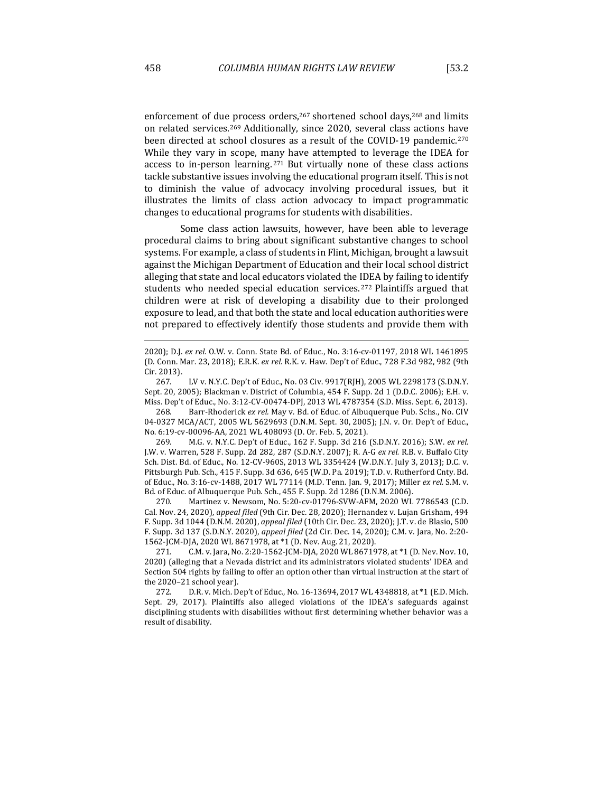enforcement of due process orders,  $267$  shortened school days,  $268$  and limits on related services.<sup>269</sup> Additionally, since 2020, several class actions have been directed at school closures as a result of the COVID-19 pandemic.<sup>270</sup> While they vary in scope, many have attempted to leverage the IDEA for access to in-person learning.  $271$  But virtually none of these class actions tackle substantive issues involving the educational program itself. This is not to diminish the value of advocacy involving procedural issues, but it illustrates the limits of class action advocacy to impact programmatic changes to educational programs for students with disabilities.

Some class action lawsuits, however, have been able to leverage procedural claims to bring about significant substantive changes to school systems. For example, a class of students in Flint, Michigan, brought a lawsuit against the Michigan Department of Education and their local school district alleging that state and local educators violated the IDEA by failing to identify students who needed special education services.<sup>272</sup> Plaintiffs argued that children were at risk of developing a disability due to their prolonged exposure to lead, and that both the state and local education authorities were not prepared to effectively identify those students and provide them with

268. Barr-Rhoderick *ex rel.* May v. Bd. of Educ. of Albuquerque Pub. Schs., No. CIV 04-0327 MCA/ACT, 2005 WL 5629693 (D.N.M. Sept. 30, 2005); J.N. v. Or. Dep't of Educ., No. 6:19-cv-00096-AA, 2021 WL 408093 (D. Or. Feb. 5, 2021).

269. M.G. v. N.Y.C. Dep't of Educ., 162 F. Supp. 3d 216 (S.D.N.Y. 2016); S.W. ex rel. J.W. v. Warren, 528 F. Supp. 2d 282, 287 (S.D.N.Y. 2007); R. A-G ex rel. R.B. v. Buffalo City Sch. Dist. Bd. of Educ., No. 12-CV-960S, 2013 WL 3354424 (W.D.N.Y. July 3, 2013); D.C. v. Pittsburgh Pub. Sch., 415 F. Supp. 3d 636, 645 (W.D. Pa. 2019); T.D. v. Rutherford Cnty. Bd. of Educ., No. 3:16-cv-1488, 2017 WL 77114 (M.D. Tenn. Jan. 9, 2017); Miller ex rel. S.M. v. Bd. of Educ. of Albuquerque Pub. Sch., 455 F. Supp. 2d 1286 (D.N.M. 2006).

270. Martinez v. Newsom, No. 5:20-cv-01796-SVW-AFM, 2020 WL 7786543 (C.D. Cal. Nov. 24, 2020), *appeal filed* (9th Cir. Dec. 28, 2020); Hernandez v. Lujan Grisham, 494 F. Supp. 3d 1044 (D.N.M. 2020), *appeal filed* (10th Cir. Dec. 23, 2020); J.T. v. de Blasio, 500 F. Supp. 3d 137 (S.D.N.Y. 2020), appeal filed (2d Cir. Dec. 14, 2020); C.M. v. Jara, No. 2:20-1562-JCM-DJA, 2020 WL 8671978, at \*1 (D. Nev. Aug. 21, 2020).

271. C.M. v. Jara, No. 2:20-1562-JCM-DJA, 2020 WL 8671978, at \*1 (D. Nev. Nov. 10, 2020) (alleging that a Nevada district and its administrators violated students' IDEA and Section 504 rights by failing to offer an option other than virtual instruction at the start of the 2020-21 school year).

272. D.R. v. Mich. Dep't of Educ., No. 16-13694, 2017 WL 4348818, at \*1 (E.D. Mich. Sept. 29, 2017). Plaintiffs also alleged violations of the IDEA's safeguards against disciplining students with disabilities without first determining whether behavior was a result of disability.

<sup>2020);</sup> D.J. ex rel. O.W. v. Conn. State Bd. of Educ., No. 3:16-cv-01197, 2018 WL 1461895 (D. Conn. Mar. 23, 2018); E.R.K. *ex rel.* R.K. v. Haw. Dep't of Educ., 728 F.3d 982, 982 (9th Cir. 2013).

<sup>267.</sup> LV v. N.Y.C. Dep't of Educ., No. 03 Civ. 9917(RJH), 2005 WL 2298173 (S.D.N.Y. Sept. 20, 2005); Blackman v. District of Columbia, 454 F. Supp. 2d 1 (D.D.C. 2006); E.H. v. Miss. Dep't of Educ., No. 3:12-CV-00474-DPJ, 2013 WL 4787354 (S.D. Miss. Sept. 6, 2013).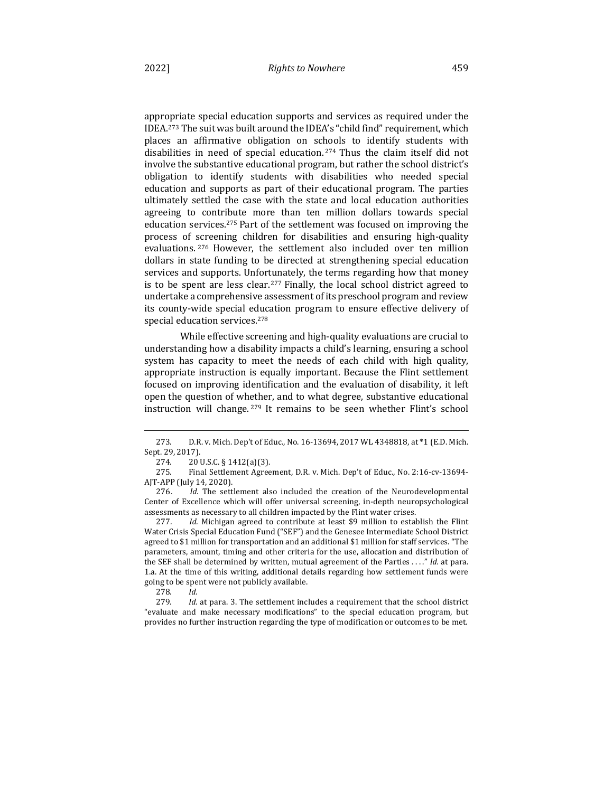appropriate special education supports and services as required under the IDEA.<sup>273</sup> The suit was built around the IDEA's "child find" requirement, which places an affirmative obligation on schools to identify students with disabilities in need of special education.<sup>274</sup> Thus the claim itself did not involve the substantive educational program, but rather the school district's obligation to identify students with disabilities who needed special education and supports as part of their educational program. The parties ultimately settled the case with the state and local education authorities agreeing to contribute more than ten million dollars towards special education services.<sup>275</sup> Part of the settlement was focused on improving the process of screening children for disabilities and ensuring high-quality evaluations. <sup>276</sup> However, the settlement also included over ten million dollars in state funding to be directed at strengthening special education services and supports. Unfortunately, the terms regarding how that money is to be spent are less clear.<sup>277</sup> Finally, the local school district agreed to undertake a comprehensive assessment of its preschool program and review its county-wide special education program to ensure effective delivery of special education services.<sup>278</sup>

While effective screening and high-quality evaluations are crucial to understanding how a disability impacts a child's learning, ensuring a school system has capacity to meet the needs of each child with high quality, appropriate instruction is equally important. Because the Flint settlement focused on improving identification and the evaluation of disability, it left open the question of whether, and to what degree, substantive educational instruction will change.  $279$  It remains to be seen whether Flint's school

<sup>273.</sup> D.R. v. Mich. Dep't of Educ., No. 16-13694, 2017 WL 4348818, at \*1 (E.D. Mich. Sept. 29, 2017).

<sup>274.</sup>  $20 \text{ U.S.C.} \S 1412(a)(3)$ .

<sup>275.</sup> Final Settlement Agreement, D.R. v. Mich. Dep't of Educ., No. 2:16-cv-13694-AJT-APP (July 14, 2020).

<sup>276.</sup> *Id.* The settlement also included the creation of the Neurodevelopmental Center of Excellence which will offer universal screening, in-depth neuropsychological assessments as necessary to all children impacted by the Flint water crises.

<sup>277.</sup> *Id.* Michigan agreed to contribute at least \$9 million to establish the Flint Water Crisis Special Education Fund ("SEF") and the Genesee Intermediate School District agreed to \$1 million for transportation and an additional \$1 million for staff services. "The parameters, amount, timing and other criteria for the use, allocation and distribution of the SEF shall be determined by written, mutual agreement of the Parties . . . ." Id. at para. 1.a. At the time of this writing, additional details regarding how settlement funds were going to be spent were not publicly available.

<sup>278</sup>*. Id.*

<sup>279.</sup> *Id.* at para. 3. The settlement includes a requirement that the school district "evaluate and make necessary modifications" to the special education program, but provides no further instruction regarding the type of modification or outcomes to be met.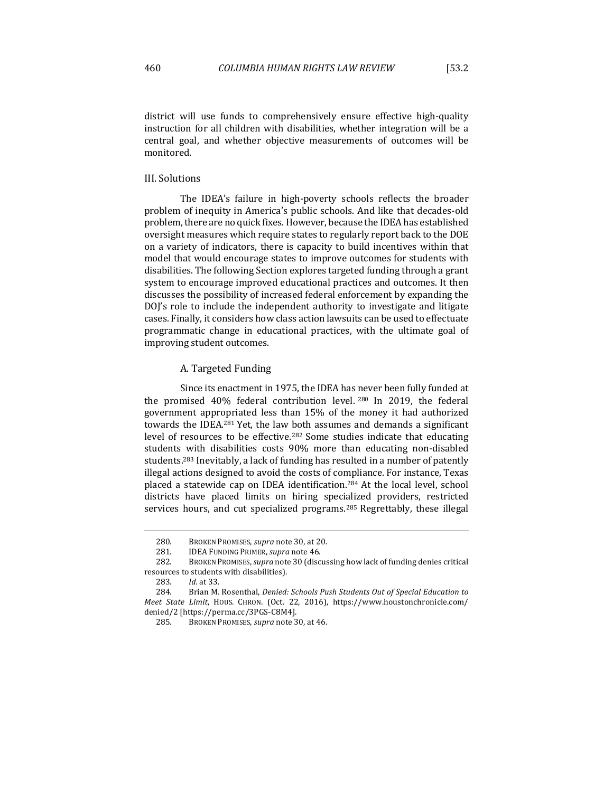district will use funds to comprehensively ensure effective high-quality instruction for all children with disabilities, whether integration will be a central goal, and whether objective measurements of outcomes will be monitored.

#### III. Solutions

The IDEA's failure in high-poverty schools reflects the broader problem of inequity in America's public schools. And like that decades-old problem, there are no quick fixes. However, because the IDEA has established oversight measures which require states to regularly report back to the DOE on a variety of indicators, there is capacity to build incentives within that model that would encourage states to improve outcomes for students with disabilities. The following Section explores targeted funding through a grant system to encourage improved educational practices and outcomes. It then discusses the possibility of increased federal enforcement by expanding the DOJ's role to include the independent authority to investigate and litigate cases. Finally, it considers how class action lawsuits can be used to effectuate programmatic change in educational practices, with the ultimate goal of improving student outcomes.

## A. Targeted Funding

Since its enactment in 1975, the IDEA has never been fully funded at the promised  $40\%$  federal contribution level.  $280$  In 2019, the federal government appropriated less than 15% of the money it had authorized towards the IDEA.<sup>281</sup> Yet, the law both assumes and demands a significant level of resources to be effective.<sup>282</sup> Some studies indicate that educating students with disabilities costs 90% more than educating non-disabled students.<sup>283</sup> Inevitably, a lack of funding has resulted in a number of patently illegal actions designed to avoid the costs of compliance. For instance, Texas placed a statewide cap on IDEA identification.<sup>284</sup> At the local level, school districts have placed limits on hiring specialized providers, restricted services hours, and cut specialized programs.<sup>285</sup> Regrettably, these illegal

<sup>280.</sup> BROKEN PROMISES, *supra* note 30, at 20.

<sup>281.</sup> **IDEA FUNDING PRIMER**, *supra* note 46.

<sup>282.</sup> BROKEN PROMISES, *supra* note 30 (discussing how lack of funding denies critical resources to students with disabilities).

<sup>283</sup>*. Id.* at 33.

<sup>284.</sup> Brian M. Rosenthal, *Denied: Schools Push Students Out of Special Education to Meet State Limit*, HOUS. CHRON. (Oct. 22, 2016), https://www.houstonchronicle.com/ denied/2 [https://perma.cc/3PGS-C8M4].

<sup>285.</sup> BROKEN PROMISES, *supra* note 30, at 46.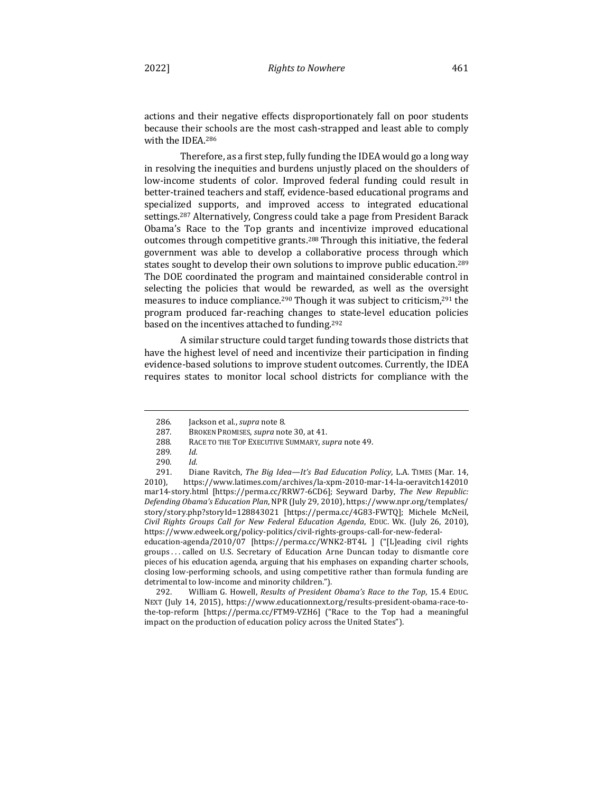actions and their negative effects disproportionately fall on poor students because their schools are the most cash-strapped and least able to comply with the IDEA.<sup>286</sup>

Therefore, as a first step, fully funding the IDEA would go a long way in resolving the inequities and burdens unjustly placed on the shoulders of low-income students of color. Improved federal funding could result in better-trained teachers and staff, evidence-based educational programs and specialized supports, and improved access to integrated educational settings.<sup>287</sup> Alternatively, Congress could take a page from President Barack Obama's Race to the Top grants and incentivize improved educational outcomes through competitive grants.<sup>288</sup> Through this initiative, the federal government was able to develop a collaborative process through which states sought to develop their own solutions to improve public education.<sup>289</sup> The DOE coordinated the program and maintained considerable control in selecting the policies that would be rewarded, as well as the oversight measures to induce compliance.<sup>290</sup> Though it was subject to criticism,<sup>291</sup> the program produced far-reaching changes to state-level education policies based on the incentives attached to funding.<sup>292</sup>

A similar structure could target funding towards those districts that have the highest level of need and incentivize their participation in finding evidence-based solutions to improve student outcomes. Currently, the IDEA requires states to monitor local school districts for compliance with the

education-agenda/2010/07 [https://perma.cc/WNK2-BT4L ] ("[L]eading civil rights groups ... called on U.S. Secretary of Education Arne Duncan today to dismantle core pieces of his education agenda, arguing that his emphases on expanding charter schools, closing low-performing schools, and using competitive rather than formula funding are detrimental to low-income and minority children.").

292. William G. Howell, *Results of President Obama's Race to the Top*, 15.4 EDUC. NEXT (July 14, 2015), https://www.educationnext.org/results-president-obama-race-tothe-top-reform [https://perma.cc/FTM9-VZH6] ("Race to the Top had a meaningful impact on the production of education policy across the United States").

<sup>286.</sup> **Iackson et al.**, *supra* note 8.

<sup>287.</sup> BROKEN PROMISES, *supra* note 30, at 41.

<sup>288.</sup> RACE TO THE TOP EXECUTIVE SUMMARY, *supra* note 49.

<sup>289</sup>*. Id.*

<sup>290</sup>*. Id.*

<sup>291.</sup> Diane Ravitch, *The Big Idea—It's Bad Education Policy*, L.A. TIMES (Mar. 14, 2010), https://www.latimes.com/archives/la-xpm-2010-mar-14-la-oeravitch142010 mar14-story.html [https://perma.cc/RRW7-6CD6]; Seyward Darby, The New Republic: *Defending Obama's Education Plan, NPR* (July 29, 2010), https://www.npr.org/templates/ story/story.php?storyId=128843021 [https://perma.cc/4G83-FWTQ]; Michele McNeil, *Civil Rights Groups Call for New Federal Education Agenda*, EDUC. WK. (July 26, 2010), https://www.edweek.org/policy-politics/civil-rights-groups-call-for-new-federal-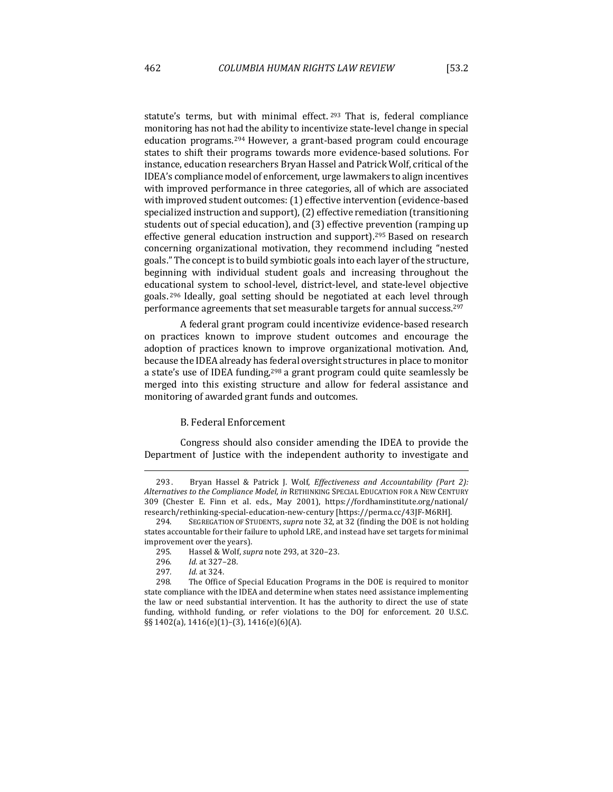statute's terms, but with minimal effect.  $293$  That is, federal compliance monitoring has not had the ability to incentivize state-level change in special education programs.<sup>294</sup> However, a grant-based program could encourage states to shift their programs towards more evidence-based solutions. For instance, education researchers Bryan Hassel and Patrick Wolf, critical of the IDEA's compliance model of enforcement, urge lawmakers to align incentives with improved performance in three categories, all of which are associated with improved student outcomes: (1) effective intervention (evidence-based specialized instruction and support), (2) effective remediation (transitioning students out of special education), and (3) effective prevention (ramping up effective general education instruction and support).<sup>295</sup> Based on research concerning organizational motivation, they recommend including "nested goals." The concept is to build symbiotic goals into each layer of the structure, beginning with individual student goals and increasing throughout the educational system to school-level, district-level, and state-level objective goals.<sup>296</sup> Ideally, goal setting should be negotiated at each level through performance agreements that set measurable targets for annual success.<sup>297</sup>

A federal grant program could incentivize evidence-based research on practices known to improve student outcomes and encourage the adoption of practices known to improve organizational motivation. And, because the IDEA already has federal oversight structures in place to monitor a state's use of IDEA funding,<sup>298</sup> a grant program could quite seamlessly be merged into this existing structure and allow for federal assistance and monitoring of awarded grant funds and outcomes.

## B. Federal Enforcement

Congress should also consider amending the IDEA to provide the Department of Justice with the independent authority to investigate and

<sup>293.</sup> Bryan Hassel & Patrick J. Wolf, *Effectiveness and Accountability (Part 2):* Alternatives to the Compliance Model, in RETHINKING SPECIAL EDUCATION FOR A NEW CENTURY 309 (Chester E. Finn et al. eds., May 2001), https://fordhaminstitute.org/national/ research/rethinking-special-education-new-century [https://perma.cc/43JF-M6RH].

<sup>294.</sup> SEGREGATION OF STUDENTS, *supra* note 32, at 32 (finding the DOE is not holding states accountable for their failure to uphold LRE, and instead have set targets for minimal improvement over the years).

<sup>295.</sup>  Hassel & Wolf, *supra* note 293, at 320–23.

<sup>296</sup>*. Id.* at 327–28.

<sup>297</sup>*. Id.* at 324.

<sup>298.</sup> The Office of Special Education Programs in the DOE is required to monitor state compliance with the IDEA and determine when states need assistance implementing the law or need substantial intervention. It has the authority to direct the use of state funding, withhold funding, or refer violations to the DOJ for enforcement. 20 U.S.C. §§ 1402(a), 1416(e)(1)-(3), 1416(e)(6)(A).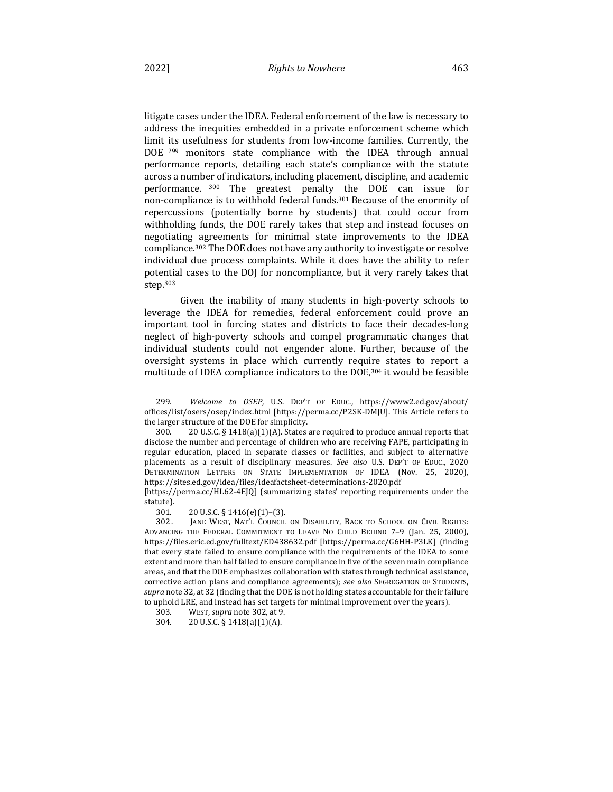litigate cases under the IDEA. Federal enforcement of the law is necessary to address the inequities embedded in a private enforcement scheme which limit its usefulness for students from low-income families. Currently, the DOE  $299$  monitors state compliance with the IDEA through annual performance reports, detailing each state's compliance with the statute across a number of indicators, including placement, discipline, and academic performance. <sup>300</sup> The greatest penalty the DOE can issue for non-compliance is to withhold federal funds.<sup>301</sup> Because of the enormity of repercussions (potentially borne by students) that could occur from withholding funds, the DOE rarely takes that step and instead focuses on negotiating agreements for minimal state improvements to the IDEA compliance.<sup>302</sup> The DOE does not have any authority to investigate or resolve individual due process complaints. While it does have the ability to refer potential cases to the DOJ for noncompliance, but it very rarely takes that step.303

Given the inability of many students in high-poverty schools to leverage the IDEA for remedies, federal enforcement could prove an important tool in forcing states and districts to face their decades-long neglect of high-poverty schools and compel programmatic changes that individual students could not engender alone. Further, because of the oversight systems in place which currently require states to report a multitude of IDEA compliance indicators to the DOE,<sup>304</sup> it would be feasible

[https://perma.cc/HL62-4EJQ] (summarizing states' reporting requirements under the statute).

301.  $20 \text{ U.S.C.} \S 1416(e)(1) - (3)$ .

302. JANE WEST, NAT'L COUNCIL ON DISABILITY, BACK TO SCHOOL ON CIVIL RIGHTS: ADVANCING THE FEDERAL COMMITMENT TO LEAVE NO CHILD BEHIND 7-9 (Jan. 25, 2000), https://files.eric.ed.gov/fulltext/ED438632.pdf [https://perma.cc/G6HH-P3LK] (finding that every state failed to ensure compliance with the requirements of the IDEA to some extent and more than half failed to ensure compliance in five of the seven main compliance areas, and that the DOE emphasizes collaboration with states through technical assistance, corrective action plans and compliance agreements); see also SEGREGATION OF STUDENTS, supra note 32, at 32 (finding that the DOE is not holding states accountable for their failure to uphold LRE, and instead has set targets for minimal improvement over the years).

<sup>299.</sup> Welcome to OSEP, U.S. DEP'T OF EDUC., https://www2.ed.gov/about/ offices/list/osers/osep/index.html [https://perma.cc/P2SK-DMJU]. This Article refers to the larger structure of the DOE for simplicity.

<sup>300.</sup>  $20 \text{ U.S.C. } §$  1418(a)(1)(A). States are required to produce annual reports that disclose the number and percentage of children who are receiving FAPE, participating in regular education, placed in separate classes or facilities, and subject to alternative placements as a result of disciplinary measures. See also U.S. DEP'T OF EDUC., 2020 DETERMINATION LETTERS ON STATE IMPLEMENTATION OF IDEA (Nov. 25, 2020), https://sites.ed.gov/idea/files/ideafactsheet-determinations-2020.pdf 

<sup>303.</sup> WEST, *supra* note 302, at 9.

<sup>304. 20</sup> U.S.C. § 1418(a)(1)(A).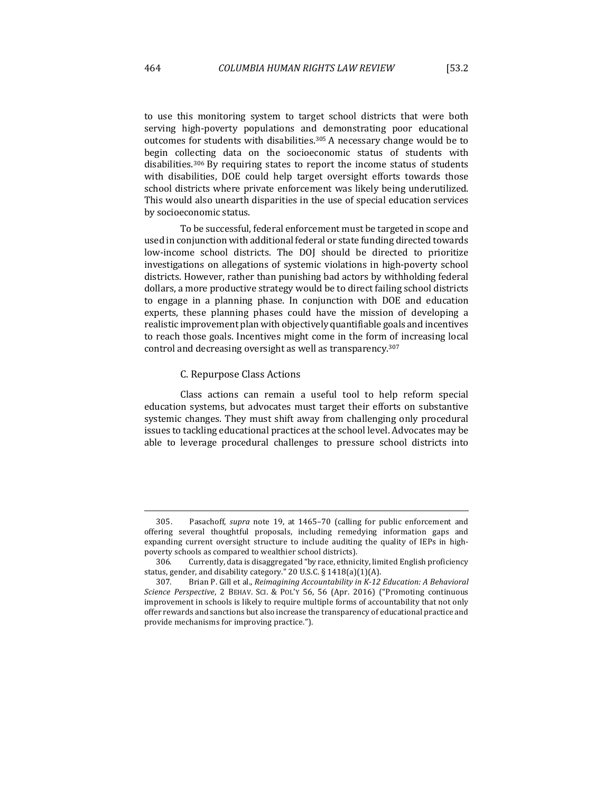to use this monitoring system to target school districts that were both serving high-poverty populations and demonstrating poor educational outcomes for students with disabilities.<sup>305</sup> A necessary change would be to begin collecting data on the socioeconomic status of students with disabilities.<sup>306</sup> By requiring states to report the income status of students with disabilities, DOE could help target oversight efforts towards those school districts where private enforcement was likely being underutilized. This would also unearth disparities in the use of special education services by socioeconomic status.

To be successful, federal enforcement must be targeted in scope and used in conjunction with additional federal or state funding directed towards low-income school districts. The DOJ should be directed to prioritize investigations on allegations of systemic violations in high-poverty school districts. However, rather than punishing bad actors by withholding federal dollars, a more productive strategy would be to direct failing school districts to engage in a planning phase. In conjunction with DOE and education experts, these planning phases could have the mission of developing a realistic improvement plan with objectively quantifiable goals and incentives to reach those goals. Incentives might come in the form of increasing local control and decreasing oversight as well as transparency.<sup>307</sup>

## C. Repurpose Class Actions

Class actions can remain a useful tool to help reform special education systems, but advocates must target their efforts on substantive systemic changes. They must shift away from challenging only procedural issues to tackling educational practices at the school level. Advocates may be able to leverage procedural challenges to pressure school districts into

<sup>305.</sup> Pasachoff, *supra* note 19, at 1465-70 (calling for public enforcement and offering several thoughtful proposals, including remedying information gaps and expanding current oversight structure to include auditing the quality of IEPs in highpoverty schools as compared to wealthier school districts).

<sup>306.</sup> Currently, data is disaggregated "by race, ethnicity, limited English proficiency status, gender, and disability category." 20 U.S.C. § 1418(a)(1)(A).

<sup>307.</sup> Brian P. Gill et al., *Reimagining Accountability in K-12 Education: A Behavioral Science Perspective*, 2 BEHAV. SCI. & POL'Y 56, 56 (Apr. 2016) ("Promoting continuous improvement in schools is likely to require multiple forms of accountability that not only offer rewards and sanctions but also increase the transparency of educational practice and provide mechanisms for improving practice.").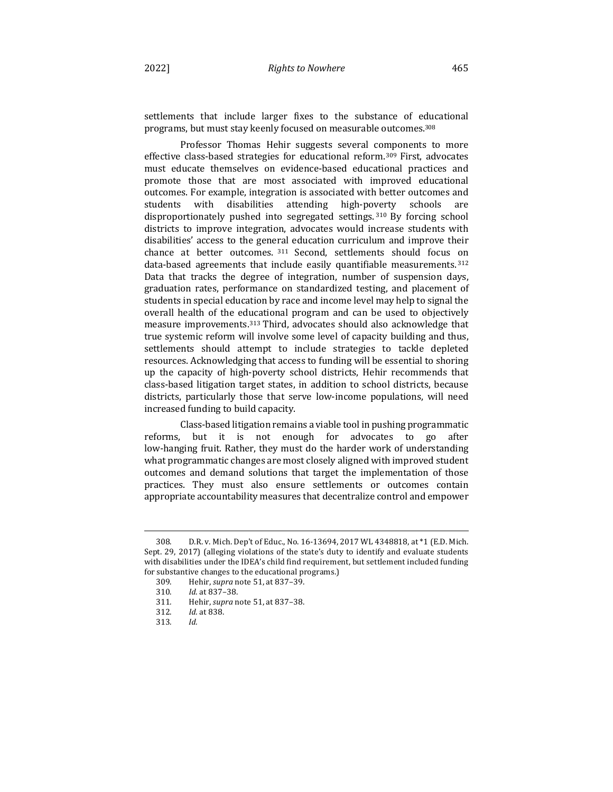settlements that include larger fixes to the substance of educational programs, but must stay keenly focused on measurable outcomes.<sup>308</sup>

Professor Thomas Hehir suggests several components to more effective class-based strategies for educational reform.<sup>309</sup> First, advocates must educate themselves on evidence-based educational practices and promote those that are most associated with improved educational outcomes. For example, integration is associated with better outcomes and students with disabilities attending high-poverty schools are disproportionately pushed into segregated settings. 310 By forcing school districts to improve integration, advocates would increase students with disabilities' access to the general education curriculum and improve their chance at better outcomes. 311 Second, settlements should focus on data-based agreements that include easily quantifiable measurements.<sup>312</sup> Data that tracks the degree of integration, number of suspension days, graduation rates, performance on standardized testing, and placement of students in special education by race and income level may help to signal the overall health of the educational program and can be used to objectively measure improvements. $313$  Third, advocates should also acknowledge that true systemic reform will involve some level of capacity building and thus, settlements should attempt to include strategies to tackle depleted resources. Acknowledging that access to funding will be essential to shoring up the capacity of high-poverty school districts, Hehir recommends that class-based litigation target states, in addition to school districts, because districts, particularly those that serve low-income populations, will need increased funding to build capacity.

Class-based litigation remains a viable tool in pushing programmatic reforms, but it is not enough for advocates to go after low-hanging fruit. Rather, they must do the harder work of understanding what programmatic changes are most closely aligned with improved student outcomes and demand solutions that target the implementation of those practices. They must also ensure settlements or outcomes contain appropriate accountability measures that decentralize control and empower

<sup>308.</sup> D.R. v. Mich. Dep't of Educ., No. 16-13694, 2017 WL 4348818, at \*1 (E.D. Mich. Sept. 29, 2017) (alleging violations of the state's duty to identify and evaluate students with disabilities under the IDEA's child find requirement, but settlement included funding for substantive changes to the educational programs.)

<sup>309.</sup> Hehir, *supra* note 51, at 837-39.

<sup>310.</sup> *Id.* at 837-38.

<sup>311</sup>*.*  Hehir, *supra* note 51, at 837–38.

<sup>312.</sup> *Id.* at 838.

<sup>313</sup>*. Id.*